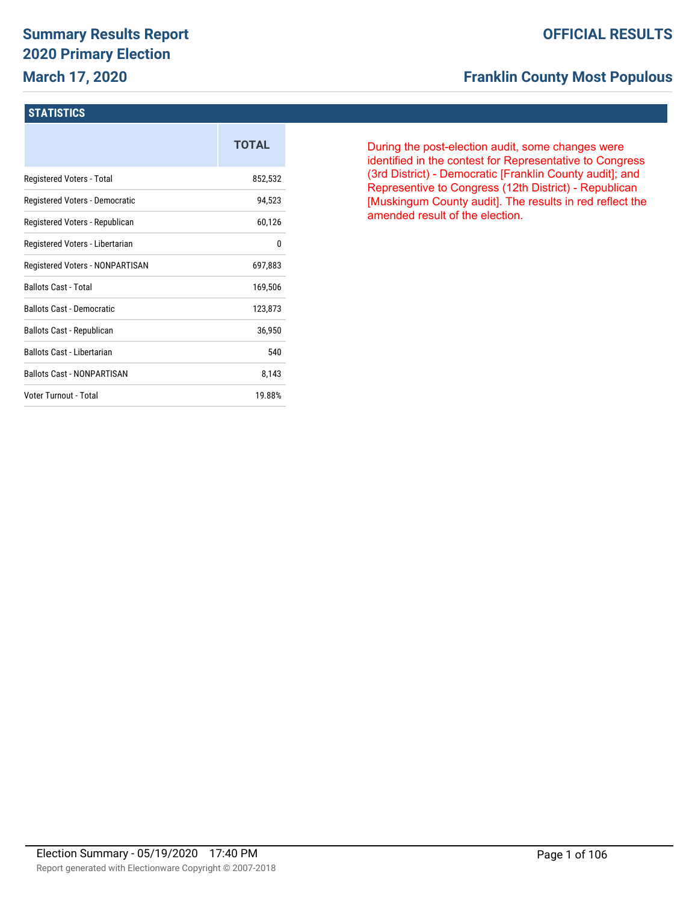## **Summary Results Report 2020 Primary Election March 17, 2020**

### **OFFICIAL RESULTS**

## **Franklin County Most Populous**

#### **STATISTICS**

|                                   | <b>TOTAL</b> |
|-----------------------------------|--------------|
| Registered Voters - Total         | 852,532      |
| Registered Voters - Democratic    | 94,523       |
| Registered Voters - Republican    | 60,126       |
| Registered Voters - Libertarian   | 0            |
| Registered Voters - NONPARTISAN   | 697,883      |
| <b>Ballots Cast - Total</b>       | 169,506      |
| <b>Ballots Cast - Democratic</b>  | 123,873      |
| Ballots Cast - Republican         | 36,950       |
| Ballots Cast - Libertarian        | 540          |
| <b>Ballots Cast - NONPARTISAN</b> | 8,143        |
| Voter Turnout - Total             | 19.88%       |

During the post-election audit, some changes were identified in the contest for Representative to Congress (3rd District) - Democratic [Franklin County audit]; and Representive to Congress (12th District) - Republican [Muskingum County audit]. The results in red reflect the amended result of the election.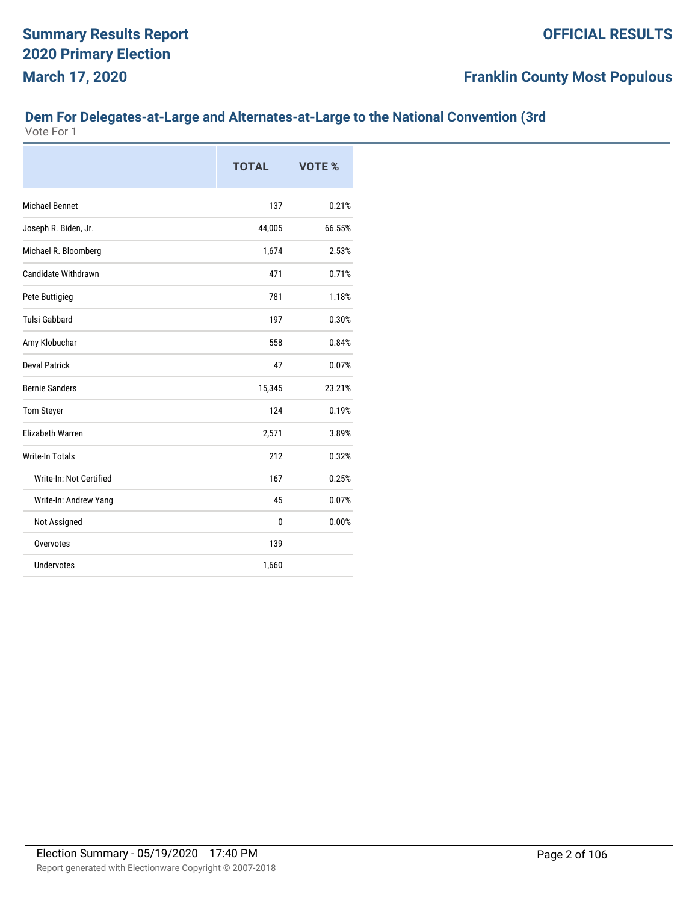## **Dem For Delegates-at-Large and Alternates-at-Large to the National Convention (3rd**

|                            | <b>TOTAL</b> | <b>VOTE %</b> |
|----------------------------|--------------|---------------|
| <b>Michael Bennet</b>      | 137          | 0.21%         |
| Joseph R. Biden, Jr.       | 44,005       | 66.55%        |
| Michael R. Bloomberg       | 1,674        | 2.53%         |
| <b>Candidate Withdrawn</b> | 471          | 0.71%         |
| Pete Buttigieg             | 781          | 1.18%         |
| <b>Tulsi Gabbard</b>       | 197          | 0.30%         |
| Amy Klobuchar              | 558          | 0.84%         |
| <b>Deval Patrick</b>       | 47           | 0.07%         |
| <b>Bernie Sanders</b>      | 15,345       | 23.21%        |
| <b>Tom Steyer</b>          | 124          | 0.19%         |
| <b>Flizabeth Warren</b>    | 2,571        | 3.89%         |
| <b>Write-In Totals</b>     | 212          | 0.32%         |
| Write-In: Not Certified    | 167          | 0.25%         |
| Write-In: Andrew Yang      | 45           | 0.07%         |
| Not Assigned               | 0            | 0.00%         |
| Overvotes                  | 139          |               |
| <b>Undervotes</b>          | 1,660        |               |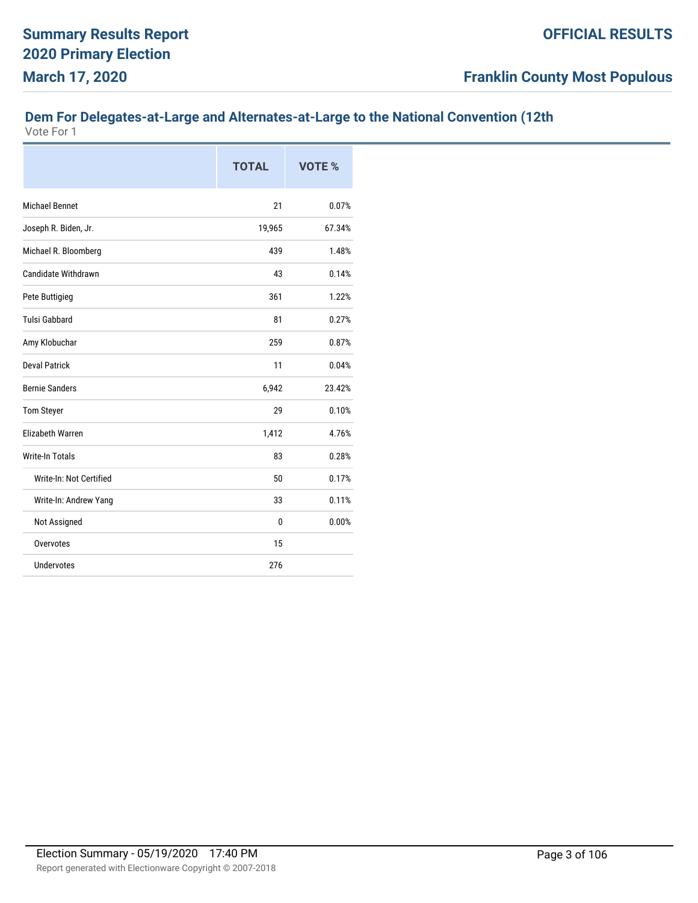## **Dem For Delegates-at-Large and Alternates-at-Large to the National Convention (12th**

|                         | <b>TOTAL</b> | <b>VOTE %</b> |
|-------------------------|--------------|---------------|
| <b>Michael Bennet</b>   | 21           | 0.07%         |
| Joseph R. Biden, Jr.    | 19,965       | 67.34%        |
| Michael R. Bloomberg    | 439          | 1.48%         |
| Candidate Withdrawn     | 43           | 0.14%         |
| Pete Buttigieg          | 361          | 1.22%         |
| <b>Tulsi Gabbard</b>    | 81           | 0.27%         |
| Amy Klobuchar           | 259          | 0.87%         |
| <b>Deval Patrick</b>    | 11           | 0.04%         |
| <b>Bernie Sanders</b>   | 6,942        | 23.42%        |
| <b>Tom Steyer</b>       | 29           | 0.10%         |
| <b>Elizabeth Warren</b> | 1,412        | 4.76%         |
| <b>Write-In Totals</b>  | 83           | 0.28%         |
| Write-In: Not Certified | 50           | 0.17%         |
| Write-In: Andrew Yang   | 33           | 0.11%         |
| Not Assigned            | 0            | 0.00%         |
| Overvotes               | 15           |               |
| <b>Undervotes</b>       | 276          |               |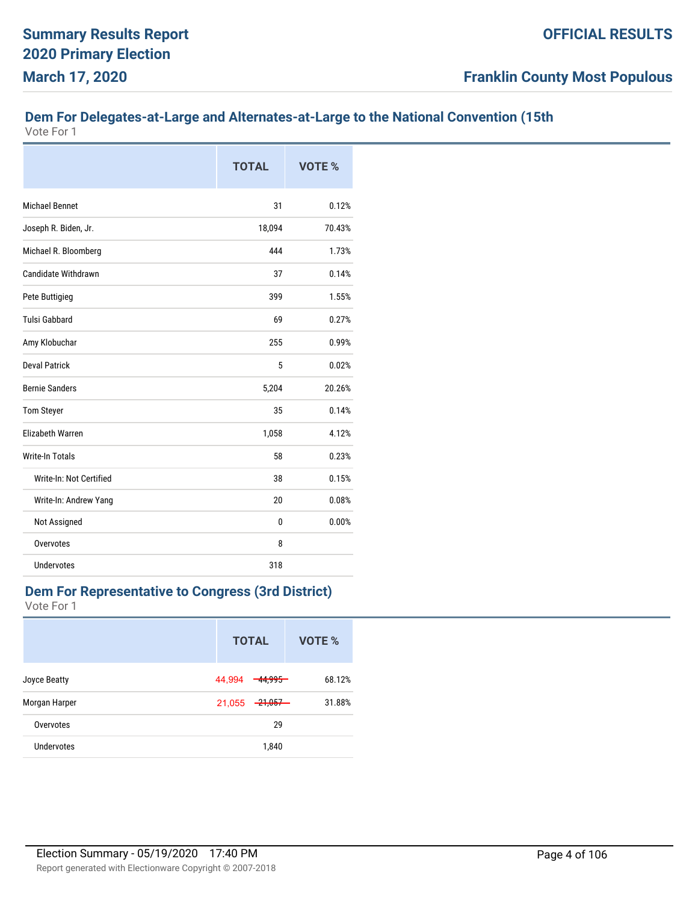## **Dem For Delegates-at-Large and Alternates-at-Large to the National Convention (15th**

Vote For 1

|                            | <b>TOTAL</b> | <b>VOTE %</b> |
|----------------------------|--------------|---------------|
| <b>Michael Bennet</b>      | 31           | 0.12%         |
| Joseph R. Biden, Jr.       | 18,094       | 70.43%        |
| Michael R. Bloomberg       | 444          | 1.73%         |
| <b>Candidate Withdrawn</b> | 37           | 0.14%         |
| Pete Buttigieg             | 399          | 1.55%         |
| <b>Tulsi Gabbard</b>       | 69           | 0.27%         |
| Amy Klobuchar              | 255          | 0.99%         |
| <b>Deval Patrick</b>       | 5            | 0.02%         |
| <b>Bernie Sanders</b>      | 5,204        | 20.26%        |
| <b>Tom Steyer</b>          | 35           | 0.14%         |
| <b>Elizabeth Warren</b>    | 1,058        | 4.12%         |
| <b>Write-In Totals</b>     | 58           | 0.23%         |
| Write-In: Not Certified    | 38           | 0.15%         |
| Write-In: Andrew Yang      | 20           | 0.08%         |
| Not Assigned               | $\bf{0}$     | 0.00%         |
| Overvotes                  | 8            |               |
| <b>Undervotes</b>          | 318          |               |

#### **Dem For Representative to Congress (3rd District)**

|               | <b>TOTAL</b>                   | VOTE % |
|---------------|--------------------------------|--------|
| Joyce Beatty  | 44,994<br>44,995               | 68.12% |
| Morgan Harper | <del>-21,057 -</del><br>21,055 | 31.88% |
| Overvotes     | 29                             |        |
| Undervotes    | 1,840                          |        |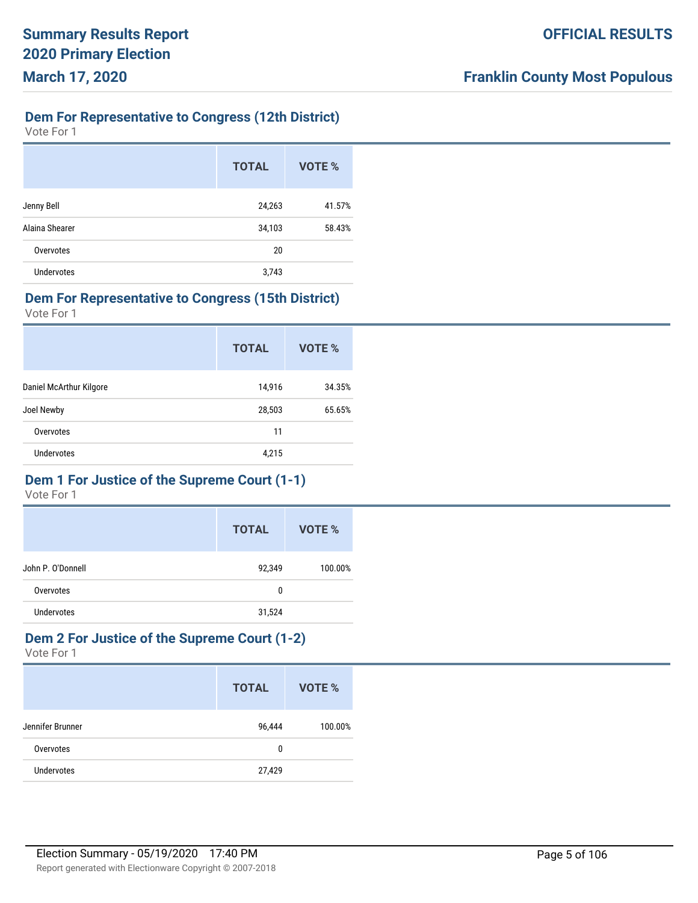## **Dem For Representative to Congress (12th District)**

Vote For 1

|                   | <b>TOTAL</b> | VOTE % |
|-------------------|--------------|--------|
| Jenny Bell        | 24,263       | 41.57% |
| Alaina Shearer    | 34,103       | 58.43% |
| Overvotes         | 20           |        |
| <b>Undervotes</b> | 3,743        |        |

#### **Dem For Representative to Congress (15th District)**

Vote For 1

|                         | <b>TOTAL</b> | VOTE % |
|-------------------------|--------------|--------|
| Daniel McArthur Kilgore | 14,916       | 34.35% |
| Joel Newby              | 28,503       | 65.65% |
| Overvotes               | 11           |        |
| Undervotes              | 4,215        |        |
|                         |              |        |

## **Dem 1 For Justice of the Supreme Court (1-1)**

Vote For 1

|                   | <b>TOTAL</b> | VOTE %  |
|-------------------|--------------|---------|
| John P. O'Donnell | 92,349       | 100.00% |
| Overvotes         | 0            |         |
| <b>Undervotes</b> | 31,524       |         |

#### **Dem 2 For Justice of the Supreme Court (1-2)** Vote For 1

|                   | <b>TOTAL</b> | VOTE %  |
|-------------------|--------------|---------|
| Jennifer Brunner  | 96,444       | 100.00% |
| Overvotes         | 0            |         |
| <b>Undervotes</b> | 27,429       |         |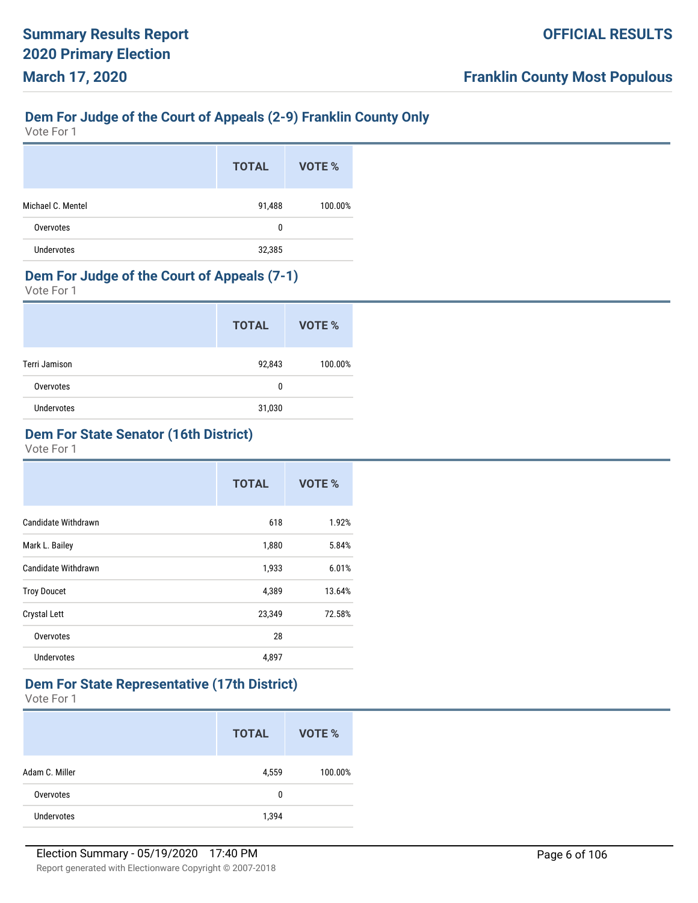## **Dem For Judge of the Court of Appeals (2-9) Franklin County Only**

Vote For 1

|                   | <b>TOTAL</b> | VOTE %  |
|-------------------|--------------|---------|
| Michael C. Mentel | 91,488       | 100.00% |
| Overvotes         | 0            |         |
| <b>Undervotes</b> | 32,385       |         |

## **Dem For Judge of the Court of Appeals (7-1)**

Vote For 1

|                   | <b>TOTAL</b> | VOTE %  |
|-------------------|--------------|---------|
| Terri Jamison     | 92,843       | 100.00% |
| Overvotes         | 0            |         |
| <b>Undervotes</b> | 31,030       |         |

## **Dem For State Senator (16th District)**

Vote For 1

|                            | <b>TOTAL</b> | VOTE % |
|----------------------------|--------------|--------|
| <b>Candidate Withdrawn</b> | 618          | 1.92%  |
| Mark L. Bailey             | 1,880        | 5.84%  |
| Candidate Withdrawn        | 1,933        | 6.01%  |
| <b>Troy Doucet</b>         | 4,389        | 13.64% |
| <b>Crystal Lett</b>        | 23,349       | 72.58% |
| Overvotes                  | 28           |        |
| <b>Undervotes</b>          | 4,897        |        |

#### **Dem For State Representative (17th District)**

|                   | <b>TOTAL</b> | VOTE %  |
|-------------------|--------------|---------|
| Adam C. Miller    | 4,559        | 100.00% |
| Overvotes         | 0            |         |
| <b>Undervotes</b> | 1,394        |         |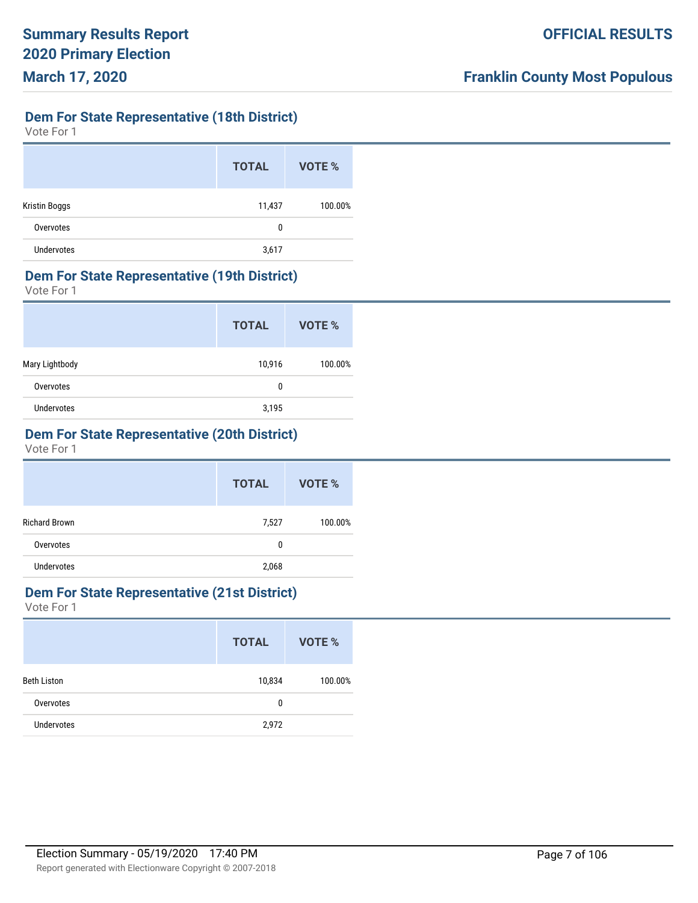## **Dem For State Representative (18th District)**

Vote For 1

|                      | <b>TOTAL</b> | VOTE %  |
|----------------------|--------------|---------|
| <b>Kristin Boggs</b> | 11,437       | 100.00% |
| Overvotes            | 0            |         |
| <b>Undervotes</b>    | 3,617        |         |

#### **Dem For State Representative (19th District)**

Vote For 1

|                | <b>TOTAL</b> | VOTE %  |
|----------------|--------------|---------|
| Mary Lightbody | 10,916       | 100.00% |
| Overvotes      | 0            |         |
| Undervotes     | 3,195        |         |

## **Dem For State Representative (20th District)**

Vote For 1

|                      | <b>TOTAL</b> | VOTE %  |
|----------------------|--------------|---------|
| <b>Richard Brown</b> | 7,527        | 100.00% |
| Overvotes            | 0            |         |
| <b>Undervotes</b>    | 2,068        |         |

## **Dem For State Representative (21st District)**

|                   | <b>TOTAL</b> | VOTE %  |
|-------------------|--------------|---------|
| Beth Liston       | 10,834       | 100.00% |
| Overvotes         | 0            |         |
| <b>Undervotes</b> | 2,972        |         |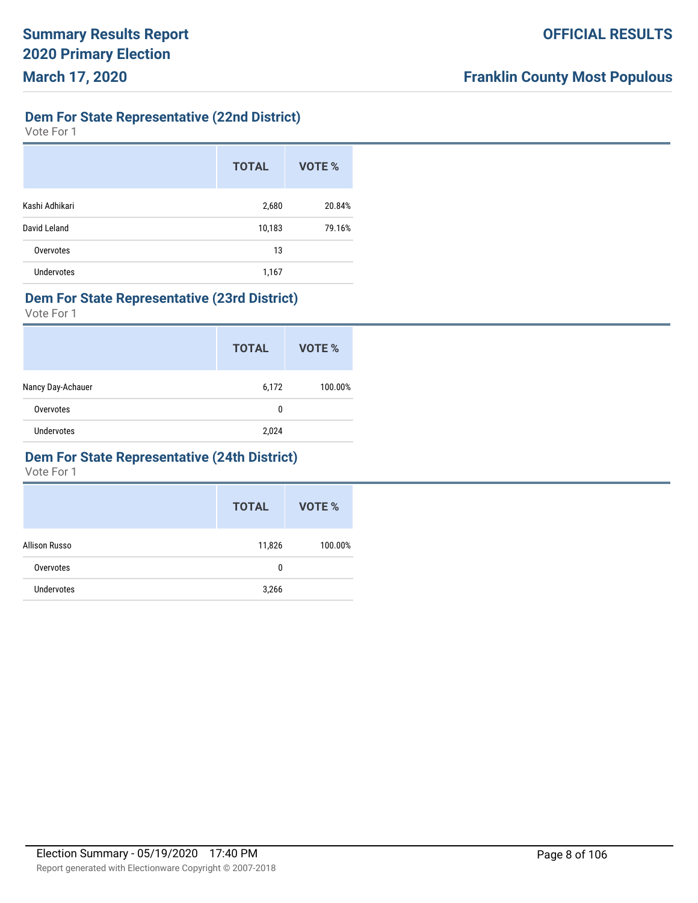## **Dem For State Representative (22nd District)**

Vote For 1

|                   | <b>TOTAL</b> | VOTE % |
|-------------------|--------------|--------|
| Kashi Adhikari    | 2,680        | 20.84% |
| David Leland      | 10,183       | 79.16% |
| Overvotes         | 13           |        |
| <b>Undervotes</b> | 1,167        |        |

#### **Dem For State Representative (23rd District)**

Vote For 1

|                   | <b>TOTAL</b> | VOTE %  |
|-------------------|--------------|---------|
| Nancy Day-Achauer | 6,172        | 100.00% |
| Overvotes         | 0            |         |
| Undervotes        | 2,024        |         |

#### **Dem For State Representative (24th District)**

|                   | <b>TOTAL</b> | VOTE %  |
|-------------------|--------------|---------|
| Allison Russo     | 11,826       | 100.00% |
| Overvotes         | 0            |         |
| <b>Undervotes</b> | 3,266        |         |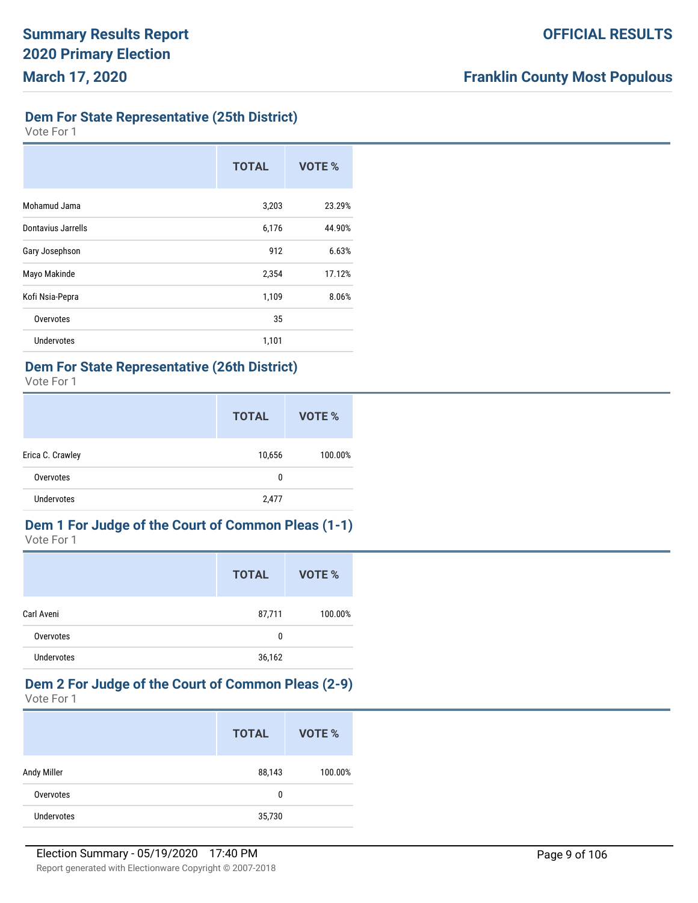## **Dem For State Representative (25th District)**

Vote For 1

|                    | <b>TOTAL</b> | <b>VOTE %</b> |
|--------------------|--------------|---------------|
| Mohamud Jama       | 3,203        | 23.29%        |
| Dontavius Jarrells | 6,176        | 44.90%        |
| Gary Josephson     | 912          | 6.63%         |
| Mayo Makinde       | 2,354        | 17.12%        |
| Kofi Nsia-Pepra    | 1,109        | 8.06%         |
| Overvotes          | 35           |               |
| <b>Undervotes</b>  | 1,101        |               |

## **Dem For State Representative (26th District)**

Vote For 1

|                   | <b>TOTAL</b> | VOTE %  |
|-------------------|--------------|---------|
| Erica C. Crawley  | 10,656       | 100.00% |
| Overvotes         | 0            |         |
| <b>Undervotes</b> | 2,477        |         |

#### **Dem 1 For Judge of the Court of Common Pleas (1-1)** Vote For 1

|                   | <b>TOTAL</b> | VOTE %  |
|-------------------|--------------|---------|
| Carl Aveni        | 87,711       | 100.00% |
| Overvotes         | 0            |         |
| <b>Undervotes</b> | 36,162       |         |

#### **Dem 2 For Judge of the Court of Common Pleas (2-9)** Vote For 1

|                   | <b>TOTAL</b> | VOTE %  |
|-------------------|--------------|---------|
| Andy Miller       | 88,143       | 100.00% |
| Overvotes         | 0            |         |
| <b>Undervotes</b> | 35,730       |         |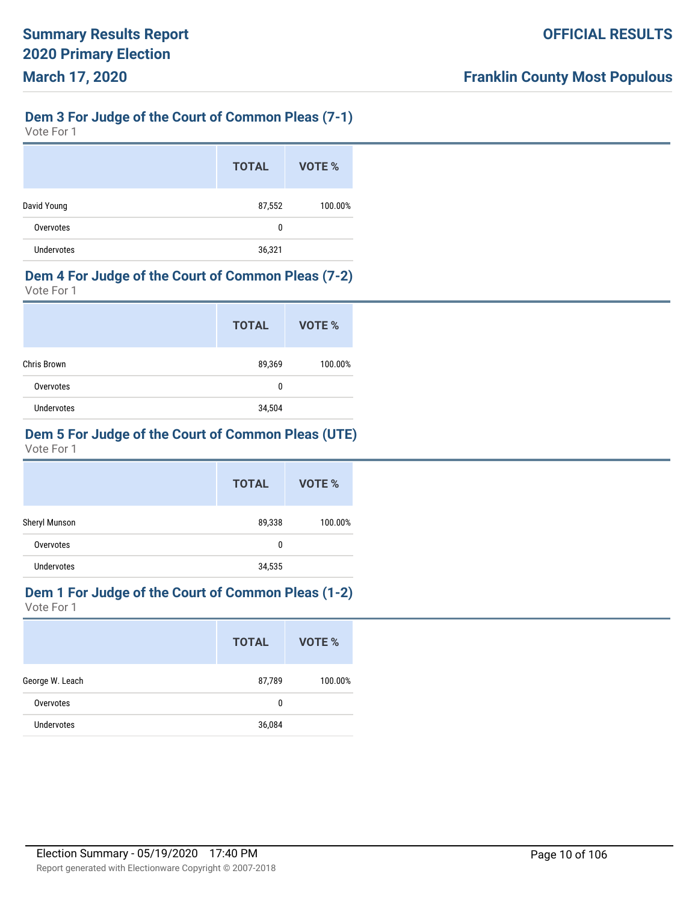## **Dem 3 For Judge of the Court of Common Pleas (7-1)**

Vote For 1

|                   | <b>TOTAL</b> | VOTE %  |
|-------------------|--------------|---------|
| David Young       | 87,552       | 100.00% |
| Overvotes         | 0            |         |
| <b>Undervotes</b> | 36,321       |         |

#### **Dem 4 For Judge of the Court of Common Pleas (7-2)**

Vote For 1

|                   | <b>TOTAL</b> | VOTE %  |
|-------------------|--------------|---------|
| Chris Brown       | 89,369       | 100.00% |
| Overvotes         | 0            |         |
| <b>Undervotes</b> | 34,504       |         |

## **Dem 5 For Judge of the Court of Common Pleas (UTE)**

Vote For 1

|               | <b>TOTAL</b> | <b>VOTE %</b> |
|---------------|--------------|---------------|
| Sheryl Munson | 89,338       | 100.00%       |
| Overvotes     | 0            |               |
| Undervotes    | 34,535       |               |

# **Dem 1 For Judge of the Court of Common Pleas (1-2)**

|                   | <b>TOTAL</b> | VOTE %  |
|-------------------|--------------|---------|
| George W. Leach   | 87,789       | 100.00% |
| Overvotes         | 0            |         |
| <b>Undervotes</b> | 36,084       |         |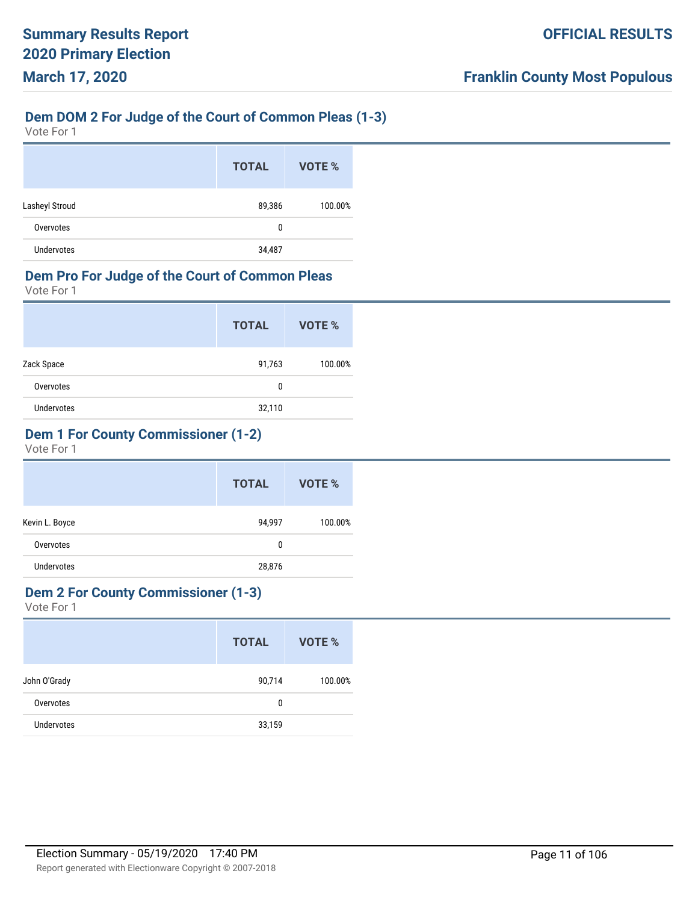## **Dem DOM 2 For Judge of the Court of Common Pleas (1-3)**

Vote For 1

|                   | <b>TOTAL</b> | VOTE %  |
|-------------------|--------------|---------|
| Lasheyl Stroud    | 89,386       | 100.00% |
| Overvotes         | 0            |         |
| <b>Undervotes</b> | 34,487       |         |

### **Dem Pro For Judge of the Court of Common Pleas**

Vote For 1

|                   | <b>TOTAL</b> | VOTE %  |
|-------------------|--------------|---------|
| Zack Space        | 91,763       | 100.00% |
| Overvotes         | 0            |         |
| <b>Undervotes</b> | 32,110       |         |

## **Dem 1 For County Commissioner (1-2)**

Vote For 1

|                   | <b>TOTAL</b> | VOTE %  |
|-------------------|--------------|---------|
| Kevin L. Boyce    | 94,997       | 100.00% |
| Overvotes         | 0            |         |
| <b>Undervotes</b> | 28,876       |         |

#### **Dem 2 For County Commissioner (1-3)**

|                   | <b>TOTAL</b> | VOTE %  |
|-------------------|--------------|---------|
| John O'Grady      | 90,714       | 100.00% |
| Overvotes         | 0            |         |
| <b>Undervotes</b> | 33,159       |         |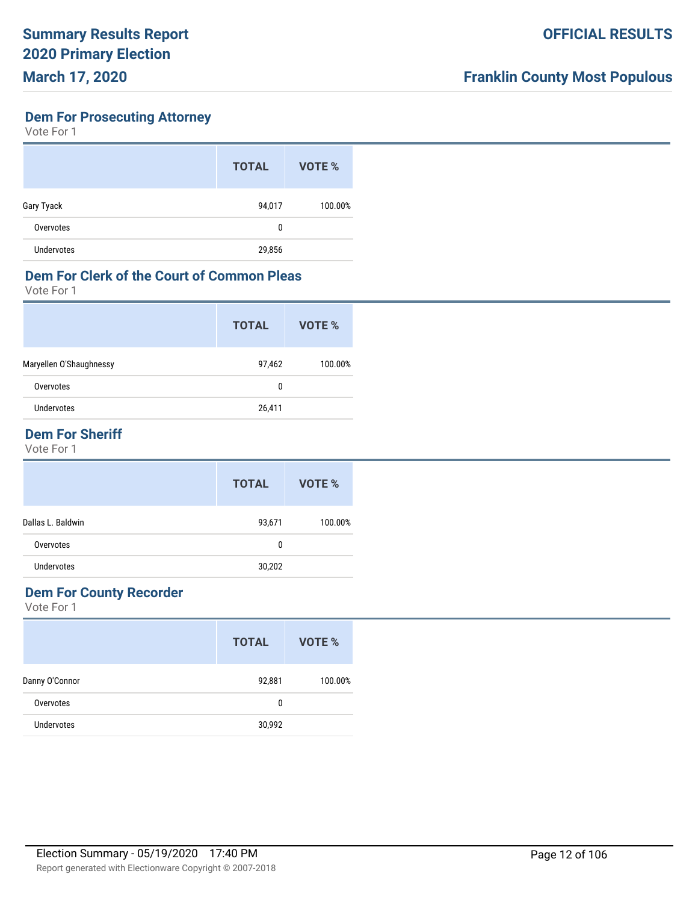## **Dem For Prosecuting Attorney**

Vote For 1

|                   | <b>TOTAL</b> | VOTE %  |
|-------------------|--------------|---------|
| Gary Tyack        | 94,017       | 100.00% |
| Overvotes         | 0            |         |
| <b>Undervotes</b> | 29,856       |         |

### **Dem For Clerk of the Court of Common Pleas**

Vote For 1

|                         | <b>TOTAL</b> | VOTE %  |
|-------------------------|--------------|---------|
| Maryellen O'Shaughnessy | 97,462       | 100.00% |
| Overvotes               | 0            |         |
| Undervotes              | 26,411       |         |
|                         |              |         |

## **Dem For Sheriff**

Vote For 1

|                   | <b>TOTAL</b> | VOTE %  |
|-------------------|--------------|---------|
| Dallas L. Baldwin | 93,671       | 100.00% |
| Overvotes         | 0            |         |
| <b>Undervotes</b> | 30,202       |         |

### **Dem For County Recorder**

|                   | <b>TOTAL</b> | VOTE %  |
|-------------------|--------------|---------|
| Danny O'Connor    | 92,881       | 100.00% |
| Overvotes         | 0            |         |
| <b>Undervotes</b> | 30,992       |         |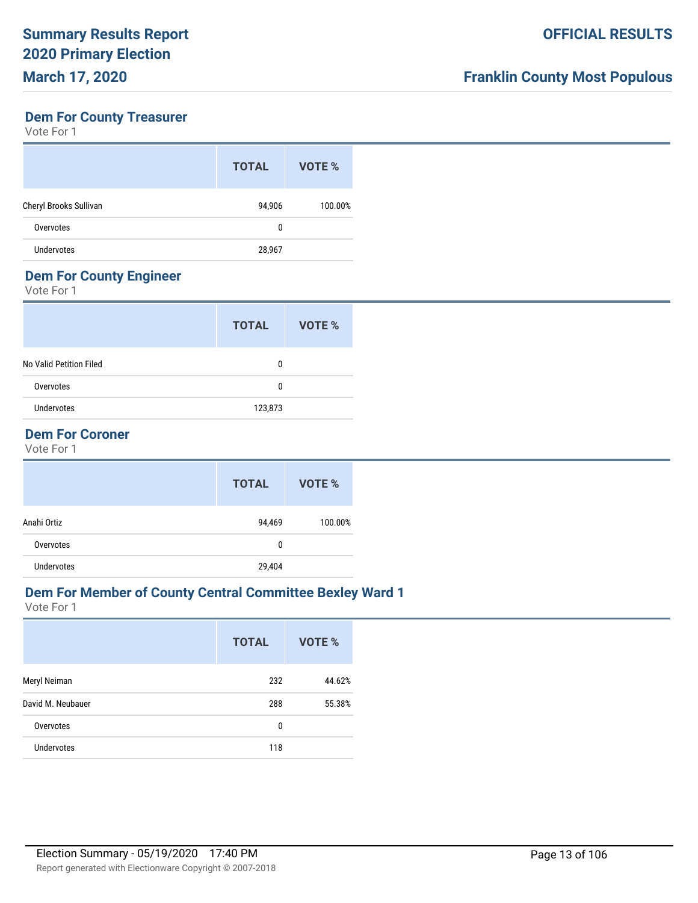#### **Dem For County Treasurer**

Vote For 1

|                        | <b>TOTAL</b> | VOTE %  |
|------------------------|--------------|---------|
| Cheryl Brooks Sullivan | 94,906       | 100.00% |
| Overvotes              | 0            |         |
| <b>Undervotes</b>      | 28,967       |         |

#### **Dem For County Engineer**

Vote For 1

| <b>TOTAL</b> | VOTE % |
|--------------|--------|
| 0            |        |
| 0            |        |
| 123,873      |        |
|              |        |

## **Dem For Coroner**

Vote For 1

|                   | <b>TOTAL</b> | VOTE %  |
|-------------------|--------------|---------|
| Anahi Ortiz       | 94,469       | 100.00% |
| Overvotes         | 0            |         |
| <b>Undervotes</b> | 29,404       |         |

## **Dem For Member of County Central Committee Bexley Ward 1**

|                   | <b>TOTAL</b> | <b>VOTE %</b> |
|-------------------|--------------|---------------|
| Meryl Neiman      | 232          | 44.62%        |
| David M. Neubauer | 288          | 55.38%        |
| Overvotes         | 0            |               |
| <b>Undervotes</b> | 118          |               |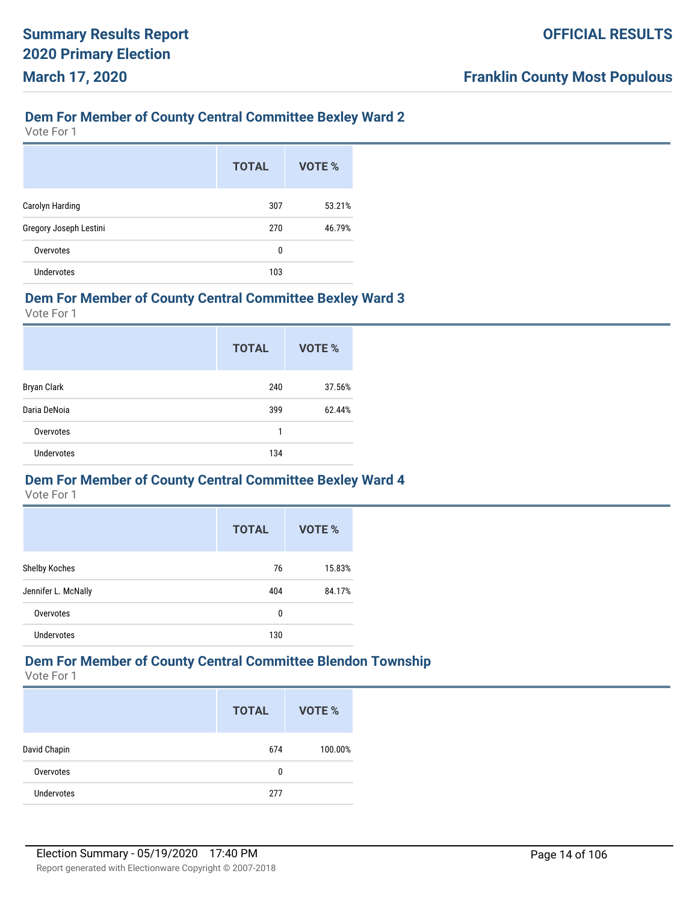#### **Dem For Member of County Central Committee Bexley Ward 2**

Vote For 1

|                        | <b>TOTAL</b> | VOTE % |
|------------------------|--------------|--------|
| Carolyn Harding        | 307          | 53.21% |
| Gregory Joseph Lestini | 270          | 46.79% |
| Overvotes              | 0            |        |
| Undervotes             | 103          |        |

#### **Dem For Member of County Central Committee Bexley Ward 3**

Vote For 1

|                   | <b>TOTAL</b> | <b>VOTE %</b> |
|-------------------|--------------|---------------|
| Bryan Clark       | 240          | 37.56%        |
| Daria DeNoia      | 399          | 62.44%        |
| Overvotes         | 1            |               |
| <b>Undervotes</b> | 134          |               |

#### **Dem For Member of County Central Committee Bexley Ward 4**

Vote For 1

|                     | <b>TOTAL</b> | VOTE % |
|---------------------|--------------|--------|
| Shelby Koches       | 76           | 15.83% |
| Jennifer L. McNally | 404          | 84.17% |
| Overvotes           | 0            |        |
| <b>Undervotes</b>   | 130          |        |

# **Dem For Member of County Central Committee Blendon Township**

|                   | <b>TOTAL</b> | <b>VOTE %</b> |
|-------------------|--------------|---------------|
| David Chapin      | 674          | 100.00%       |
| Overvotes         | 0            |               |
| <b>Undervotes</b> | 277          |               |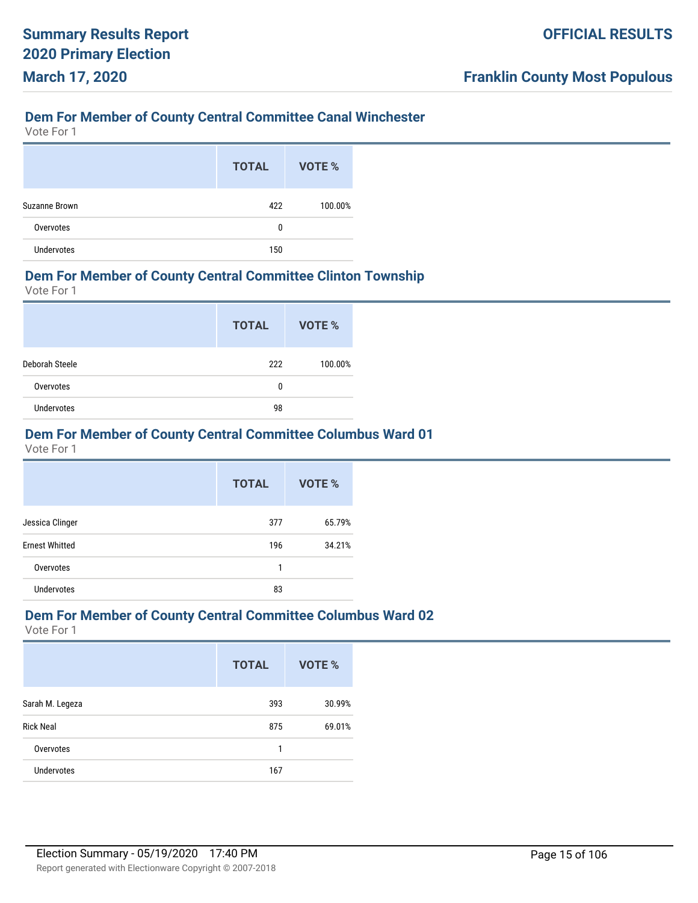## **Dem For Member of County Central Committee Canal Winchester**

Vote For 1

|                   | <b>TOTAL</b> | VOTE %  |
|-------------------|--------------|---------|
| Suzanne Brown     | 422          | 100.00% |
| Overvotes         | 0            |         |
| <b>Undervotes</b> | 150          |         |

#### **Dem For Member of County Central Committee Clinton Township**

Vote For 1

|                   | <b>TOTAL</b> | <b>VOTE %</b> |
|-------------------|--------------|---------------|
| Deborah Steele    | 222          | 100.00%       |
| Overvotes         | 0            |               |
| <b>Undervotes</b> | 98           |               |

### **Dem For Member of County Central Committee Columbus Ward 01**

Vote For 1

|                       | <b>TOTAL</b> | VOTE % |
|-----------------------|--------------|--------|
| Jessica Clinger       | 377          | 65.79% |
| <b>Ernest Whitted</b> | 196          | 34.21% |
| Overvotes             | 1            |        |
| <b>Undervotes</b>     | 83           |        |

#### **Dem For Member of County Central Committee Columbus Ward 02**

|                   | <b>TOTAL</b> | VOTE % |
|-------------------|--------------|--------|
| Sarah M. Legeza   | 393          | 30.99% |
| <b>Rick Neal</b>  | 875          | 69.01% |
| Overvotes         | 1            |        |
| <b>Undervotes</b> | 167          |        |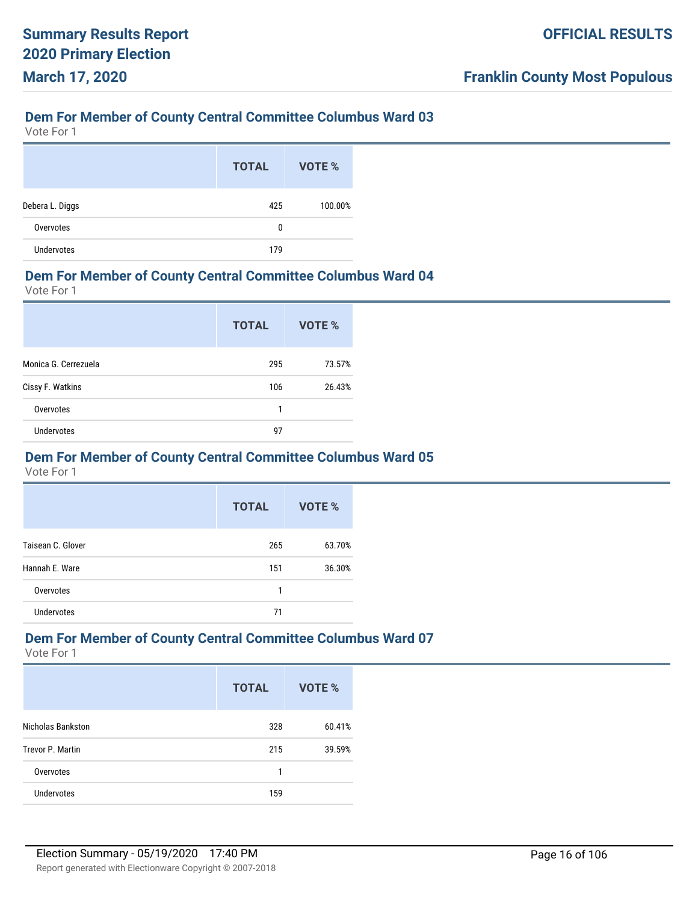Vote For 1

|                   | <b>TOTAL</b> | VOTE %  |
|-------------------|--------------|---------|
| Debera L. Diggs   | 425          | 100.00% |
| Overvotes         | 0            |         |
| <b>Undervotes</b> | 179          |         |

#### **Dem For Member of County Central Committee Columbus Ward 04**

Vote For 1

|                      | <b>TOTAL</b> | VOTE % |
|----------------------|--------------|--------|
| Monica G. Cerrezuela | 295          | 73.57% |
| Cissy F. Watkins     | 106          | 26.43% |
| Overvotes            | 1            |        |
| <b>Undervotes</b>    | 97           |        |

#### **Dem For Member of County Central Committee Columbus Ward 05**

Vote For 1

|                   | <b>TOTAL</b> | VOTE % |
|-------------------|--------------|--------|
| Taisean C. Glover | 265          | 63.70% |
| Hannah E. Ware    | 151          | 36.30% |
| Overvotes         | 1            |        |
| <b>Undervotes</b> | 71           |        |

### **Dem For Member of County Central Committee Columbus Ward 07**

|                          | <b>TOTAL</b> | VOTE % |
|--------------------------|--------------|--------|
| <b>Nicholas Bankston</b> | 328          | 60.41% |
| Trevor P. Martin         | 215          | 39.59% |
| Overvotes                | 1            |        |
| <b>Undervotes</b>        | 159          |        |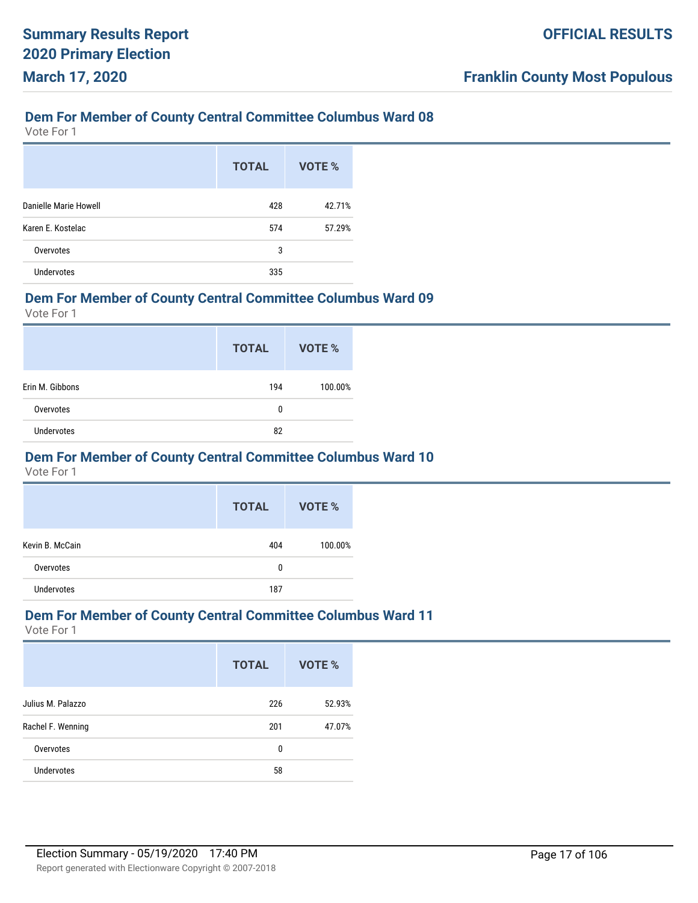Vote For 1

|                       | <b>TOTAL</b> | VOTE % |
|-----------------------|--------------|--------|
| Danielle Marie Howell | 428          | 42.71% |
| Karen E. Kostelac     | 574          | 57.29% |
| Overvotes             | 3            |        |
| <b>Undervotes</b>     | 335          |        |

#### **Dem For Member of County Central Committee Columbus Ward 09**

Vote For 1

|                   | <b>TOTAL</b> | VOTE %  |
|-------------------|--------------|---------|
| Erin M. Gibbons   | 194          | 100.00% |
| Overvotes         | 0            |         |
| <b>Undervotes</b> | 82           |         |

#### **Dem For Member of County Central Committee Columbus Ward 10**

Vote For 1

|                 | <b>TOTAL</b> | VOTE %  |
|-----------------|--------------|---------|
| Kevin B. McCain | 404          | 100.00% |
| Overvotes       | 0            |         |
| Undervotes      | 187          |         |

#### **Dem For Member of County Central Committee Columbus Ward 11**

|                   | <b>TOTAL</b> | VOTE % |
|-------------------|--------------|--------|
| Julius M. Palazzo | 226          | 52.93% |
| Rachel F. Wenning | 201          | 47.07% |
| Overvotes         | 0            |        |
| <b>Undervotes</b> | 58           |        |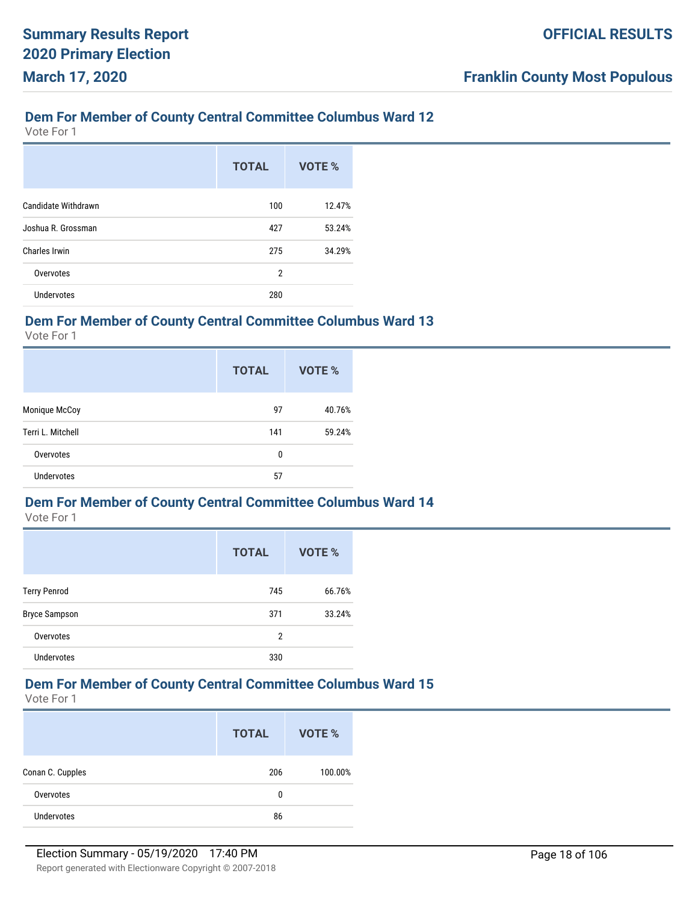Vote For 1

|                     | <b>TOTAL</b>   | VOTE % |
|---------------------|----------------|--------|
| Candidate Withdrawn | 100            | 12.47% |
| Joshua R. Grossman  | 427            | 53.24% |
| Charles Irwin       | 275            | 34.29% |
| Overvotes           | $\overline{2}$ |        |
| <b>Undervotes</b>   | 280            |        |

#### **Dem For Member of County Central Committee Columbus Ward 13**

Vote For 1

|                   | <b>TOTAL</b> | VOTE % |
|-------------------|--------------|--------|
| Monique McCoy     | 97           | 40.76% |
| Terri L. Mitchell | 141          | 59.24% |
| Overvotes         | 0            |        |
| <b>Undervotes</b> | 57           |        |

#### **Dem For Member of County Central Committee Columbus Ward 14**

Vote For 1

|                      | <b>TOTAL</b> | <b>VOTE %</b> |
|----------------------|--------------|---------------|
| <b>Terry Penrod</b>  | 745          | 66.76%        |
| <b>Bryce Sampson</b> | 371          | 33.24%        |
| Overvotes            | 2            |               |
| <b>Undervotes</b>    | 330          |               |

#### **Dem For Member of County Central Committee Columbus Ward 15**

|                   | <b>TOTAL</b> | VOTE %  |
|-------------------|--------------|---------|
| Conan C. Cupples  | 206          | 100.00% |
| Overvotes         | 0            |         |
| <b>Undervotes</b> | 86           |         |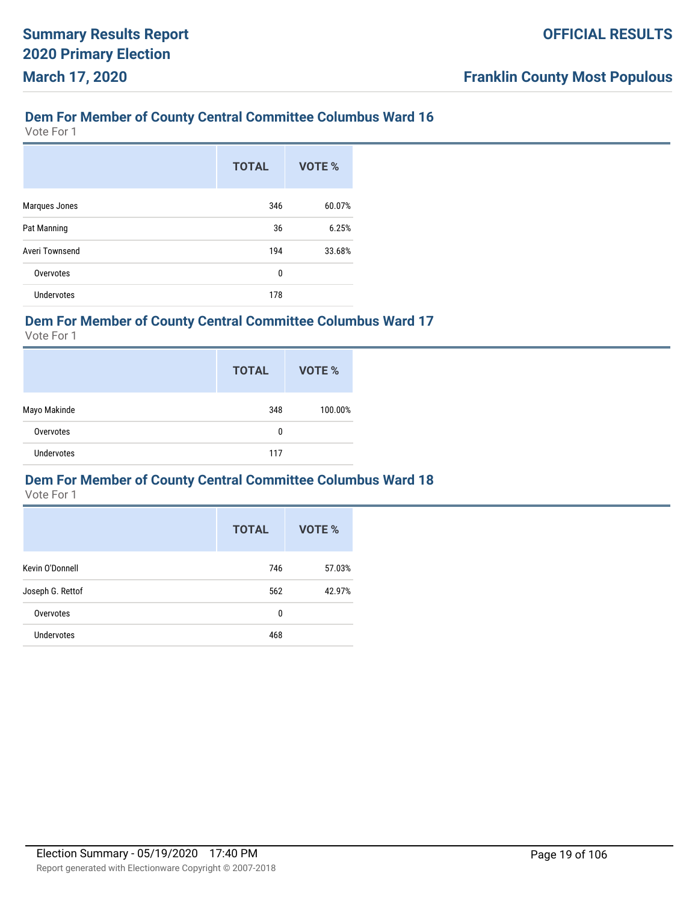Vote For 1

|                   | <b>TOTAL</b> | <b>VOTE %</b> |
|-------------------|--------------|---------------|
| Marques Jones     | 346          | 60.07%        |
| Pat Manning       | 36           | 6.25%         |
| Averi Townsend    | 194          | 33.68%        |
| Overvotes         | 0            |               |
| <b>Undervotes</b> | 178          |               |

#### **Dem For Member of County Central Committee Columbus Ward 17**

Vote For 1

|                   | <b>TOTAL</b> | VOTE %  |
|-------------------|--------------|---------|
| Mayo Makinde      | 348          | 100.00% |
| Overvotes         | 0            |         |
| <b>Undervotes</b> | 117          |         |

#### **Dem For Member of County Central Committee Columbus Ward 18**

|                  | <b>TOTAL</b> | VOTE % |
|------------------|--------------|--------|
| Kevin O'Donnell  | 746          | 57.03% |
| Joseph G. Rettof | 562          | 42.97% |
| Overvotes        | 0            |        |
| Undervotes       | 468          |        |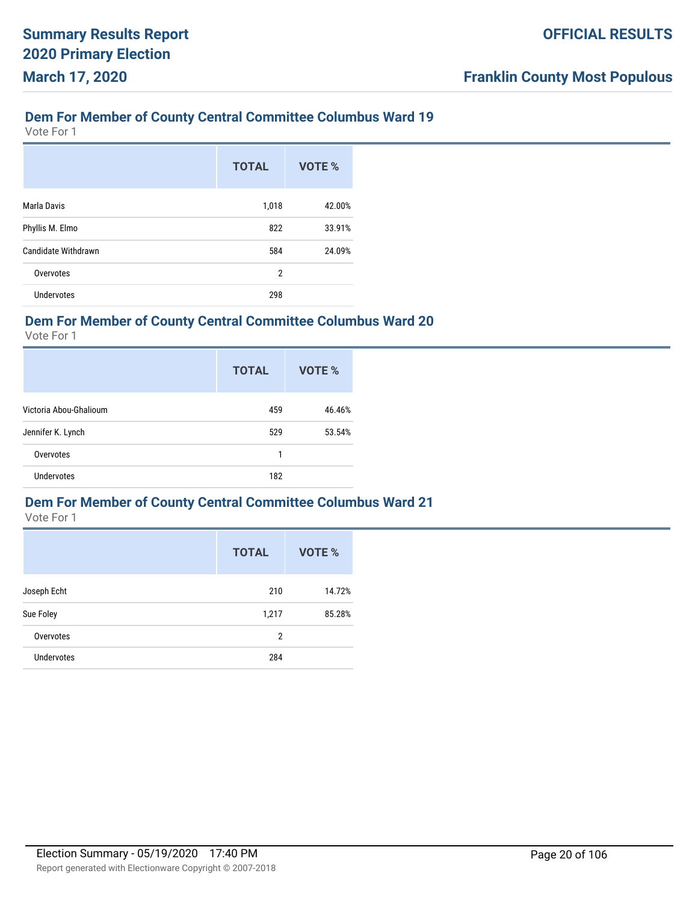Vote For 1

|                     | <b>TOTAL</b>   | VOTE % |
|---------------------|----------------|--------|
| Marla Davis         | 1,018          | 42.00% |
| Phyllis M. Elmo     | 822            | 33.91% |
| Candidate Withdrawn | 584            | 24.09% |
| Overvotes           | $\overline{2}$ |        |
| <b>Undervotes</b>   | 298            |        |

#### **Dem For Member of County Central Committee Columbus Ward 20**

Vote For 1

|                        | <b>TOTAL</b> | VOTE % |
|------------------------|--------------|--------|
| Victoria Abou-Ghalioum | 459          | 46.46% |
| Jennifer K. Lynch      | 529          | 53.54% |
| Overvotes              | 1            |        |
| <b>Undervotes</b>      | 182          |        |

#### **Dem For Member of County Central Committee Columbus Ward 21**

|                   | <b>TOTAL</b> | <b>VOTE %</b> |
|-------------------|--------------|---------------|
| Joseph Echt       | 210          | 14.72%        |
| Sue Foley         | 1,217        | 85.28%        |
| Overvotes         | 2            |               |
| <b>Undervotes</b> | 284          |               |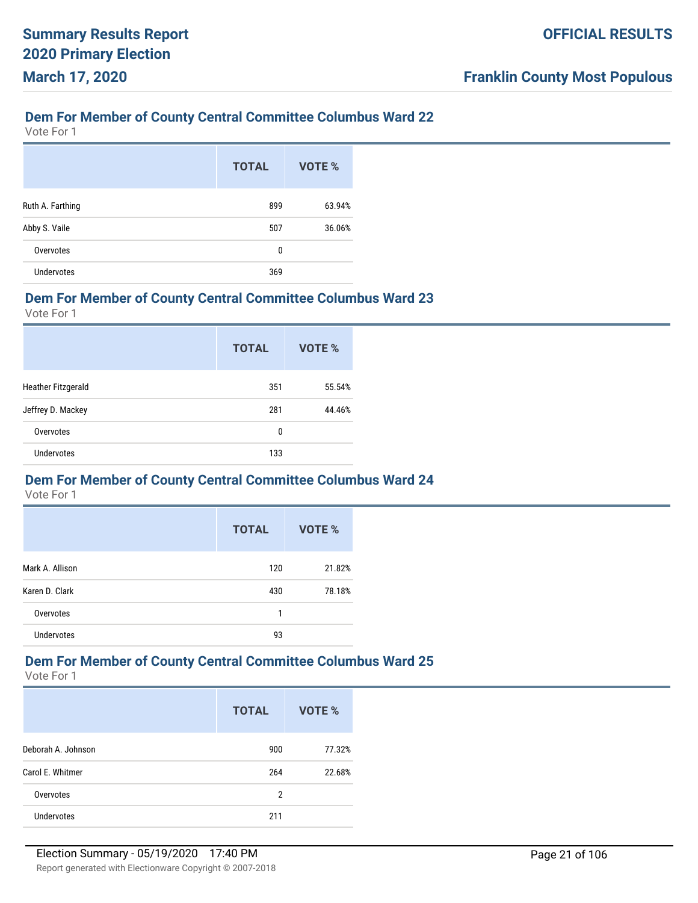Vote For 1

|                   | <b>TOTAL</b> | VOTE % |
|-------------------|--------------|--------|
| Ruth A. Farthing  | 899          | 63.94% |
| Abby S. Vaile     | 507          | 36.06% |
| Overvotes         | 0            |        |
| <b>Undervotes</b> | 369          |        |

#### **Dem For Member of County Central Committee Columbus Ward 23**

Vote For 1

|                           | <b>TOTAL</b> | VOTE % |
|---------------------------|--------------|--------|
| <b>Heather Fitzgerald</b> | 351          | 55.54% |
| Jeffrey D. Mackey         | 281          | 44.46% |
| Overvotes                 | 0            |        |
| <b>Undervotes</b>         | 133          |        |

#### **Dem For Member of County Central Committee Columbus Ward 24**

Vote For 1

|                   | <b>TOTAL</b> | <b>VOTE %</b> |
|-------------------|--------------|---------------|
| Mark A. Allison   | 120          | 21.82%        |
| Karen D. Clark    | 430          | 78.18%        |
| Overvotes         | 1            |               |
| <b>Undervotes</b> | 93           |               |

## **Dem For Member of County Central Committee Columbus Ward 25**

|                    | <b>TOTAL</b> | VOTE % |
|--------------------|--------------|--------|
| Deborah A. Johnson | 900          | 77.32% |
| Carol E. Whitmer   | 264          | 22.68% |
| Overvotes          | 2            |        |
| <b>Undervotes</b>  | 211          |        |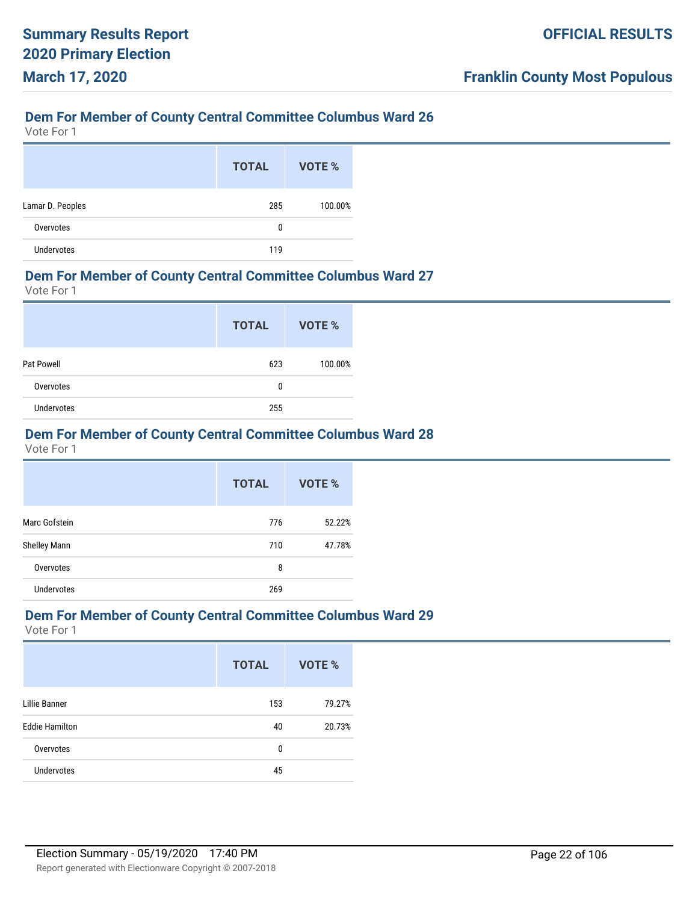Vote For 1

|                  | <b>TOTAL</b> | VOTE %  |
|------------------|--------------|---------|
| Lamar D. Peoples | 285          | 100.00% |
| Overvotes        | 0            |         |
| Undervotes       | 119          |         |

#### **Dem For Member of County Central Committee Columbus Ward 27**

Vote For 1

|            | <b>TOTAL</b> | <b>VOTE %</b> |
|------------|--------------|---------------|
| Pat Powell | 623          | 100.00%       |
| Overvotes  | 0            |               |
| Undervotes | 255          |               |

### **Dem For Member of County Central Committee Columbus Ward 28**

Vote For 1

|                     | <b>TOTAL</b> | VOTE % |
|---------------------|--------------|--------|
| Marc Gofstein       | 776          | 52.22% |
| <b>Shelley Mann</b> | 710          | 47.78% |
| Overvotes           | 8            |        |
| <b>Undervotes</b>   | 269          |        |

#### **Dem For Member of County Central Committee Columbus Ward 29**

|                       | <b>TOTAL</b> | <b>VOTE %</b> |
|-----------------------|--------------|---------------|
| Lillie Banner         | 153          | 79.27%        |
| <b>Eddie Hamilton</b> | 40           | 20.73%        |
| Overvotes             | 0            |               |
| <b>Undervotes</b>     | 45           |               |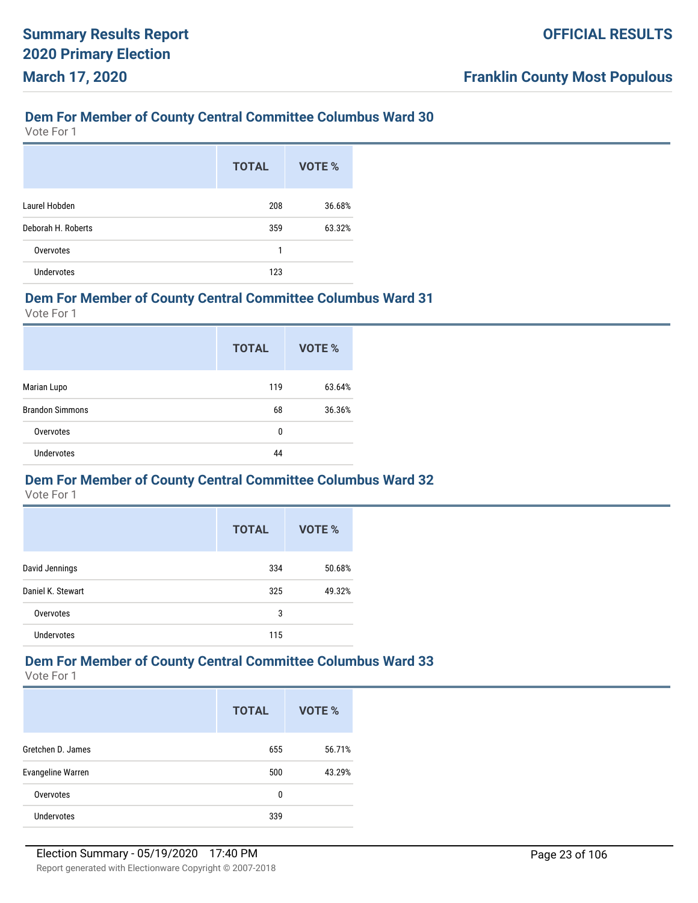Vote For 1

|                    | <b>TOTAL</b> | VOTE % |
|--------------------|--------------|--------|
| Laurel Hobden      | 208          | 36.68% |
| Deborah H. Roberts | 359          | 63.32% |
| Overvotes          | 1            |        |
| <b>Undervotes</b>  | 123          |        |

#### **Dem For Member of County Central Committee Columbus Ward 31**

Vote For 1

|                        | <b>TOTAL</b> | VOTE % |
|------------------------|--------------|--------|
| Marian Lupo            | 119          | 63.64% |
| <b>Brandon Simmons</b> | 68           | 36.36% |
| Overvotes              | 0            |        |
| <b>Undervotes</b>      | 44           |        |

#### **Dem For Member of County Central Committee Columbus Ward 32**

Vote For 1

|                   | <b>TOTAL</b> | <b>VOTE %</b> |
|-------------------|--------------|---------------|
| David Jennings    | 334          | 50.68%        |
| Daniel K. Stewart | 325          | 49.32%        |
| Overvotes         | 3            |               |
| <b>Undervotes</b> | 115          |               |

## **Dem For Member of County Central Committee Columbus Ward 33**

|                          | <b>TOTAL</b> | VOTE % |
|--------------------------|--------------|--------|
| Gretchen D. James        | 655          | 56.71% |
| <b>Evangeline Warren</b> | 500          | 43.29% |
| Overvotes                | 0            |        |
| <b>Undervotes</b>        | 339          |        |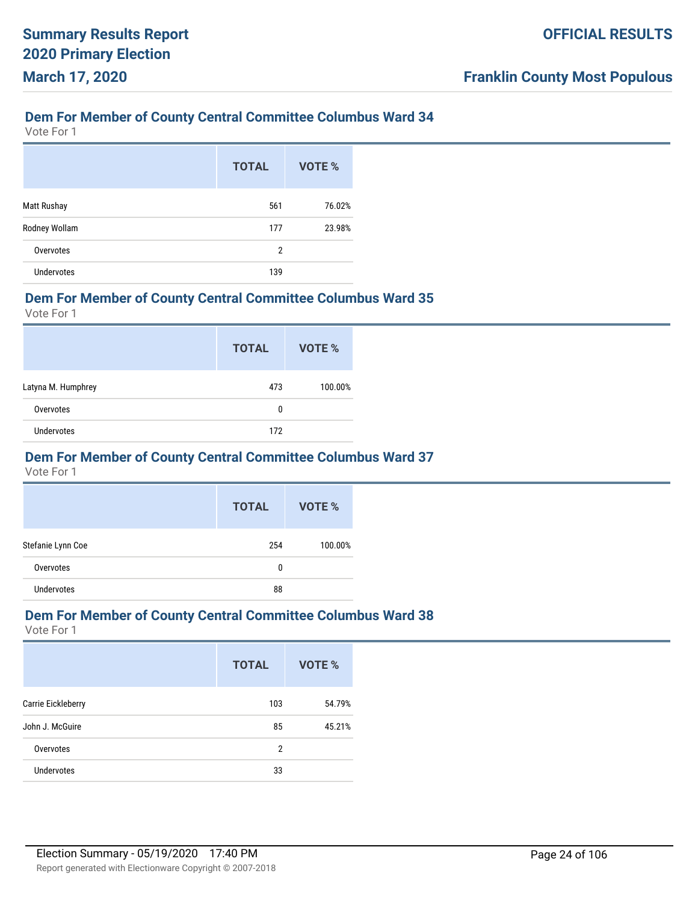Vote For 1

|                    | <b>TOTAL</b> | VOTE % |
|--------------------|--------------|--------|
| <b>Matt Rushay</b> | 561          | 76.02% |
| Rodney Wollam      | 177          | 23.98% |
| Overvotes          | 2            |        |
| <b>Undervotes</b>  | 139          |        |

#### **Dem For Member of County Central Committee Columbus Ward 35**

Vote For 1

|                    | <b>TOTAL</b> | VOTE %  |
|--------------------|--------------|---------|
| Latyna M. Humphrey | 473          | 100.00% |
| Overvotes          | 0            |         |
| <b>Undervotes</b>  | 172          |         |

#### **Dem For Member of County Central Committee Columbus Ward 37**

Vote For 1

|                   | <b>TOTAL</b> | VOTE %  |
|-------------------|--------------|---------|
| Stefanie Lynn Coe | 254          | 100.00% |
| Overvotes         | 0            |         |
| <b>Undervotes</b> | 88           |         |

#### **Dem For Member of County Central Committee Columbus Ward 38**

|                    | <b>TOTAL</b> | VOTE % |
|--------------------|--------------|--------|
| Carrie Eickleberry | 103          | 54.79% |
| John J. McGuire    | 85           | 45.21% |
| Overvotes          | 2            |        |
| <b>Undervotes</b>  | 33           |        |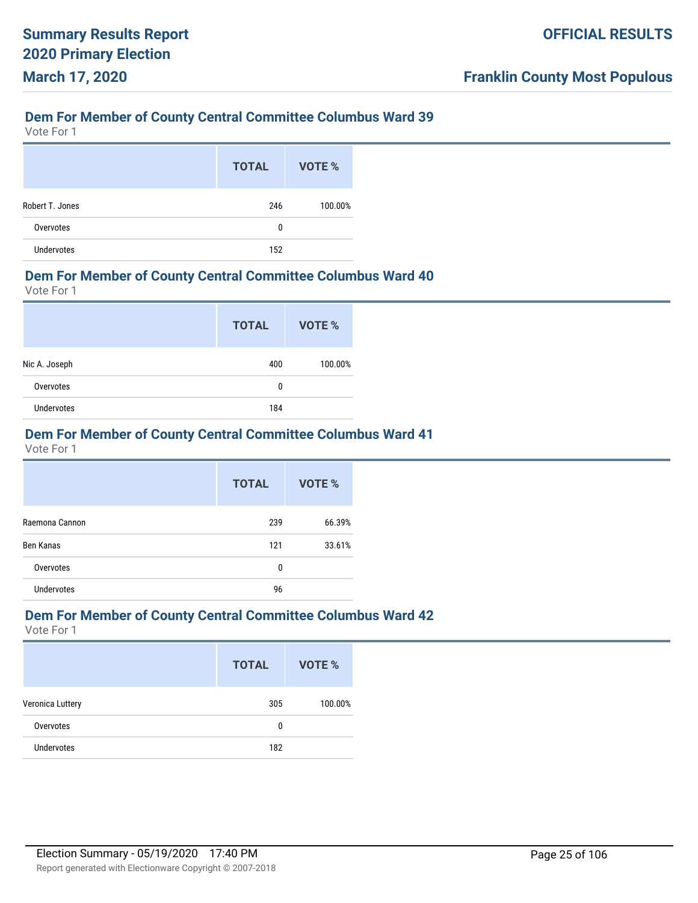Vote For 1

|                 | <b>TOTAL</b> | VOTE %  |
|-----------------|--------------|---------|
| Robert T. Jones | 246          | 100.00% |
| Overvotes       | 0            |         |
| Undervotes      | 152          |         |

#### **Dem For Member of County Central Committee Columbus Ward 40**

Vote For 1

|               | <b>TOTAL</b> | VOTE %  |
|---------------|--------------|---------|
| Nic A. Joseph | 400          | 100.00% |
| Overvotes     | 0            |         |
| Undervotes    | 184          |         |

#### **Dem For Member of County Central Committee Columbus Ward 41**

Vote For 1

|                   | <b>TOTAL</b> | VOTE % |
|-------------------|--------------|--------|
| Raemona Cannon    | 239          | 66.39% |
| Ben Kanas         | 121          | 33.61% |
| Overvotes         | 0            |        |
| <b>Undervotes</b> | 96           |        |

#### **Dem For Member of County Central Committee Columbus Ward 42**

|                   | <b>TOTAL</b> | VOTE %  |
|-------------------|--------------|---------|
| Veronica Luttery  | 305          | 100.00% |
| Overvotes         | 0            |         |
| <b>Undervotes</b> | 182          |         |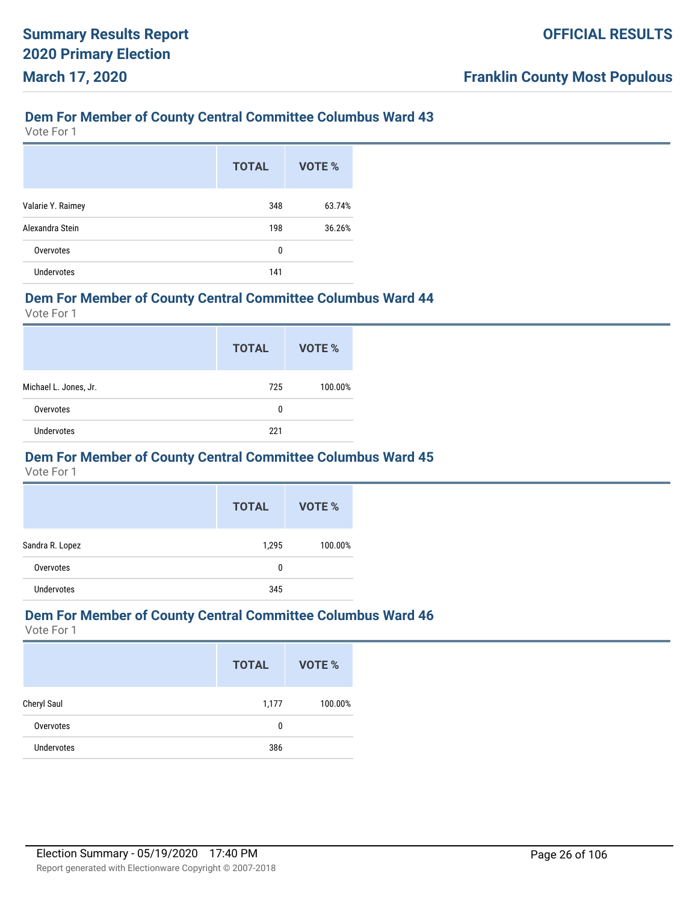Vote For 1

|                   | <b>TOTAL</b> | VOTE % |
|-------------------|--------------|--------|
| Valarie Y. Raimey | 348          | 63.74% |
| Alexandra Stein   | 198          | 36.26% |
| Overvotes         | 0            |        |
| <b>Undervotes</b> | 141          |        |

#### **Dem For Member of County Central Committee Columbus Ward 44**

Vote For 1

|                       | <b>TOTAL</b> | VOTE %  |
|-----------------------|--------------|---------|
| Michael L. Jones, Jr. | 725          | 100.00% |
| Overvotes             | 0            |         |
| <b>Undervotes</b>     | 221          |         |

#### **Dem For Member of County Central Committee Columbus Ward 45**

Vote For 1

|                   | <b>TOTAL</b> | VOTE %  |
|-------------------|--------------|---------|
| Sandra R. Lopez   | 1,295        | 100.00% |
| Overvotes         | 0            |         |
| <b>Undervotes</b> | 345          |         |

#### **Dem For Member of County Central Committee Columbus Ward 46**

|                   | <b>TOTAL</b> | VOTE %  |
|-------------------|--------------|---------|
| Cheryl Saul       | 1,177        | 100.00% |
| Overvotes         | 0            |         |
| <b>Undervotes</b> | 386          |         |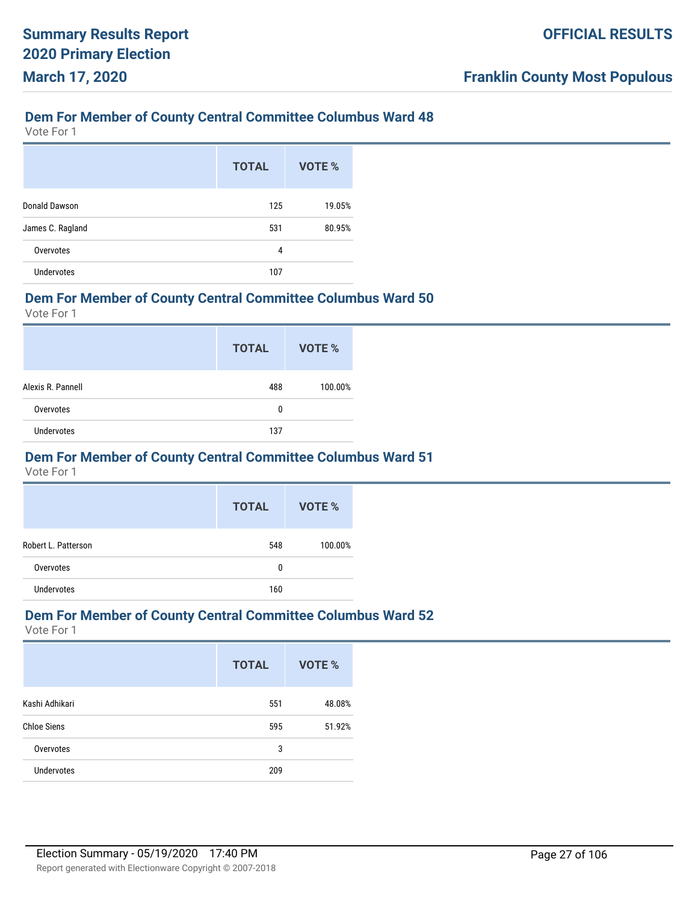Vote For 1

|                   | <b>TOTAL</b> | VOTE % |
|-------------------|--------------|--------|
| Donald Dawson     | 125          | 19.05% |
| James C. Ragland  | 531          | 80.95% |
| Overvotes         | 4            |        |
| <b>Undervotes</b> | 107          |        |

#### **Dem For Member of County Central Committee Columbus Ward 50**

Vote For 1

|                   | <b>TOTAL</b> | VOTE %  |
|-------------------|--------------|---------|
| Alexis R. Pannell | 488          | 100.00% |
| Overvotes         | 0            |         |
| <b>Undervotes</b> | 137          |         |

#### **Dem For Member of County Central Committee Columbus Ward 51**

Vote For 1

|                     | <b>TOTAL</b> | VOTE %  |
|---------------------|--------------|---------|
| Robert L. Patterson | 548          | 100.00% |
| Overvotes           | 0            |         |
| Undervotes          | 160          |         |

#### **Dem For Member of County Central Committee Columbus Ward 52**

|                    | <b>TOTAL</b> | <b>VOTE %</b> |
|--------------------|--------------|---------------|
| Kashi Adhikari     | 551          | 48.08%        |
| <b>Chloe Siens</b> | 595          | 51.92%        |
| Overvotes          | 3            |               |
| <b>Undervotes</b>  | 209          |               |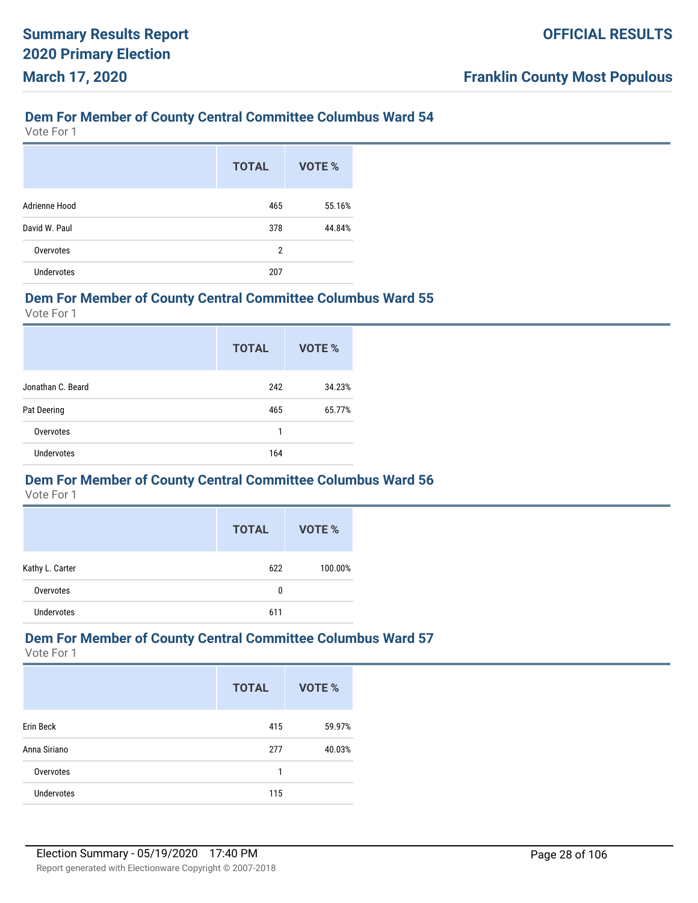Vote For 1

|                   | <b>TOTAL</b> | VOTE % |
|-------------------|--------------|--------|
| Adrienne Hood     | 465          | 55.16% |
| David W. Paul     | 378          | 44.84% |
| Overvotes         | 2            |        |
| <b>Undervotes</b> | 207          |        |

#### **Dem For Member of County Central Committee Columbus Ward 55**

Vote For 1

|                   | <b>TOTAL</b> | VOTE % |
|-------------------|--------------|--------|
| Jonathan C. Beard | 242          | 34.23% |
| Pat Deering       | 465          | 65.77% |
| Overvotes         | 1            |        |
| <b>Undervotes</b> | 164          |        |

#### **Dem For Member of County Central Committee Columbus Ward 56**

Vote For 1

|                   | <b>TOTAL</b> | VOTE %  |
|-------------------|--------------|---------|
| Kathy L. Carter   | 622          | 100.00% |
| Overvotes         | 0            |         |
| <b>Undervotes</b> | 611          |         |

## **Dem For Member of County Central Committee Columbus Ward 57**

|                   | <b>TOTAL</b> | VOTE % |
|-------------------|--------------|--------|
| Erin Beck         | 415          | 59.97% |
| Anna Siriano      | 277          | 40.03% |
| Overvotes         | 1            |        |
| <b>Undervotes</b> | 115          |        |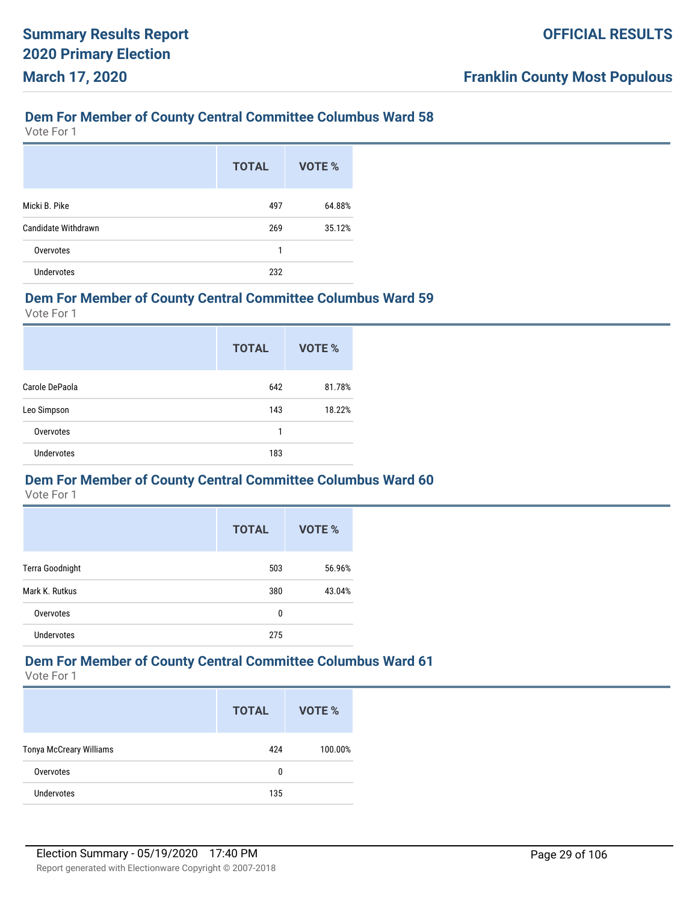Vote For 1

|                     | <b>TOTAL</b> | VOTE % |
|---------------------|--------------|--------|
| Micki B. Pike       | 497          | 64.88% |
| Candidate Withdrawn | 269          | 35.12% |
| Overvotes           | 1            |        |
| <b>Undervotes</b>   | 232          |        |

#### **Dem For Member of County Central Committee Columbus Ward 59**

Vote For 1

|                   | <b>TOTAL</b> | <b>VOTE %</b> |
|-------------------|--------------|---------------|
| Carole DePaola    | 642          | 81.78%        |
| Leo Simpson       | 143          | 18.22%        |
| Overvotes         | 1            |               |
| <b>Undervotes</b> | 183          |               |

#### **Dem For Member of County Central Committee Columbus Ward 60**

Vote For 1

|                   | <b>TOTAL</b> | <b>VOTE %</b> |
|-------------------|--------------|---------------|
| Terra Goodnight   | 503          | 56.96%        |
| Mark K. Rutkus    | 380          | 43.04%        |
| Overvotes         | 0            |               |
| <b>Undervotes</b> | 275          |               |

## **Dem For Member of County Central Committee Columbus Ward 61**

|                                | <b>TOTAL</b> | VOTE %  |
|--------------------------------|--------------|---------|
| <b>Tonya McCreary Williams</b> | 424          | 100.00% |
| Overvotes                      | 0            |         |
| <b>Undervotes</b>              | 135          |         |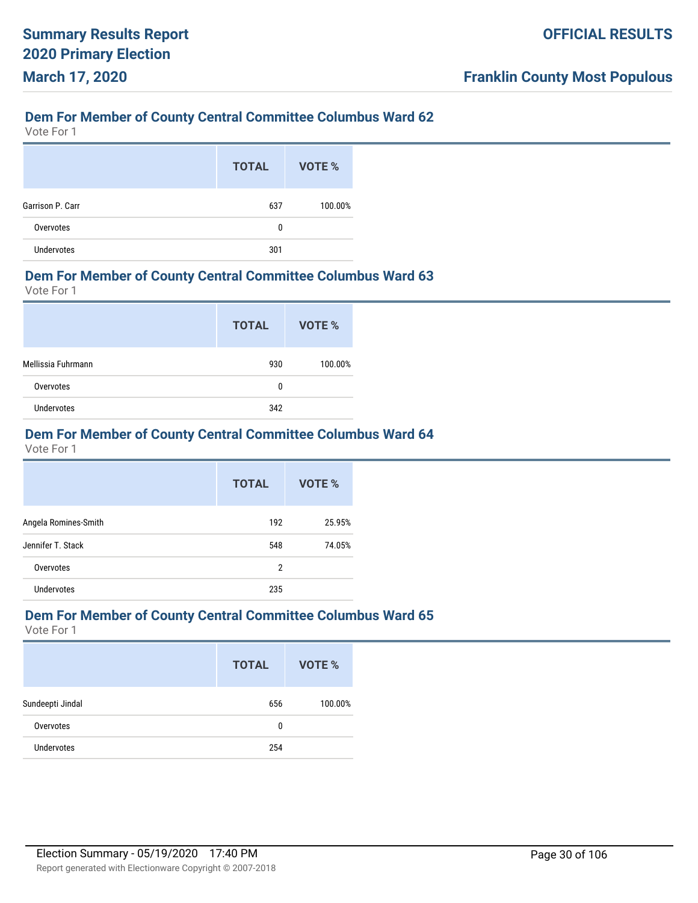Vote For 1

|                   | <b>TOTAL</b> | VOTE %  |
|-------------------|--------------|---------|
| Garrison P. Carr  | 637          | 100.00% |
| Overvotes         | 0            |         |
| <b>Undervotes</b> | 301          |         |

#### **Dem For Member of County Central Committee Columbus Ward 63**

Vote For 1

|                    | <b>TOTAL</b> | VOTE %  |
|--------------------|--------------|---------|
| Mellissia Fuhrmann | 930          | 100.00% |
| Overvotes          | 0            |         |
| Undervotes         | 342          |         |

### **Dem For Member of County Central Committee Columbus Ward 64**

Vote For 1

|                      | <b>TOTAL</b> | VOTE % |
|----------------------|--------------|--------|
| Angela Romines-Smith | 192          | 25.95% |
| Jennifer T. Stack    | 548          | 74.05% |
| Overvotes            | 2            |        |
| Undervotes           | 235          |        |

#### **Dem For Member of County Central Committee Columbus Ward 65**

|                   | <b>TOTAL</b> | VOTE %  |
|-------------------|--------------|---------|
| Sundeepti Jindal  | 656          | 100.00% |
| Overvotes         | 0            |         |
| <b>Undervotes</b> | 254          |         |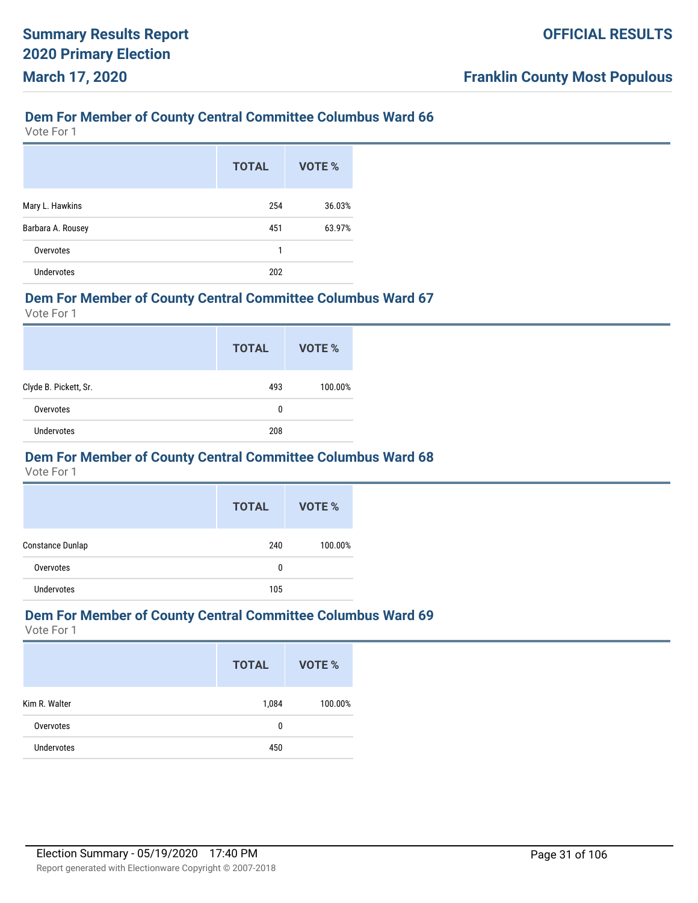Vote For 1

|                   | <b>TOTAL</b> | VOTE % |
|-------------------|--------------|--------|
| Mary L. Hawkins   | 254          | 36.03% |
| Barbara A. Rousey | 451          | 63.97% |
| Overvotes         | 1            |        |
| <b>Undervotes</b> | 202          |        |

#### **Dem For Member of County Central Committee Columbus Ward 67**

Vote For 1

|                       | <b>TOTAL</b> | VOTE %  |
|-----------------------|--------------|---------|
| Clyde B. Pickett, Sr. | 493          | 100.00% |
| Overvotes             | 0            |         |
| <b>Undervotes</b>     | 208          |         |

#### **Dem For Member of County Central Committee Columbus Ward 68**

Vote For 1

|                   | <b>TOTAL</b> | VOTE %  |
|-------------------|--------------|---------|
| Constance Dunlap  | 240          | 100.00% |
| Overvotes         | 0            |         |
| <b>Undervotes</b> | 105          |         |

#### **Dem For Member of County Central Committee Columbus Ward 69**

|                   | <b>TOTAL</b> | VOTE %  |
|-------------------|--------------|---------|
| Kim R. Walter     | 1,084        | 100.00% |
| Overvotes         | 0            |         |
| <b>Undervotes</b> | 450          |         |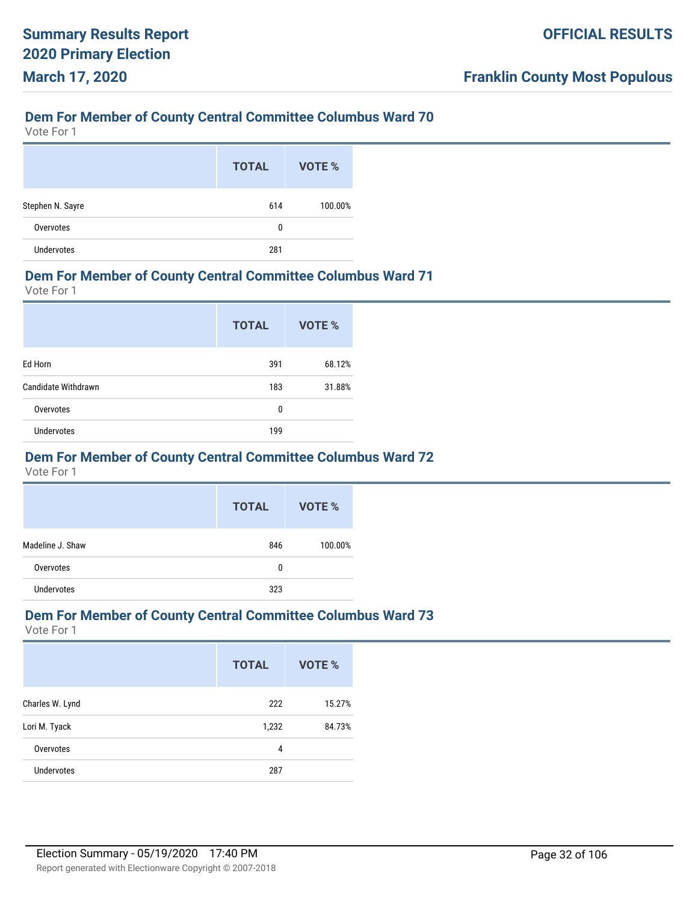Vote For 1

|                   | <b>TOTAL</b> | VOTE %  |
|-------------------|--------------|---------|
| Stephen N. Sayre  | 614          | 100.00% |
| Overvotes         | 0            |         |
| <b>Undervotes</b> | 281          |         |

#### **Dem For Member of County Central Committee Columbus Ward 71**

Vote For 1

|                     | <b>TOTAL</b> | VOTE % |
|---------------------|--------------|--------|
| Ed Horn             | 391          | 68.12% |
| Candidate Withdrawn | 183          | 31.88% |
| Overvotes           | 0            |        |
| <b>Undervotes</b>   | 199          |        |

#### **Dem For Member of County Central Committee Columbus Ward 72**

Vote For 1

|                  | <b>TOTAL</b> | VOTE %  |
|------------------|--------------|---------|
| Madeline J. Shaw | 846          | 100.00% |
| Overvotes        | 0            |         |
| Undervotes       | 323          |         |

#### **Dem For Member of County Central Committee Columbus Ward 73**

|                   | <b>TOTAL</b> | <b>VOTE %</b> |
|-------------------|--------------|---------------|
| Charles W. Lynd   | 222          | 15.27%        |
| Lori M. Tyack     | 1,232        | 84.73%        |
| Overvotes         | 4            |               |
| <b>Undervotes</b> | 287          |               |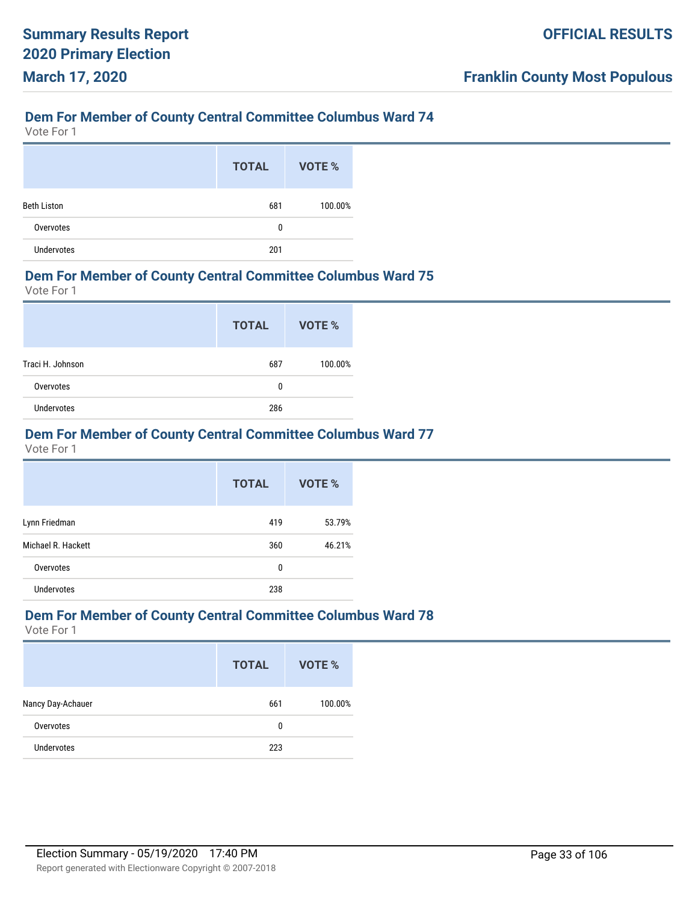Vote For 1

|                    | <b>TOTAL</b> | VOTE %  |
|--------------------|--------------|---------|
| <b>Beth Liston</b> | 681          | 100.00% |
| Overvotes          | 0            |         |
| <b>Undervotes</b>  | 201          |         |

#### **Dem For Member of County Central Committee Columbus Ward 75**

Vote For 1

|                  | <b>TOTAL</b> | VOTE %  |
|------------------|--------------|---------|
| Traci H. Johnson | 687          | 100.00% |
| Overvotes        | 0            |         |
| Undervotes       | 286          |         |

#### **Dem For Member of County Central Committee Columbus Ward 77**

Vote For 1

|                    | <b>TOTAL</b> | VOTE % |
|--------------------|--------------|--------|
| Lynn Friedman      | 419          | 53.79% |
| Michael R. Hackett | 360          | 46.21% |
| Overvotes          | 0            |        |
| Undervotes         | 238          |        |

#### **Dem For Member of County Central Committee Columbus Ward 78**

|                   | <b>TOTAL</b> | VOTE %  |
|-------------------|--------------|---------|
| Nancy Day-Achauer | 661          | 100.00% |
| Overvotes         | 0            |         |
| <b>Undervotes</b> | 223          |         |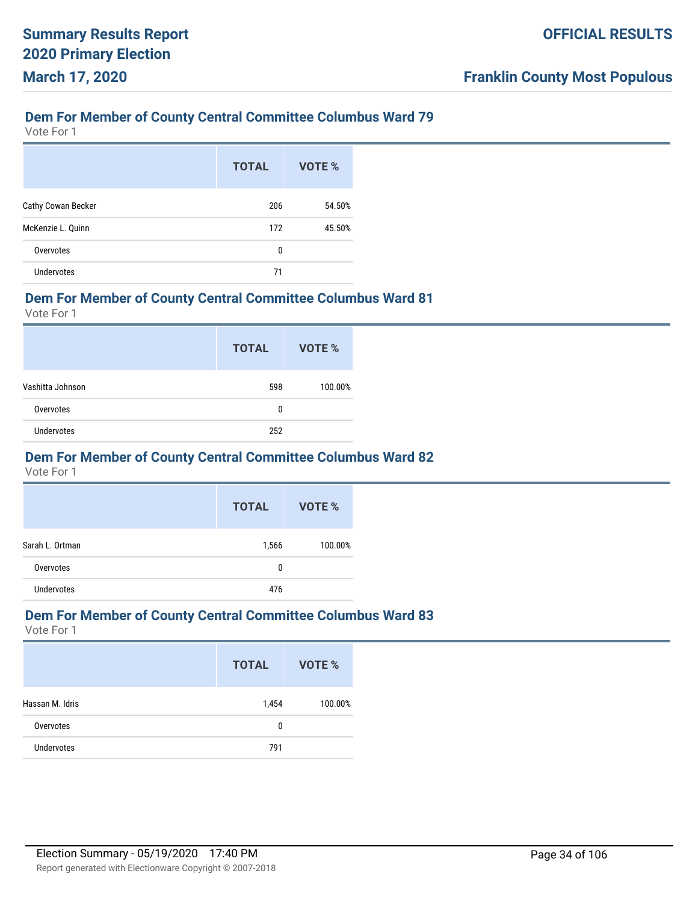Vote For 1

|                    | <b>TOTAL</b> | VOTE % |
|--------------------|--------------|--------|
| Cathy Cowan Becker | 206          | 54.50% |
| McKenzie L. Quinn  | 172          | 45.50% |
| Overvotes          | 0            |        |
| <b>Undervotes</b>  | 71           |        |

#### **Dem For Member of County Central Committee Columbus Ward 81**

Vote For 1

|                   | <b>TOTAL</b> | VOTE %  |
|-------------------|--------------|---------|
| Vashitta Johnson  | 598          | 100.00% |
| Overvotes         | 0            |         |
| <b>Undervotes</b> | 252          |         |

#### **Dem For Member of County Central Committee Columbus Ward 82**

Vote For 1

|                 | <b>TOTAL</b> | VOTE %  |
|-----------------|--------------|---------|
| Sarah L. Ortman | 1,566        | 100.00% |
| Overvotes       | 0            |         |
| Undervotes      | 476          |         |

#### **Dem For Member of County Central Committee Columbus Ward 83**

|                   | <b>TOTAL</b> | VOTE %  |
|-------------------|--------------|---------|
| Hassan M. Idris   | 1,454        | 100.00% |
| Overvotes         | 0            |         |
| <b>Undervotes</b> | 791          |         |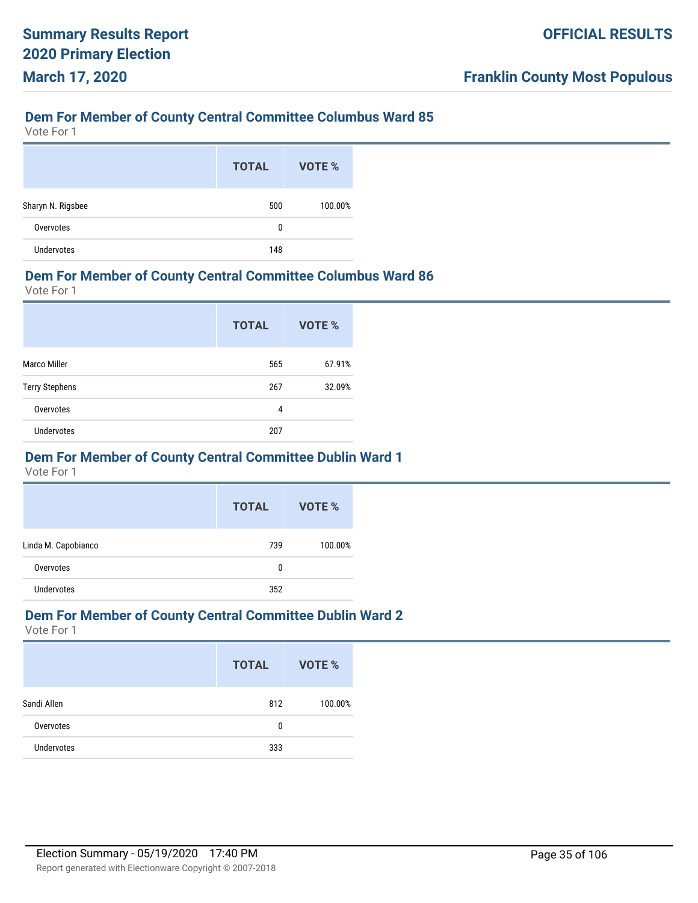Vote For 1

|                   | <b>TOTAL</b> | VOTE %  |
|-------------------|--------------|---------|
| Sharyn N. Rigsbee | 500          | 100.00% |
| Overvotes         | 0            |         |
| <b>Undervotes</b> | 148          |         |

#### **Dem For Member of County Central Committee Columbus Ward 86**

Vote For 1

|                       | <b>TOTAL</b> | <b>VOTE %</b> |
|-----------------------|--------------|---------------|
| <b>Marco Miller</b>   | 565          | 67.91%        |
| <b>Terry Stephens</b> | 267          | 32.09%        |
| Overvotes             | 4            |               |
| <b>Undervotes</b>     | 207          |               |

#### **Dem For Member of County Central Committee Dublin Ward 1**

Vote For 1

|                     | <b>TOTAL</b> | VOTE %  |
|---------------------|--------------|---------|
| Linda M. Capobianco | 739          | 100.00% |
| Overvotes           | 0            |         |
| Undervotes          | 352          |         |

#### **Dem For Member of County Central Committee Dublin Ward 2**

|                   | <b>TOTAL</b> | VOTE %  |
|-------------------|--------------|---------|
| Sandi Allen       | 812          | 100.00% |
| Overvotes         | 0            |         |
| <b>Undervotes</b> | 333          |         |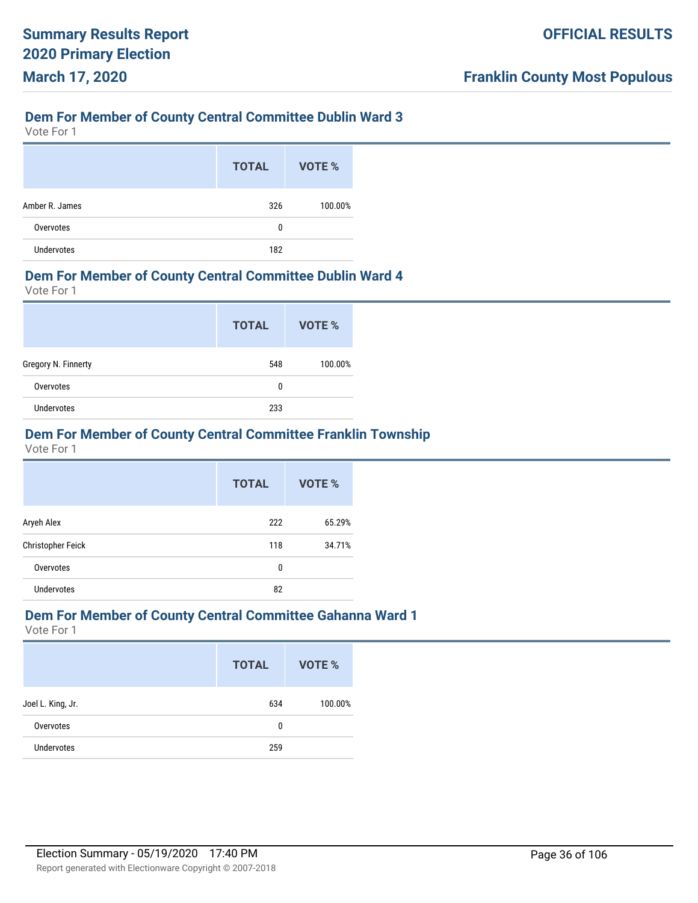Vote For 1

|                   | <b>TOTAL</b> | VOTE %  |
|-------------------|--------------|---------|
| Amber R. James    | 326          | 100.00% |
| Overvotes         | 0            |         |
| <b>Undervotes</b> | 182          |         |

#### **Dem For Member of County Central Committee Dublin Ward 4**

Vote For 1

|                     | <b>TOTAL</b> | VOTE %  |
|---------------------|--------------|---------|
| Gregory N. Finnerty | 548          | 100.00% |
| Overvotes           | 0            |         |
| <b>Undervotes</b>   | 233          |         |

### **Dem For Member of County Central Committee Franklin Township**

Vote For 1

|                   | <b>TOTAL</b> | VOTE % |
|-------------------|--------------|--------|
| Aryeh Alex        | 222          | 65.29% |
| Christopher Feick | 118          | 34.71% |
| Overvotes         | 0            |        |
| <b>Undervotes</b> | 82           |        |

#### **Dem For Member of County Central Committee Gahanna Ward 1**

|                   | <b>TOTAL</b> | VOTE %  |
|-------------------|--------------|---------|
| Joel L. King, Jr. | 634          | 100.00% |
| Overvotes         | 0            |         |
| <b>Undervotes</b> | 259          |         |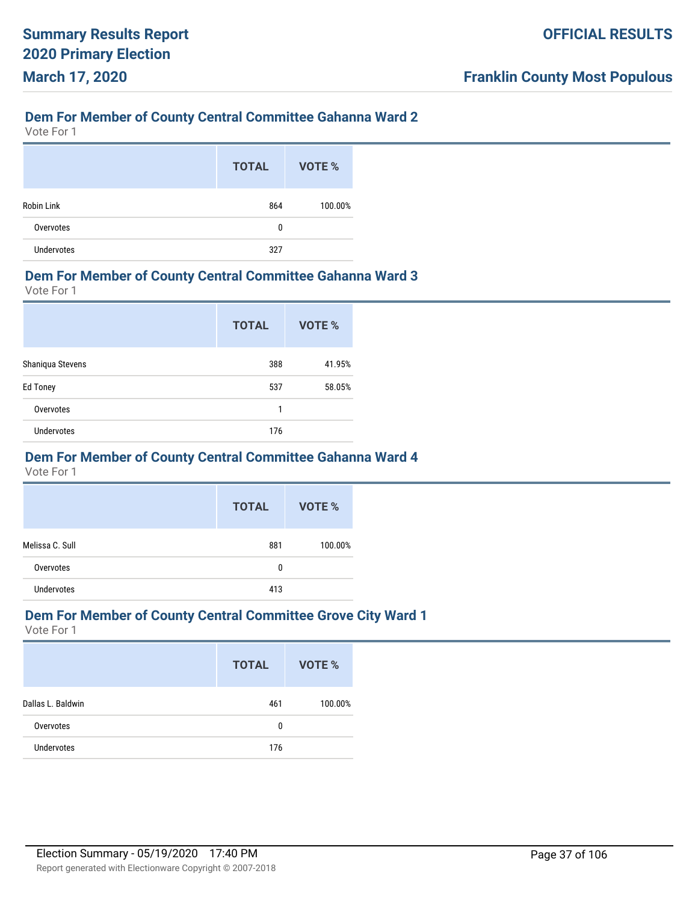# **Dem For Member of County Central Committee Gahanna Ward 2**

Vote For 1

|                   | <b>TOTAL</b> | VOTE %  |
|-------------------|--------------|---------|
| <b>Robin Link</b> | 864          | 100.00% |
| Overvotes         | 0            |         |
| Undervotes        | 327          |         |

#### **Dem For Member of County Central Committee Gahanna Ward 3**

Vote For 1

|                   | <b>TOTAL</b> | VOTE % |
|-------------------|--------------|--------|
| Shaniqua Stevens  | 388          | 41.95% |
| <b>Ed Toney</b>   | 537          | 58.05% |
| Overvotes         | 1            |        |
| <b>Undervotes</b> | 176          |        |

#### **Dem For Member of County Central Committee Gahanna Ward 4**

Vote For 1

|                 | <b>TOTAL</b> | VOTE %  |
|-----------------|--------------|---------|
| Melissa C. Sull | 881          | 100.00% |
| Overvotes       | 0            |         |
| Undervotes      | 413          |         |

#### **Dem For Member of County Central Committee Grove City Ward 1**

|                   | <b>TOTAL</b> | VOTE %  |
|-------------------|--------------|---------|
| Dallas L. Baldwin | 461          | 100.00% |
| Overvotes         | 0            |         |
| <b>Undervotes</b> | 176          |         |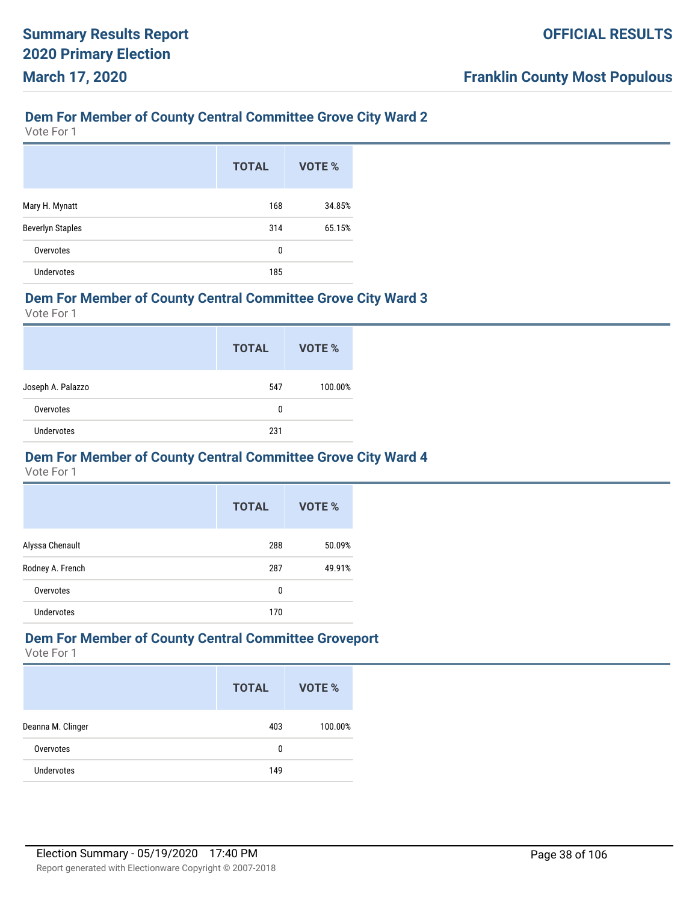### **Dem For Member of County Central Committee Grove City Ward 2**

Vote For 1

|                         | <b>TOTAL</b> | VOTE % |
|-------------------------|--------------|--------|
| Mary H. Mynatt          | 168          | 34.85% |
| <b>Beverlyn Staples</b> | 314          | 65.15% |
| Overvotes               | 0            |        |
| <b>Undervotes</b>       | 185          |        |

#### **Dem For Member of County Central Committee Grove City Ward 3**

Vote For 1

|                   | <b>TOTAL</b> | VOTE %  |
|-------------------|--------------|---------|
| Joseph A. Palazzo | 547          | 100.00% |
| Overvotes         | 0            |         |
| Undervotes        | 231          |         |

#### **Dem For Member of County Central Committee Grove City Ward 4**

Vote For 1

|                   | <b>TOTAL</b> | VOTE % |
|-------------------|--------------|--------|
| Alyssa Chenault   | 288          | 50.09% |
| Rodney A. French  | 287          | 49.91% |
| Overvotes         | 0            |        |
| <b>Undervotes</b> | 170          |        |

# **Dem For Member of County Central Committee Groveport**

|                   | <b>TOTAL</b> | VOTE %  |
|-------------------|--------------|---------|
| Deanna M. Clinger | 403          | 100.00% |
| Overvotes         | 0            |         |
| <b>Undervotes</b> | 149          |         |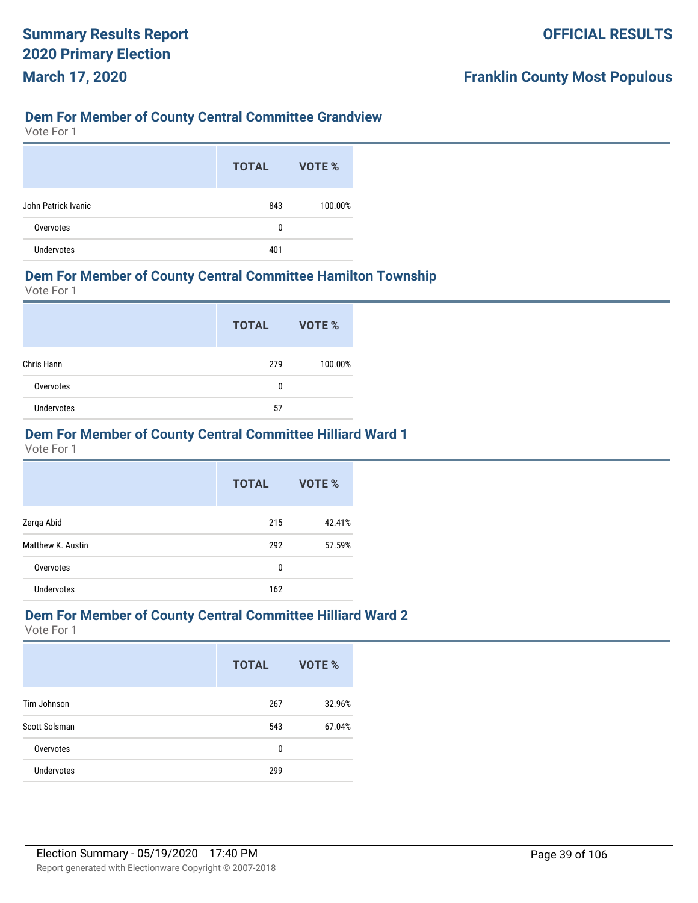# **Dem For Member of County Central Committee Grandview**

Vote For 1

|                     | <b>TOTAL</b> | VOTE %  |
|---------------------|--------------|---------|
| John Patrick Ivanic | 843          | 100.00% |
| Overvotes           | 0            |         |
| <b>Undervotes</b>   | 401          |         |

#### **Dem For Member of County Central Committee Hamilton Township**

Vote For 1

|                   | <b>TOTAL</b> | VOTE %  |
|-------------------|--------------|---------|
| Chris Hann        | 279          | 100.00% |
| Overvotes         | 0            |         |
| <b>Undervotes</b> | 57           |         |

# **Dem For Member of County Central Committee Hilliard Ward 1**

Vote For 1

|                   | <b>TOTAL</b> | VOTE % |
|-------------------|--------------|--------|
| Zerqa Abid        | 215          | 42.41% |
| Matthew K. Austin | 292          | 57.59% |
| Overvotes         | 0            |        |
| <b>Undervotes</b> | 162          |        |

#### **Dem For Member of County Central Committee Hilliard Ward 2**

|                   | <b>TOTAL</b> | <b>VOTE %</b> |
|-------------------|--------------|---------------|
| Tim Johnson       | 267          | 32.96%        |
| Scott Solsman     | 543          | 67.04%        |
| Overvotes         | 0            |               |
| <b>Undervotes</b> | 299          |               |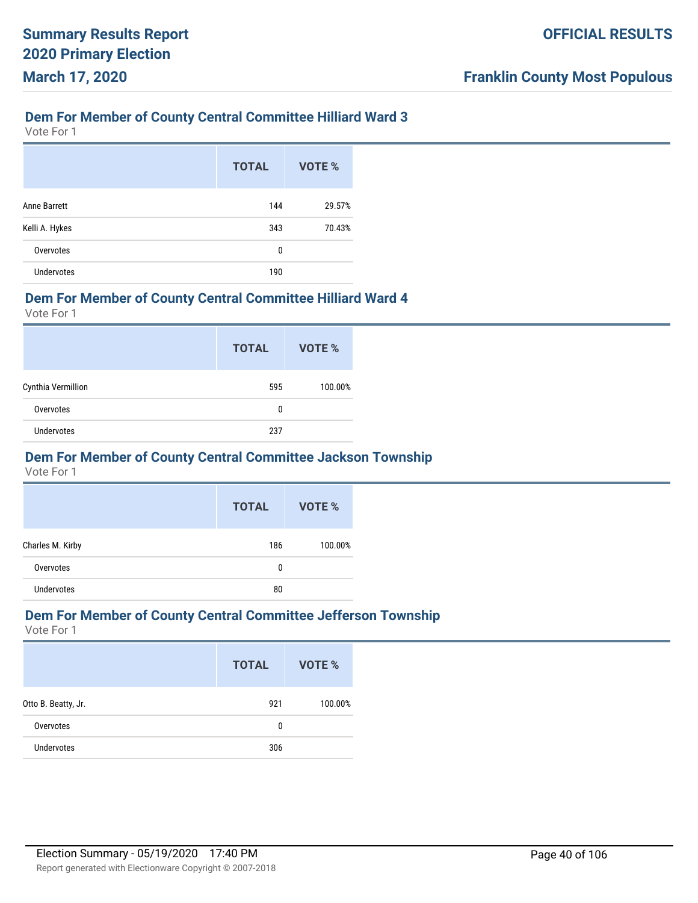### **Dem For Member of County Central Committee Hilliard Ward 3**

Vote For 1

|                   | <b>TOTAL</b> | VOTE % |
|-------------------|--------------|--------|
| Anne Barrett      | 144          | 29.57% |
| Kelli A. Hykes    | 343          | 70.43% |
| Overvotes         | 0            |        |
| <b>Undervotes</b> | 190          |        |

#### **Dem For Member of County Central Committee Hilliard Ward 4**

Vote For 1

|                    | <b>TOTAL</b> | VOTE %  |
|--------------------|--------------|---------|
| Cynthia Vermillion | 595          | 100.00% |
| Overvotes          | 0            |         |
| <b>Undervotes</b>  | 237          |         |

#### **Dem For Member of County Central Committee Jackson Township**

Vote For 1

|                  | <b>TOTAL</b> | VOTE %  |
|------------------|--------------|---------|
| Charles M. Kirby | 186          | 100.00% |
| Overvotes        | 0            |         |
| Undervotes       | 80           |         |

#### **Dem For Member of County Central Committee Jefferson Township**

|                     | <b>TOTAL</b> | VOTE %  |
|---------------------|--------------|---------|
| Otto B. Beatty, Jr. | 921          | 100.00% |
| Overvotes           | 0            |         |
| <b>Undervotes</b>   | 306          |         |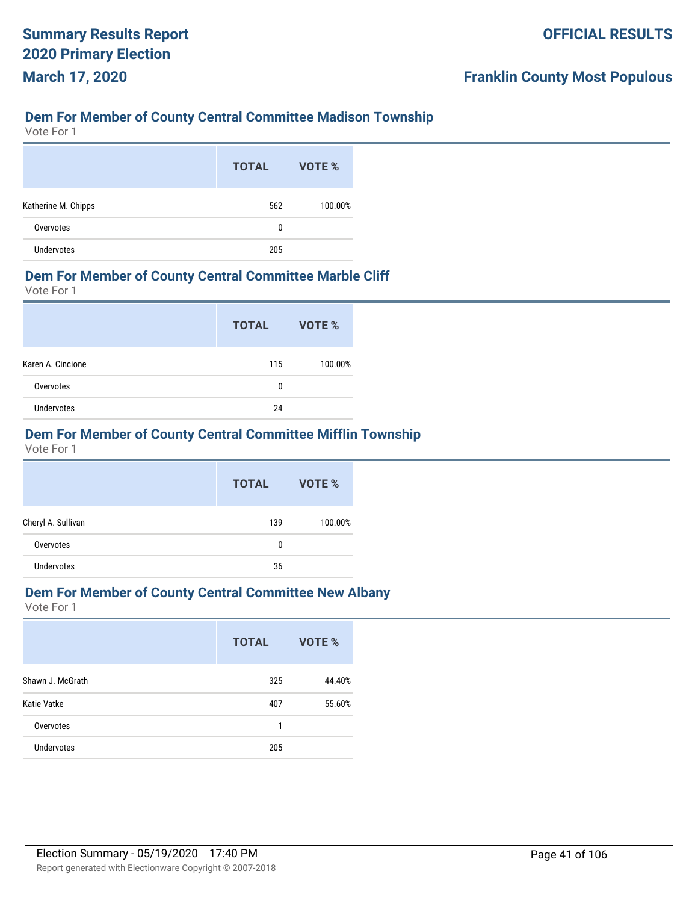# **Dem For Member of County Central Committee Madison Township**

Vote For 1

|                     | <b>TOTAL</b> | VOTE %  |
|---------------------|--------------|---------|
| Katherine M. Chipps | 562          | 100.00% |
| Overvotes           | 0            |         |
| <b>Undervotes</b>   | 205          |         |

#### **Dem For Member of County Central Committee Marble Cliff**

Vote For 1

|                   | <b>TOTAL</b> | VOTE %  |
|-------------------|--------------|---------|
| Karen A. Cincione | 115          | 100.00% |
| Overvotes         | 0            |         |
| <b>Undervotes</b> | 24           |         |

# **Dem For Member of County Central Committee Mifflin Township**

Vote For 1

|                    | <b>TOTAL</b> | VOTE %  |
|--------------------|--------------|---------|
| Cheryl A. Sullivan | 139          | 100.00% |
| Overvotes          | 0            |         |
| <b>Undervotes</b>  | 36           |         |

# **Dem For Member of County Central Committee New Albany**

|                   | <b>TOTAL</b> | VOTE % |
|-------------------|--------------|--------|
| Shawn J. McGrath  | 325          | 44.40% |
| Katie Vatke       | 407          | 55.60% |
| Overvotes         | 1            |        |
| <b>Undervotes</b> | 205          |        |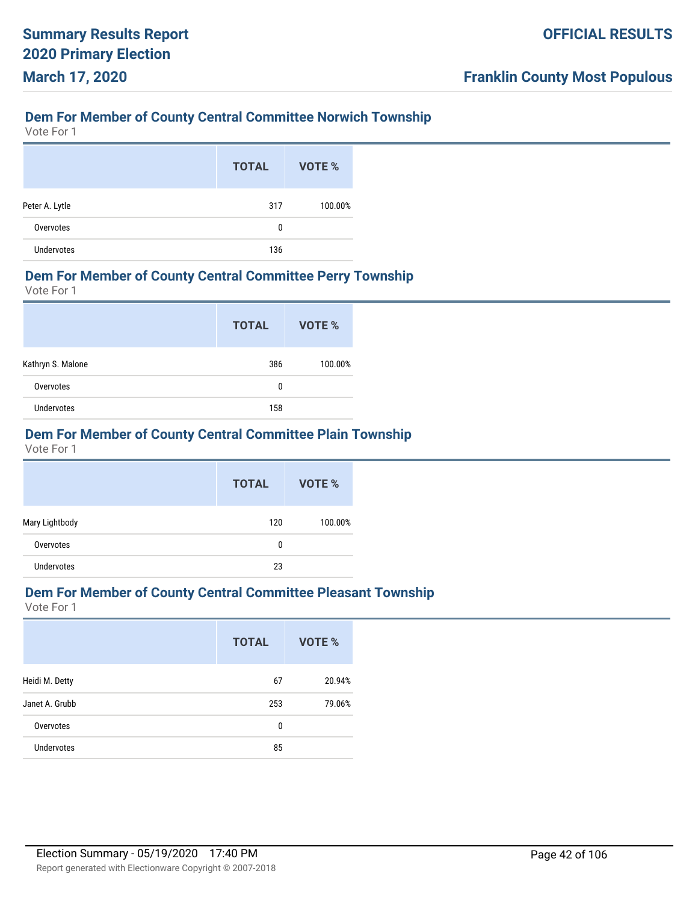# **Dem For Member of County Central Committee Norwich Township**

Vote For 1

|                   | <b>TOTAL</b> | VOTE %  |
|-------------------|--------------|---------|
| Peter A. Lytle    | 317          | 100.00% |
| Overvotes         | 0            |         |
| <b>Undervotes</b> | 136          |         |

#### **Dem For Member of County Central Committee Perry Township**

Vote For 1

|                   | <b>TOTAL</b> | VOTE %  |
|-------------------|--------------|---------|
| Kathryn S. Malone | 386          | 100.00% |
| Overvotes         | 0            |         |
| <b>Undervotes</b> | 158          |         |

# **Dem For Member of County Central Committee Plain Township**

Vote For 1

|                   | <b>TOTAL</b> | VOTE %  |
|-------------------|--------------|---------|
| Mary Lightbody    | 120          | 100.00% |
| Overvotes         | 0            |         |
| <b>Undervotes</b> | 23           |         |

# **Dem For Member of County Central Committee Pleasant Township**

|                   | <b>TOTAL</b> | VOTE % |
|-------------------|--------------|--------|
| Heidi M. Detty    | 67           | 20.94% |
| Janet A. Grubb    | 253          | 79.06% |
| Overvotes         | 0            |        |
| <b>Undervotes</b> | 85           |        |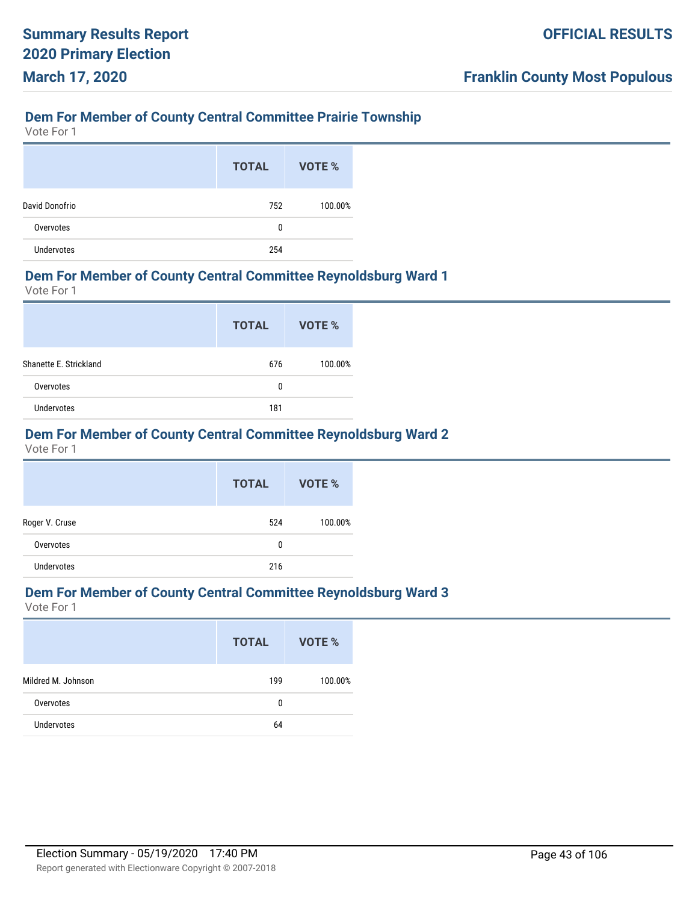# **Dem For Member of County Central Committee Prairie Township**

Vote For 1

|                   | <b>TOTAL</b> | VOTE %  |
|-------------------|--------------|---------|
| David Donofrio    | 752          | 100.00% |
| Overvotes         | 0            |         |
| <b>Undervotes</b> | 254          |         |

#### **Dem For Member of County Central Committee Reynoldsburg Ward 1**

Vote For 1

|                        | <b>TOTAL</b> | VOTE %  |
|------------------------|--------------|---------|
| Shanette E. Strickland | 676          | 100.00% |
| Overvotes              | 0            |         |
| <b>Undervotes</b>      | 181          |         |

# **Dem For Member of County Central Committee Reynoldsburg Ward 2**

Vote For 1

|                   | <b>TOTAL</b> | VOTE %  |
|-------------------|--------------|---------|
| Roger V. Cruse    | 524          | 100.00% |
| Overvotes         | 0            |         |
| <b>Undervotes</b> | 216          |         |

# **Dem For Member of County Central Committee Reynoldsburg Ward 3**

|                    | <b>TOTAL</b> | VOTE %  |
|--------------------|--------------|---------|
| Mildred M. Johnson | 199          | 100.00% |
| Overvotes          | 0            |         |
| Undervotes         | 64           |         |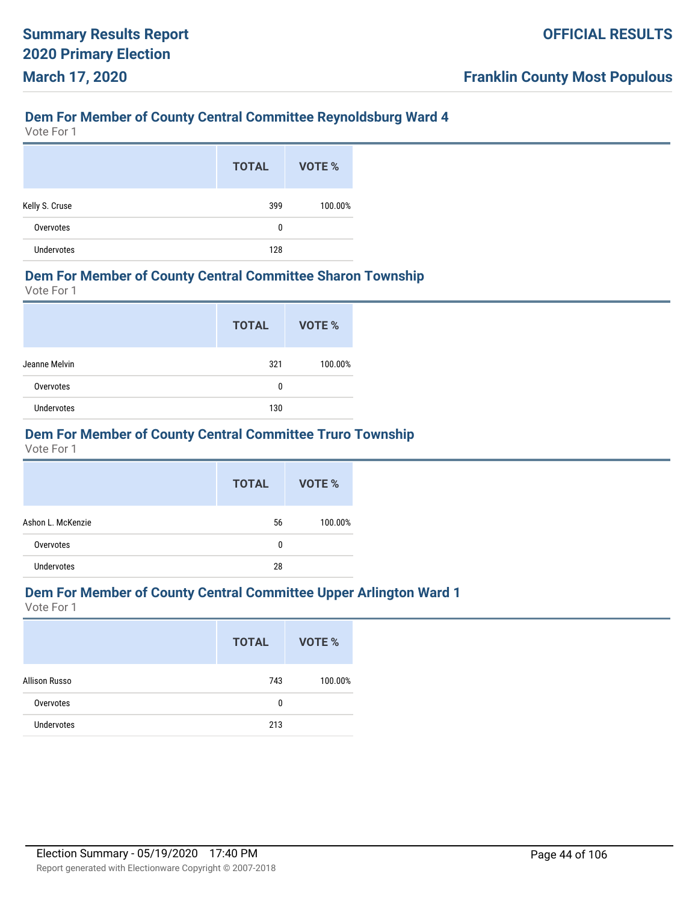# **Dem For Member of County Central Committee Reynoldsburg Ward 4**

Vote For 1

|                | <b>TOTAL</b> | VOTE %  |
|----------------|--------------|---------|
| Kelly S. Cruse | 399          | 100.00% |
| Overvotes      | 0            |         |
| Undervotes     | 128          |         |

#### **Dem For Member of County Central Committee Sharon Township**

Vote For 1

|                   | <b>TOTAL</b> | <b>VOTE %</b> |
|-------------------|--------------|---------------|
| Jeanne Melvin     | 321          | 100.00%       |
| Overvotes         | 0            |               |
| <b>Undervotes</b> | 130          |               |

# **Dem For Member of County Central Committee Truro Township**

Vote For 1

|                   | <b>TOTAL</b> | VOTE %  |
|-------------------|--------------|---------|
| Ashon L. McKenzie | 56           | 100.00% |
| Overvotes         | 0            |         |
| <b>Undervotes</b> | 28           |         |

### **Dem For Member of County Central Committee Upper Arlington Ward 1**

|                   | <b>TOTAL</b> | <b>VOTE %</b> |
|-------------------|--------------|---------------|
| Allison Russo     | 743          | 100.00%       |
| Overvotes         | 0            |               |
| <b>Undervotes</b> | 213          |               |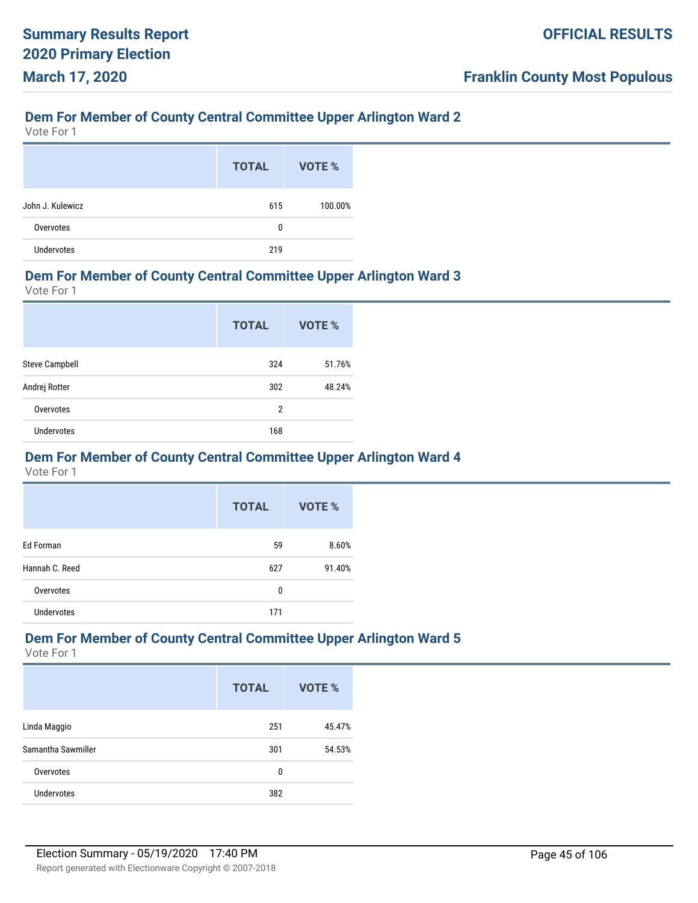### **Dem For Member of County Central Committee Upper Arlington Ward 2**

Vote For 1

|                   | <b>TOTAL</b> | VOTE %  |
|-------------------|--------------|---------|
| John J. Kulewicz  | 615          | 100.00% |
| Overvotes         | 0            |         |
| <b>Undervotes</b> | 219          |         |

#### **Dem For Member of County Central Committee Upper Arlington Ward 3**

Vote For 1

|                       | <b>TOTAL</b>   | VOTE % |
|-----------------------|----------------|--------|
| <b>Steve Campbell</b> | 324            | 51.76% |
| Andrej Rotter         | 302            | 48.24% |
| Overvotes             | $\overline{2}$ |        |
| <b>Undervotes</b>     | 168            |        |

#### **Dem For Member of County Central Committee Upper Arlington Ward 4**

Vote For 1

|                   | <b>TOTAL</b> | <b>VOTE %</b> |
|-------------------|--------------|---------------|
| Ed Forman         | 59           | 8.60%         |
| Hannah C. Reed    | 627          | 91.40%        |
| Overvotes         | 0            |               |
| <b>Undervotes</b> | 171          |               |

# **Dem For Member of County Central Committee Upper Arlington Ward 5**

|                    | <b>TOTAL</b> | VOTE % |
|--------------------|--------------|--------|
| Linda Maggio       | 251          | 45.47% |
| Samantha Sawmiller | 301          | 54.53% |
| Overvotes          | 0            |        |
| <b>Undervotes</b>  | 382          |        |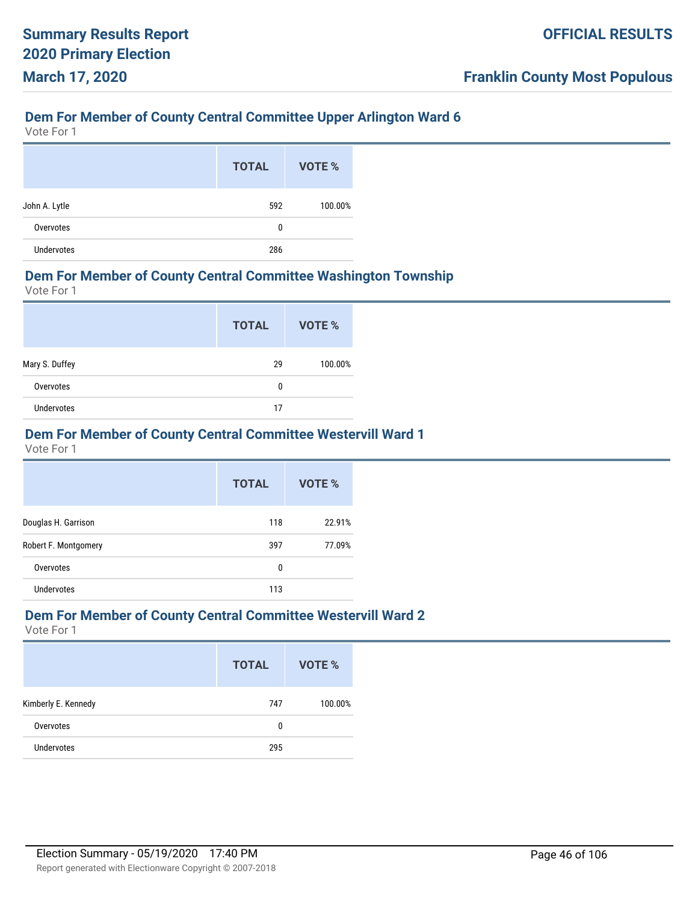# **Dem For Member of County Central Committee Upper Arlington Ward 6**

Vote For 1

|               | <b>TOTAL</b> | VOTE %  |
|---------------|--------------|---------|
| John A. Lytle | 592          | 100.00% |
| Overvotes     | 0            |         |
| Undervotes    | 286          |         |

#### **Dem For Member of County Central Committee Washington Township**

Vote For 1

|                   | <b>TOTAL</b> | VOTE %  |
|-------------------|--------------|---------|
| Mary S. Duffey    | 29           | 100.00% |
| Overvotes         | 0            |         |
| <b>Undervotes</b> | 17           |         |

## **Dem For Member of County Central Committee Westervill Ward 1**

Vote For 1

|                      | <b>TOTAL</b> | VOTE % |
|----------------------|--------------|--------|
| Douglas H. Garrison  | 118          | 22.91% |
| Robert F. Montgomery | 397          | 77.09% |
| Overvotes            | 0            |        |
| Undervotes           | 113          |        |

#### **Dem For Member of County Central Committee Westervill Ward 2**

|                     | <b>TOTAL</b> | VOTE %  |
|---------------------|--------------|---------|
| Kimberly E. Kennedy | 747          | 100.00% |
| Overvotes           | 0            |         |
| <b>Undervotes</b>   | 295          |         |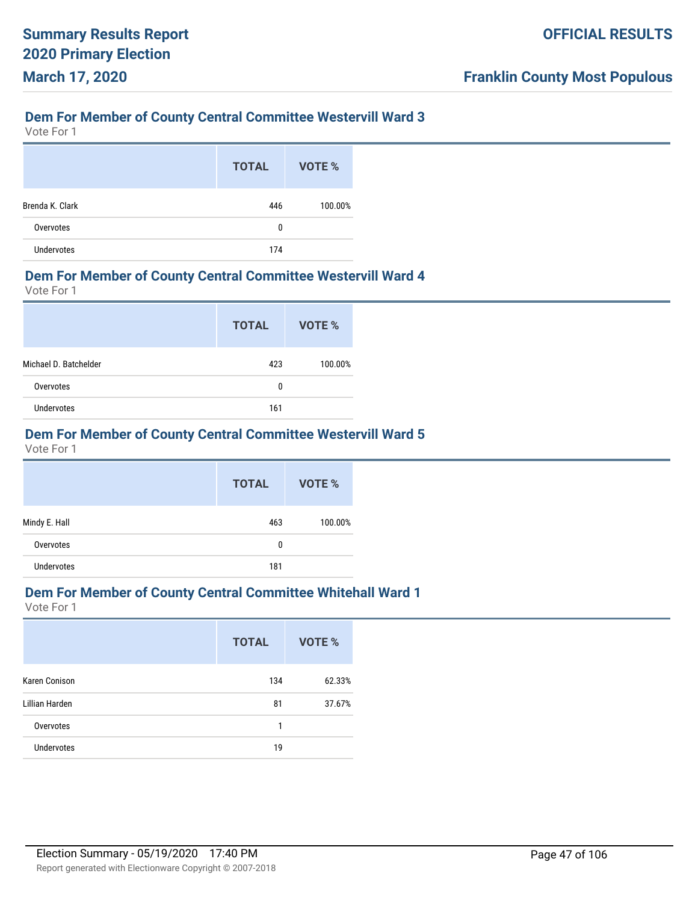### **Dem For Member of County Central Committee Westervill Ward 3**

Vote For 1

|                 | <b>TOTAL</b> | VOTE %  |
|-----------------|--------------|---------|
| Brenda K. Clark | 446          | 100.00% |
| Overvotes       | 0            |         |
| Undervotes      | 174          |         |

#### **Dem For Member of County Central Committee Westervill Ward 4**

Vote For 1

|                       | <b>TOTAL</b> | VOTE %  |
|-----------------------|--------------|---------|
| Michael D. Batchelder | 423          | 100.00% |
| Overvotes             | 0            |         |
| <b>Undervotes</b>     | 161          |         |

# **Dem For Member of County Central Committee Westervill Ward 5**

Vote For 1

|               | <b>TOTAL</b> | <b>VOTE %</b> |
|---------------|--------------|---------------|
| Mindy E. Hall | 463          | 100.00%       |
| Overvotes     | 0            |               |
| Undervotes    | 181          |               |

# **Dem For Member of County Central Committee Whitehall Ward 1**

|                   | <b>TOTAL</b> | <b>VOTE %</b> |
|-------------------|--------------|---------------|
| Karen Conison     | 134          | 62.33%        |
| Lillian Harden    | 81           | 37.67%        |
| Overvotes         | 1            |               |
| <b>Undervotes</b> | 19           |               |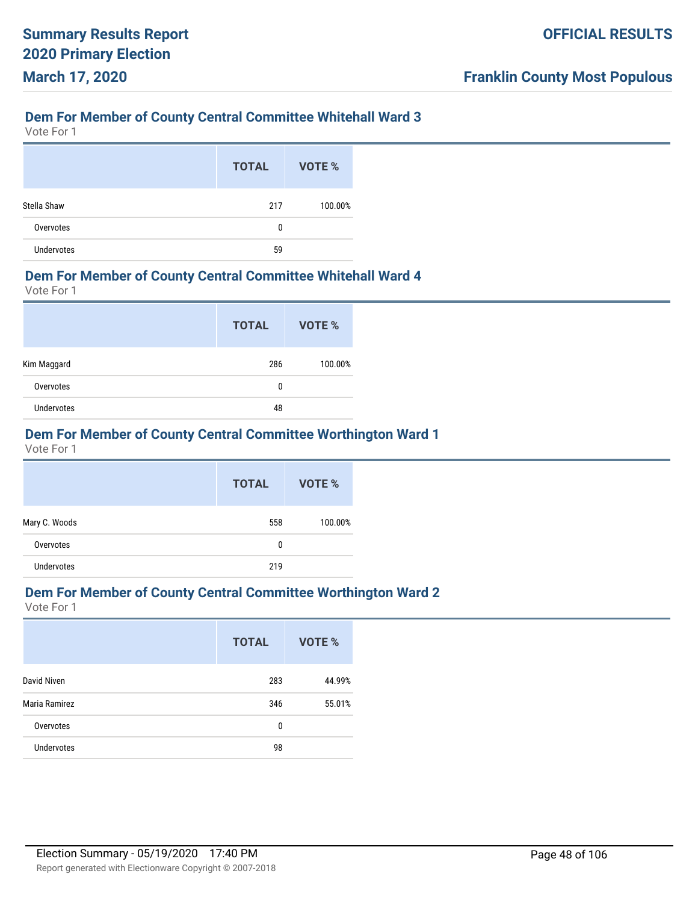# **Dem For Member of County Central Committee Whitehall Ward 3**

Vote For 1

|                   | <b>TOTAL</b> | VOTE %  |
|-------------------|--------------|---------|
| Stella Shaw       | 217          | 100.00% |
| Overvotes         | 0            |         |
| <b>Undervotes</b> | 59           |         |

#### **Dem For Member of County Central Committee Whitehall Ward 4**

Vote For 1

|                   | <b>TOTAL</b> | <b>VOTE %</b> |
|-------------------|--------------|---------------|
| Kim Maggard       | 286          | 100.00%       |
| Overvotes         | 0            |               |
| <b>Undervotes</b> | 48           |               |

# **Dem For Member of County Central Committee Worthington Ward 1**

Vote For 1

|                   | <b>TOTAL</b> | <b>VOTE %</b> |
|-------------------|--------------|---------------|
| Mary C. Woods     | 558          | 100.00%       |
| Overvotes         | 0            |               |
| <b>Undervotes</b> | 219          |               |

# **Dem For Member of County Central Committee Worthington Ward 2**

|                   | <b>TOTAL</b> | VOTE % |
|-------------------|--------------|--------|
| David Niven       | 283          | 44.99% |
| Maria Ramirez     | 346          | 55.01% |
| Overvotes         | 0            |        |
| <b>Undervotes</b> | 98           |        |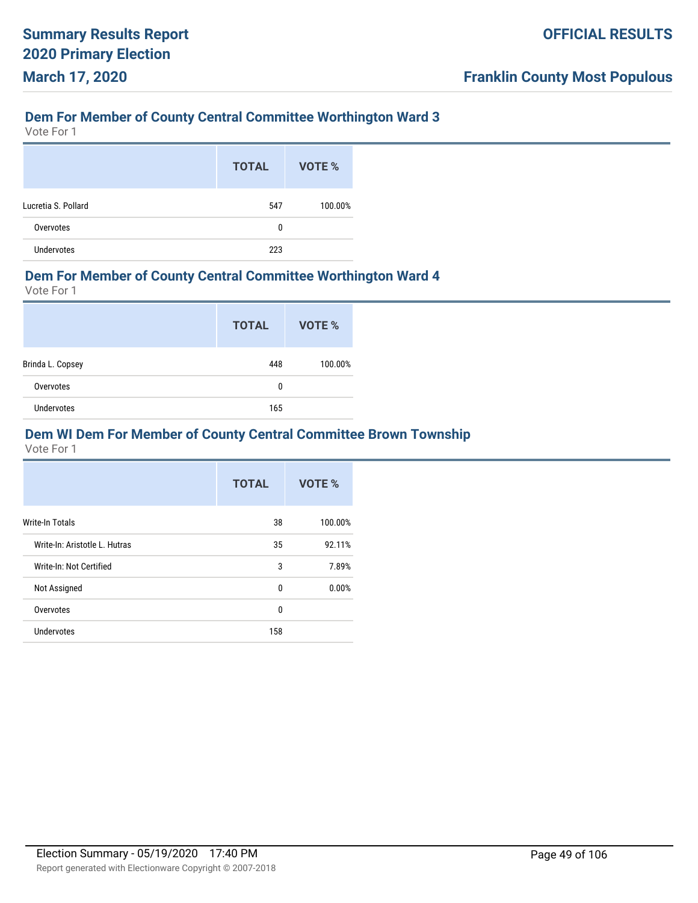# **Dem For Member of County Central Committee Worthington Ward 3**

Vote For 1

|                     | <b>TOTAL</b> | VOTE %  |
|---------------------|--------------|---------|
| Lucretia S. Pollard | 547          | 100.00% |
| Overvotes           | 0            |         |
| <b>Undervotes</b>   | 223          |         |

#### **Dem For Member of County Central Committee Worthington Ward 4**

Vote For 1

|                  | <b>TOTAL</b> | VOTE %  |
|------------------|--------------|---------|
| Brinda L. Copsey | 448          | 100.00% |
| Overvotes        | 0            |         |
| Undervotes       | 165          |         |

## **Dem WI Dem For Member of County Central Committee Brown Township**

|                               | <b>TOTAL</b> | VOTE %  |
|-------------------------------|--------------|---------|
| <b>Write-In Totals</b>        | 38           | 100.00% |
| Write-In: Aristotle L. Hutras | 35           | 92.11%  |
| Write-In: Not Certified       | 3            | 7.89%   |
| Not Assigned                  | 0            | 0.00%   |
| Overvotes                     | $\Omega$     |         |
| Undervotes                    | 158          |         |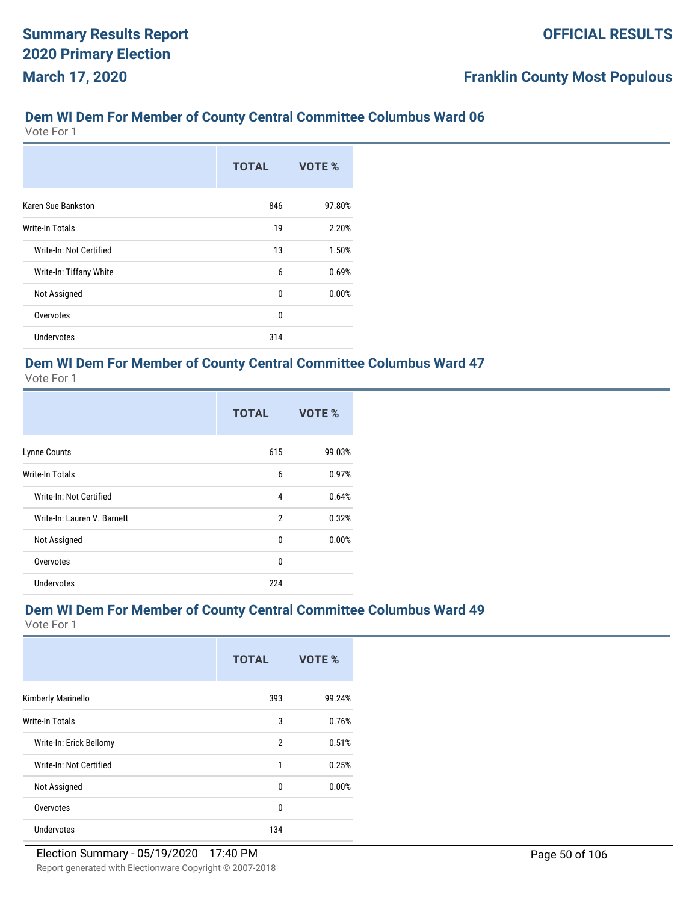Vote For 1

|                         | <b>TOTAL</b> | VOTE % |
|-------------------------|--------------|--------|
| Karen Sue Bankston      | 846          | 97.80% |
| <b>Write-In Totals</b>  | 19           | 2.20%  |
| Write-In: Not Certified | 13           | 1.50%  |
| Write-In: Tiffany White | 6            | 0.69%  |
| Not Assigned            | 0            | 0.00%  |
| Overvotes               | 0            |        |
| <b>Undervotes</b>       | 314          |        |

# **Dem WI Dem For Member of County Central Committee Columbus Ward 47**

Vote For 1

|                             | <b>TOTAL</b>   | VOTE % |
|-----------------------------|----------------|--------|
| Lynne Counts                | 615            | 99.03% |
| <b>Write-In Totals</b>      | 6              | 0.97%  |
| Write-In: Not Certified     | 4              | 0.64%  |
| Write-In: Lauren V. Barnett | $\overline{2}$ | 0.32%  |
| Not Assigned                | 0              | 0.00%  |
| Overvotes                   | 0              |        |
| Undervotes                  | 224            |        |

# **Dem WI Dem For Member of County Central Committee Columbus Ward 49**

|                         | <b>TOTAL</b>   | VOTE % |
|-------------------------|----------------|--------|
| Kimberly Marinello      | 393            | 99.24% |
| Write-In Totals         | 3              | 0.76%  |
| Write-In: Erick Bellomy | $\overline{2}$ | 0.51%  |
| Write-In: Not Certified | 1              | 0.25%  |
| Not Assigned            | 0              | 0.00%  |
| Overvotes               | $\mathbf{0}$   |        |
| Undervotes              | 134            |        |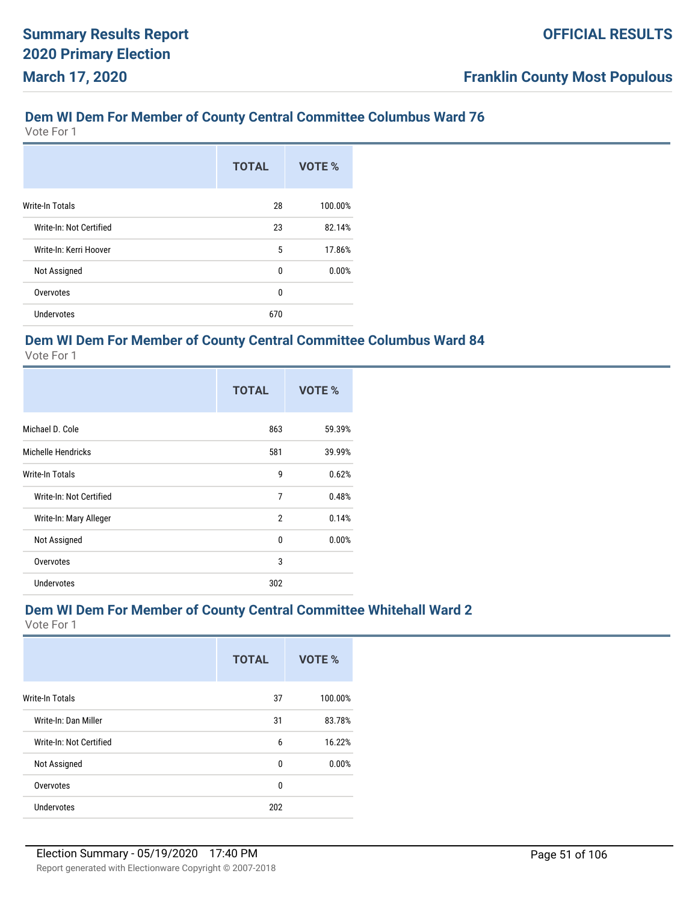Vote For 1

|                         | <b>TOTAL</b> | VOTE %  |
|-------------------------|--------------|---------|
| <b>Write-In Totals</b>  | 28           | 100.00% |
| Write-In: Not Certified | 23           | 82.14%  |
| Write-In: Kerri Hoover  | 5            | 17.86%  |
| Not Assigned            | 0            | 0.00%   |
| Overvotes               | 0            |         |
| <b>Undervotes</b>       | 670          |         |

### **Dem WI Dem For Member of County Central Committee Columbus Ward 84**

Vote For 1

|                         | <b>TOTAL</b> | VOTE % |
|-------------------------|--------------|--------|
| Michael D. Cole         | 863          | 59.39% |
| Michelle Hendricks      | 581          | 39.99% |
| <b>Write-In Totals</b>  | 9            | 0.62%  |
| Write-In: Not Certified | 7            | 0.48%  |
| Write-In: Mary Alleger  | 2            | 0.14%  |
| Not Assigned            | 0            | 0.00%  |
| Overvotes               | 3            |        |
| Undervotes              | 302          |        |

### **Dem WI Dem For Member of County Central Committee Whitehall Ward 2**

|                         | <b>TOTAL</b> | VOTE %  |
|-------------------------|--------------|---------|
| Write-In Totals         | 37           | 100.00% |
| Write-In: Dan Miller    | 31           | 83.78%  |
| Write-In: Not Certified | 6            | 16.22%  |
| Not Assigned            | $\mathbf{0}$ | 0.00%   |
| Overvotes               | 0            |         |
| <b>Undervotes</b>       | 202          |         |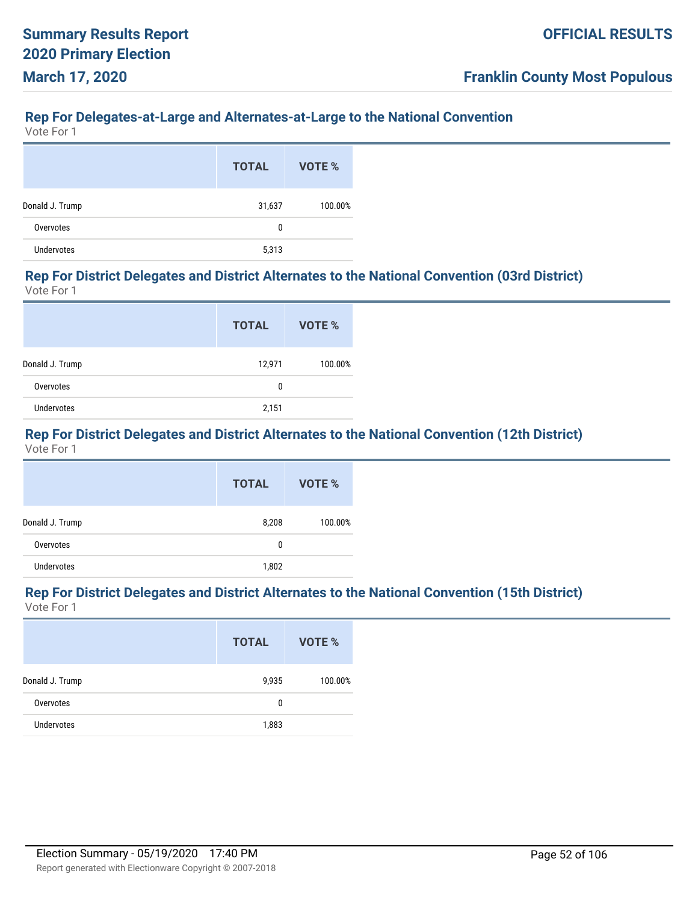#### **Rep For Delegates-at-Large and Alternates-at-Large to the National Convention**

Vote For 1

|                 | <b>TOTAL</b> | VOTE %  |
|-----------------|--------------|---------|
| Donald J. Trump | 31,637       | 100.00% |
| Overvotes       | 0            |         |
| Undervotes      | 5,313        |         |

#### **Rep For District Delegates and District Alternates to the National Convention (03rd District)** Vote For 1

|                 | <b>TOTAL</b> | VOTE %  |
|-----------------|--------------|---------|
| Donald J. Trump | 12,971       | 100.00% |
| Overvotes       | 0            |         |
| Undervotes      | 2,151        |         |

# **Rep For District Delegates and District Alternates to the National Convention (12th District)**

Vote For 1

|                 | <b>TOTAL</b> | VOTE %  |
|-----------------|--------------|---------|
| Donald J. Trump | 8,208        | 100.00% |
| Overvotes       | 0            |         |
| Undervotes      | 1,802        |         |

#### **Rep For District Delegates and District Alternates to the National Convention (15th District)** Vote For 1

|                   | <b>TOTAL</b> | VOTE %  |
|-------------------|--------------|---------|
| Donald J. Trump   | 9,935        | 100.00% |
| Overvotes         | 0            |         |
| <b>Undervotes</b> | 1,883        |         |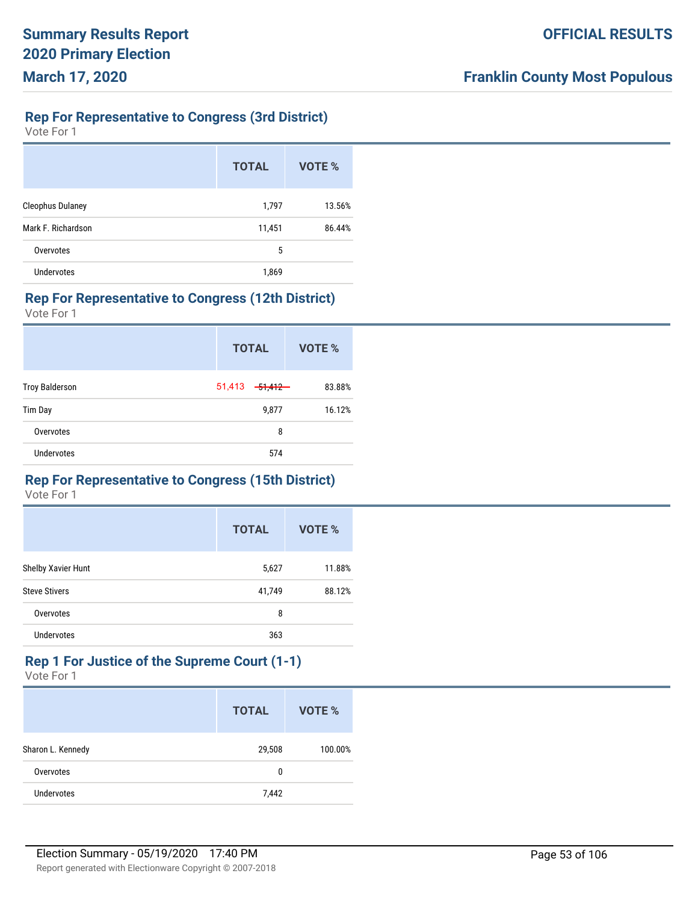# **Rep For Representative to Congress (3rd District)**

Vote For 1

|                         | <b>TOTAL</b> | VOTE % |
|-------------------------|--------------|--------|
| <b>Cleophus Dulaney</b> | 1,797        | 13.56% |
| Mark F. Richardson      | 11,451       | 86.44% |
| Overvotes               | 5            |        |
| Undervotes              | 1,869        |        |

#### **Rep For Representative to Congress (12th District)**

Vote For 1

|                       | <b>TOTAL</b> |                     | VOTE % |
|-----------------------|--------------|---------------------|--------|
| <b>Troy Balderson</b> | 51,413       | <del>51,412 -</del> | 83.88% |
| Tim Day               |              | 9,877               | 16.12% |
| Overvotes             |              | 8                   |        |
| <b>Undervotes</b>     |              | 574                 |        |

### **Rep For Representative to Congress (15th District)**

Vote For 1

|                      | <b>TOTAL</b> | VOTE % |
|----------------------|--------------|--------|
| Shelby Xavier Hunt   | 5,627        | 11.88% |
| <b>Steve Stivers</b> | 41,749       | 88.12% |
| Overvotes            | 8            |        |
| Undervotes           | 363          |        |

#### **Rep 1 For Justice of the Supreme Court (1-1)** Vote For 1

|                   | <b>TOTAL</b> | VOTE %  |
|-------------------|--------------|---------|
| Sharon L. Kennedy | 29,508       | 100.00% |
| Overvotes         | 0            |         |
| Undervotes        | 7,442        |         |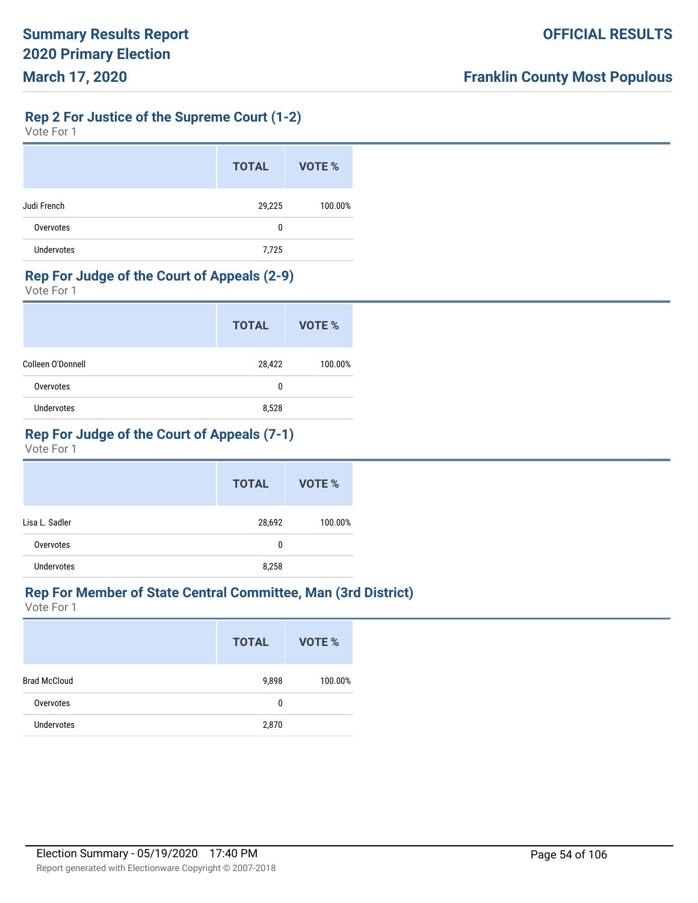**Rep 2 For Justice of the Supreme Court (1-2)**

| Vote For 1 |  |  |
|------------|--|--|
|------------|--|--|

|                   | <b>TOTAL</b> | VOTE %  |
|-------------------|--------------|---------|
| Judi French       | 29,225       | 100.00% |
| Overvotes         | 0            |         |
| <b>Undervotes</b> | 7,725        |         |

#### **Rep For Judge of the Court of Appeals (2-9)**

Vote For 1

|                   | <b>TOTAL</b> | VOTE %  |
|-------------------|--------------|---------|
| Colleen O'Donnell | 28,422       | 100.00% |
| Overvotes         | 0            |         |
| <b>Undervotes</b> | 8,528        |         |

# **Rep For Judge of the Court of Appeals (7-1)**

Vote For 1

|                | <b>TOTAL</b> | VOTE %  |
|----------------|--------------|---------|
| Lisa L. Sadler | 28,692       | 100.00% |
| Overvotes      | 0            |         |
| Undervotes     | 8,258        |         |

### **Rep For Member of State Central Committee, Man (3rd District)**

|                     | <b>TOTAL</b> | VOTE %  |
|---------------------|--------------|---------|
| <b>Brad McCloud</b> | 9,898        | 100.00% |
| Overvotes           | 0            |         |
| <b>Undervotes</b>   | 2,870        |         |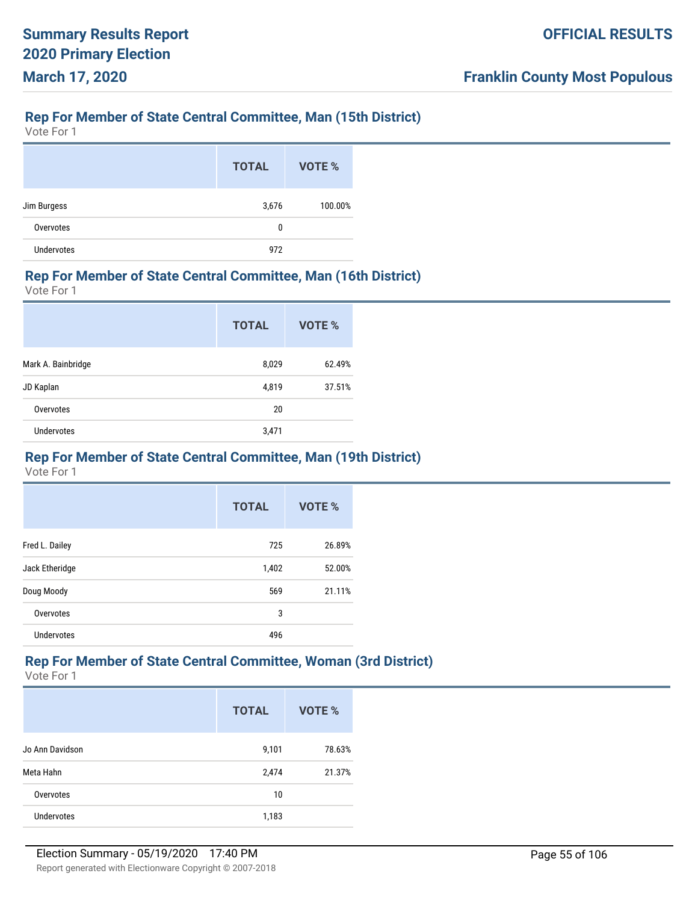# **Rep For Member of State Central Committee, Man (15th District)**

Vote For 1

|                   | <b>TOTAL</b> | VOTE %  |
|-------------------|--------------|---------|
| Jim Burgess       | 3,676        | 100.00% |
| Overvotes         | 0            |         |
| <b>Undervotes</b> | 972          |         |

#### **Rep For Member of State Central Committee, Man (16th District)**

Vote For 1

|                    | <b>TOTAL</b> | VOTE % |
|--------------------|--------------|--------|
| Mark A. Bainbridge | 8,029        | 62.49% |
| JD Kaplan          | 4,819        | 37.51% |
| Overvotes          | 20           |        |
| <b>Undervotes</b>  | 3,471        |        |

#### **Rep For Member of State Central Committee, Man (19th District)**

Vote For 1

|                   | <b>TOTAL</b> | VOTE % |
|-------------------|--------------|--------|
| Fred L. Dailey    | 725          | 26.89% |
| Jack Etheridge    | 1,402        | 52.00% |
| Doug Moody        | 569          | 21.11% |
| Overvotes         | 3            |        |
| <b>Undervotes</b> | 496          |        |

# **Rep For Member of State Central Committee, Woman (3rd District)**

|                   | <b>TOTAL</b> | <b>VOTE %</b> |
|-------------------|--------------|---------------|
| Jo Ann Davidson   | 9,101        | 78.63%        |
| Meta Hahn         | 2,474        | 21.37%        |
| Overvotes         | 10           |               |
| <b>Undervotes</b> | 1,183        |               |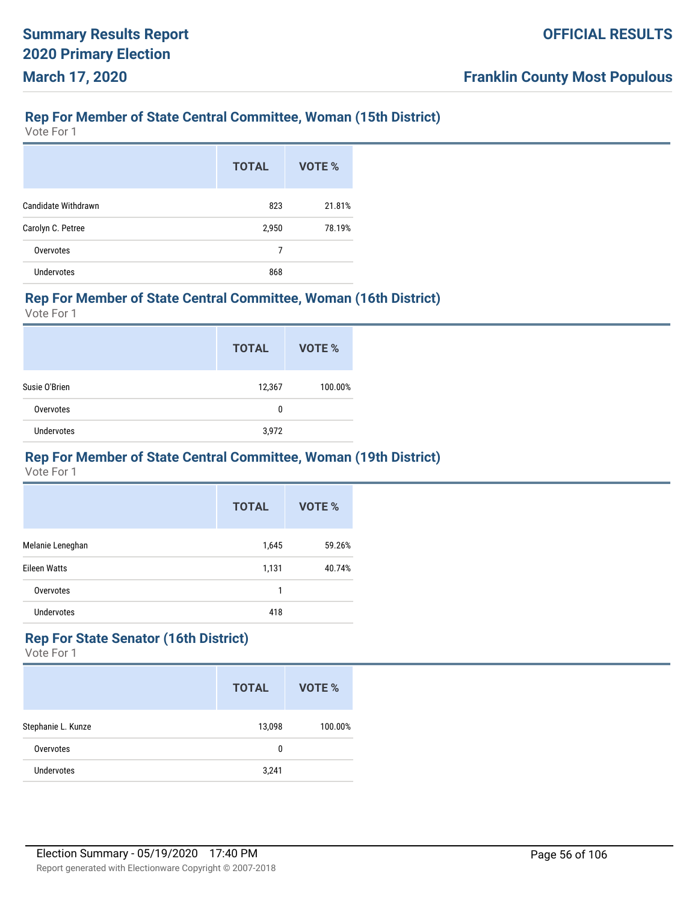### **Rep For Member of State Central Committee, Woman (15th District)**

Vote For 1

|                     | <b>TOTAL</b> | VOTE % |
|---------------------|--------------|--------|
| Candidate Withdrawn | 823          | 21.81% |
| Carolyn C. Petree   | 2,950        | 78.19% |
| Overvotes           | 7            |        |
| <b>Undervotes</b>   | 868          |        |

### **Rep For Member of State Central Committee, Woman (16th District)**

Vote For 1

|               | <b>TOTAL</b> | VOTE %  |
|---------------|--------------|---------|
| Susie O'Brien | 12,367       | 100.00% |
| Overvotes     | 0            |         |
| Undervotes    | 3,972        |         |

#### **Rep For Member of State Central Committee, Woman (19th District)**

Vote For 1

|                     | <b>TOTAL</b> | VOTE % |
|---------------------|--------------|--------|
| Melanie Leneghan    | 1,645        | 59.26% |
| <b>Eileen Watts</b> | 1,131        | 40.74% |
| Overvotes           | 1            |        |
| <b>Undervotes</b>   | 418          |        |

# **Rep For State Senator (16th District)**

|                    | <b>TOTAL</b> | VOTE %  |
|--------------------|--------------|---------|
| Stephanie L. Kunze | 13,098       | 100.00% |
| Overvotes          | 0            |         |
| Undervotes         | 3,241        |         |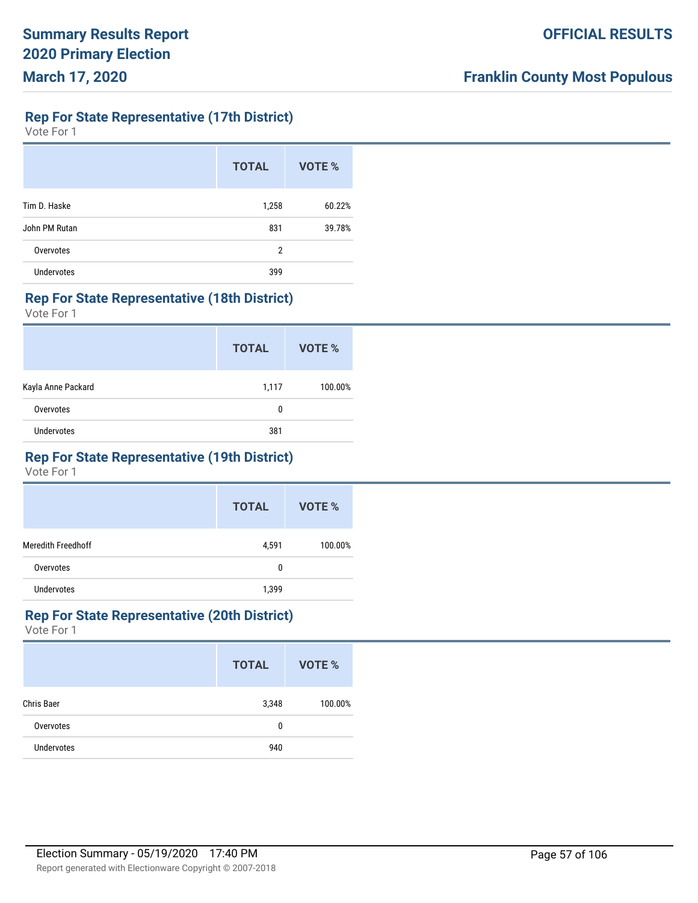**Rep For State Representative (17th District)**

Vote For 1

|                   | <b>TOTAL</b> | <b>VOTE %</b> |
|-------------------|--------------|---------------|
| Tim D. Haske      | 1,258        | 60.22%        |
| John PM Rutan     | 831          | 39.78%        |
| Overvotes         | 2            |               |
| <b>Undervotes</b> | 399          |               |

#### **Rep For State Representative (18th District)**

Vote For 1

|                    | <b>TOTAL</b> | VOTE %  |
|--------------------|--------------|---------|
| Kayla Anne Packard | 1,117        | 100.00% |
| Overvotes          | 0            |         |
| <b>Undervotes</b>  | 381          |         |

# **Rep For State Representative (19th District)**

Vote For 1

|                    | <b>TOTAL</b> | VOTE %  |
|--------------------|--------------|---------|
| Meredith Freedhoff | 4,591        | 100.00% |
| Overvotes          | 0            |         |
| <b>Undervotes</b>  | 1,399        |         |

#### **Rep For State Representative (20th District)**

|                   | <b>TOTAL</b> | VOTE %  |
|-------------------|--------------|---------|
| Chris Baer        | 3,348        | 100.00% |
| Overvotes         | 0            |         |
| <b>Undervotes</b> | 940          |         |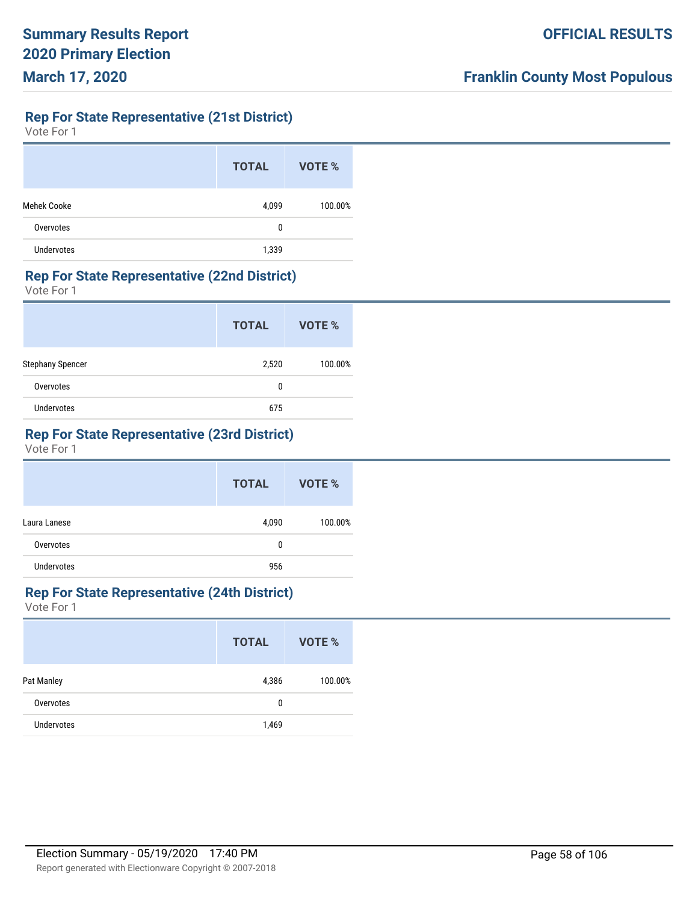# **Rep For State Representative (21st District)**

Vote For 1

|                   | <b>TOTAL</b> | VOTE %  |
|-------------------|--------------|---------|
| Mehek Cooke       | 4,099        | 100.00% |
| Overvotes         | 0            |         |
| <b>Undervotes</b> | 1,339        |         |

#### **Rep For State Representative (22nd District)**

Vote For 1

|                   | <b>TOTAL</b> | VOTE %  |
|-------------------|--------------|---------|
| Stephany Spencer  | 2,520        | 100.00% |
| Overvotes         | 0            |         |
| <b>Undervotes</b> | 675          |         |

# **Rep For State Representative (23rd District)**

Vote For 1

|                   | <b>TOTAL</b> | VOTE %  |
|-------------------|--------------|---------|
| Laura Lanese      | 4,090        | 100.00% |
| Overvotes         | 0            |         |
| <b>Undervotes</b> | 956          |         |

# **Rep For State Representative (24th District)**

|                   | <b>TOTAL</b> | VOTE %  |
|-------------------|--------------|---------|
| Pat Manley        | 4,386        | 100.00% |
| Overvotes         | 0            |         |
| <b>Undervotes</b> | 1,469        |         |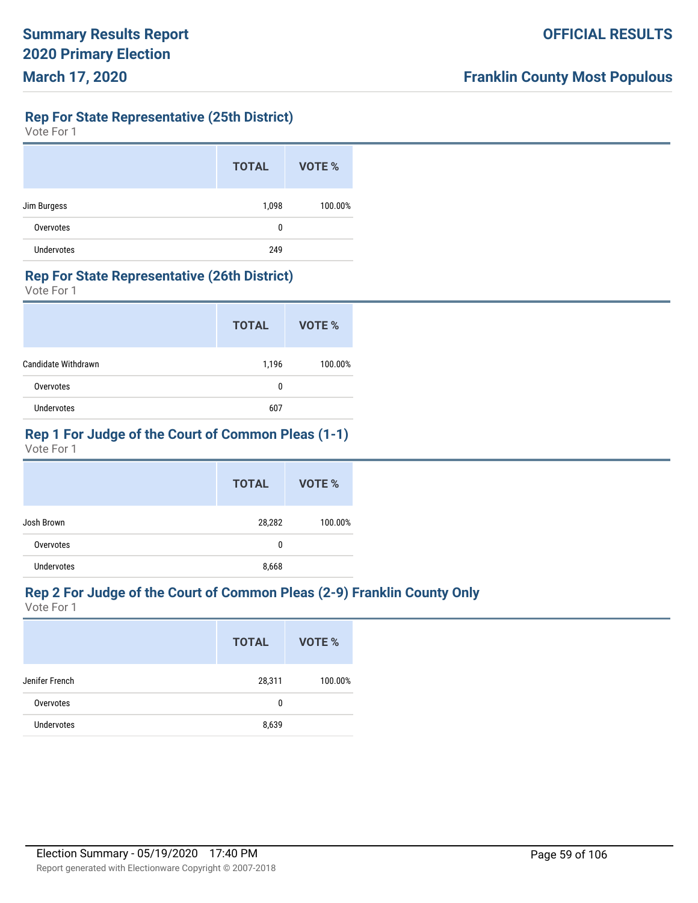# **Rep For State Representative (25th District)**

Vote For 1

|                   | <b>TOTAL</b> | VOTE %  |
|-------------------|--------------|---------|
| Jim Burgess       | 1,098        | 100.00% |
| Overvotes         | 0            |         |
| <b>Undervotes</b> | 249          |         |

#### **Rep For State Representative (26th District)**

Vote For 1

|                     | <b>TOTAL</b> | VOTE %  |
|---------------------|--------------|---------|
| Candidate Withdrawn | 1,196        | 100.00% |
| Overvotes           | 0            |         |
| <b>Undervotes</b>   | 607          |         |

# **Rep 1 For Judge of the Court of Common Pleas (1-1)**

Vote For 1

|                   | <b>TOTAL</b> | VOTE %  |
|-------------------|--------------|---------|
| Josh Brown        | 28,282       | 100.00% |
| Overvotes         | 0            |         |
| <b>Undervotes</b> | 8,668        |         |

# **Rep 2 For Judge of the Court of Common Pleas (2-9) Franklin County Only**

|                   | <b>TOTAL</b> | VOTE %  |
|-------------------|--------------|---------|
| Jenifer French    | 28,311       | 100.00% |
| Overvotes         | 0            |         |
| <b>Undervotes</b> | 8,639        |         |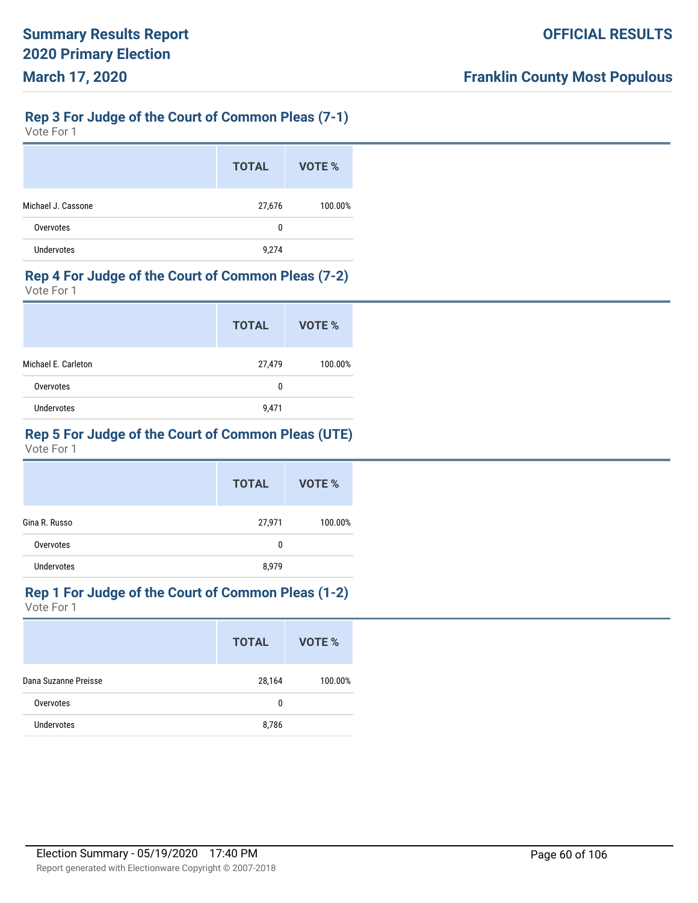# **Rep 3 For Judge of the Court of Common Pleas (7-1)**

Vote For 1

|                    | <b>TOTAL</b> | VOTE %  |
|--------------------|--------------|---------|
| Michael J. Cassone | 27,676       | 100.00% |
| Overvotes          | 0            |         |
| Undervotes         | 9,274        |         |

#### **Rep 4 For Judge of the Court of Common Pleas (7-2)**

Vote For 1

|                     | <b>TOTAL</b> | VOTE %  |
|---------------------|--------------|---------|
| Michael E. Carleton | 27,479       | 100.00% |
| Overvotes           | 0            |         |
| Undervotes          | 9,471        |         |

# **Rep 5 For Judge of the Court of Common Pleas (UTE)**

Vote For 1

|                   | <b>TOTAL</b> | VOTE %  |
|-------------------|--------------|---------|
| Gina R. Russo     | 27,971       | 100.00% |
| Overvotes         | 0            |         |
| <b>Undervotes</b> | 8,979        |         |

# **Rep 1 For Judge of the Court of Common Pleas (1-2)**

|                      | <b>TOTAL</b> | VOTE %  |
|----------------------|--------------|---------|
| Dana Suzanne Preisse | 28,164       | 100.00% |
| Overvotes            | 0            |         |
| <b>Undervotes</b>    | 8,786        |         |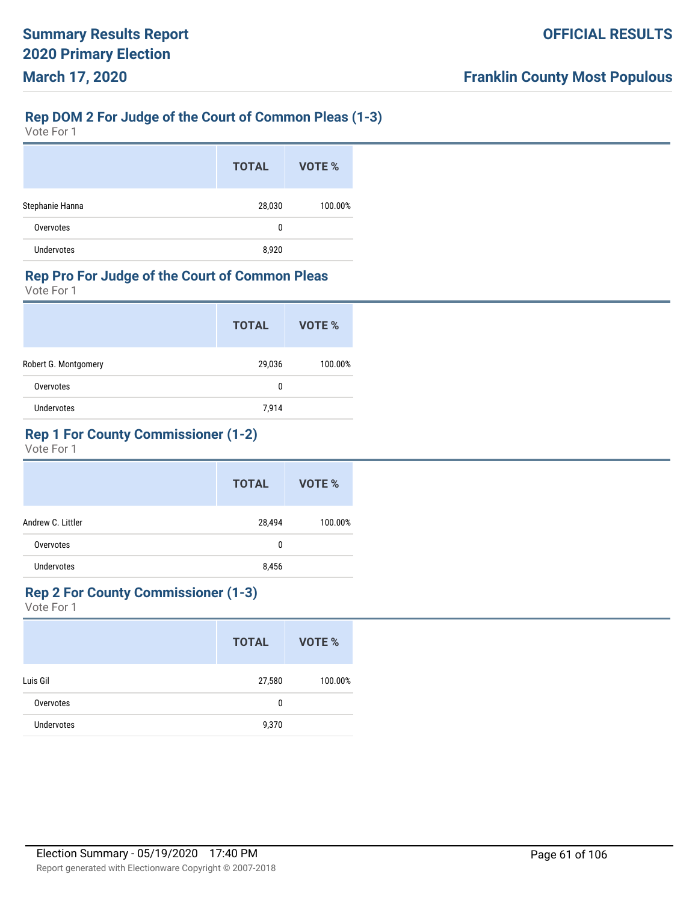# **Rep DOM 2 For Judge of the Court of Common Pleas (1-3)**

Vote For 1

|                   | <b>TOTAL</b> | VOTE %  |
|-------------------|--------------|---------|
| Stephanie Hanna   | 28,030       | 100.00% |
| Overvotes         | 0            |         |
| <b>Undervotes</b> | 8,920        |         |

# **Rep Pro For Judge of the Court of Common Pleas**

Vote For 1

|                      | <b>TOTAL</b> | VOTE %  |
|----------------------|--------------|---------|
| Robert G. Montgomery | 29,036       | 100.00% |
| Overvotes            | 0            |         |
| Undervotes           | 7,914        |         |

# **Rep 1 For County Commissioner (1-2)**

Vote For 1

|                   | <b>TOTAL</b> | VOTE %  |
|-------------------|--------------|---------|
| Andrew C. Littler | 28,494       | 100.00% |
| Overvotes         | 0            |         |
| Undervotes        | 8,456        |         |

### **Rep 2 For County Commissioner (1-3)**

|                   | <b>TOTAL</b> | VOTE %  |
|-------------------|--------------|---------|
| Luis Gil          | 27,580       | 100.00% |
| Overvotes         | 0            |         |
| <b>Undervotes</b> | 9,370        |         |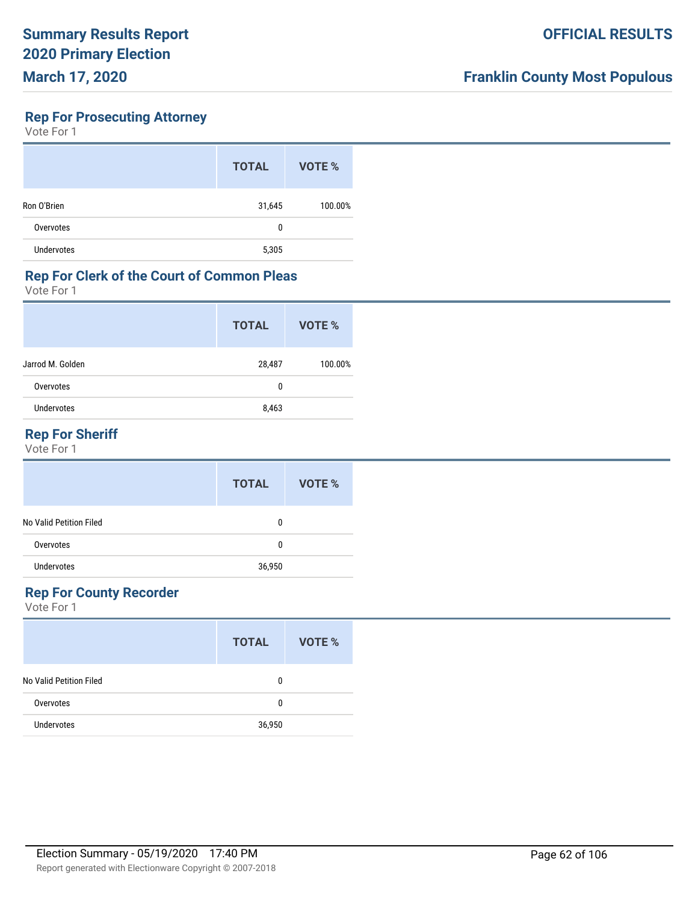# **Rep For Prosecuting Attorney**

Vote For 1

|                   | <b>TOTAL</b> | VOTE %  |
|-------------------|--------------|---------|
| Ron O'Brien       | 31,645       | 100.00% |
| Overvotes         | 0            |         |
| <b>Undervotes</b> | 5,305        |         |

#### **Rep For Clerk of the Court of Common Pleas**

Vote For 1

|                  | <b>TOTAL</b> | VOTE %  |
|------------------|--------------|---------|
| Jarrod M. Golden | 28,487       | 100.00% |
| Overvotes        | 0            |         |
| Undervotes       | 8,463        |         |
|                  |              |         |

# **Rep For Sheriff**

Vote For 1

|                         | <b>TOTAL</b> | VOTE % |
|-------------------------|--------------|--------|
| No Valid Petition Filed | 0            |        |
| Overvotes               | 0            |        |
| Undervotes              | 36,950       |        |

# **Rep For County Recorder**

|                         | <b>TOTAL</b> | VOTE % |
|-------------------------|--------------|--------|
| No Valid Petition Filed | 0            |        |
| Overvotes               | 0            |        |
| <b>Undervotes</b>       | 36,950       |        |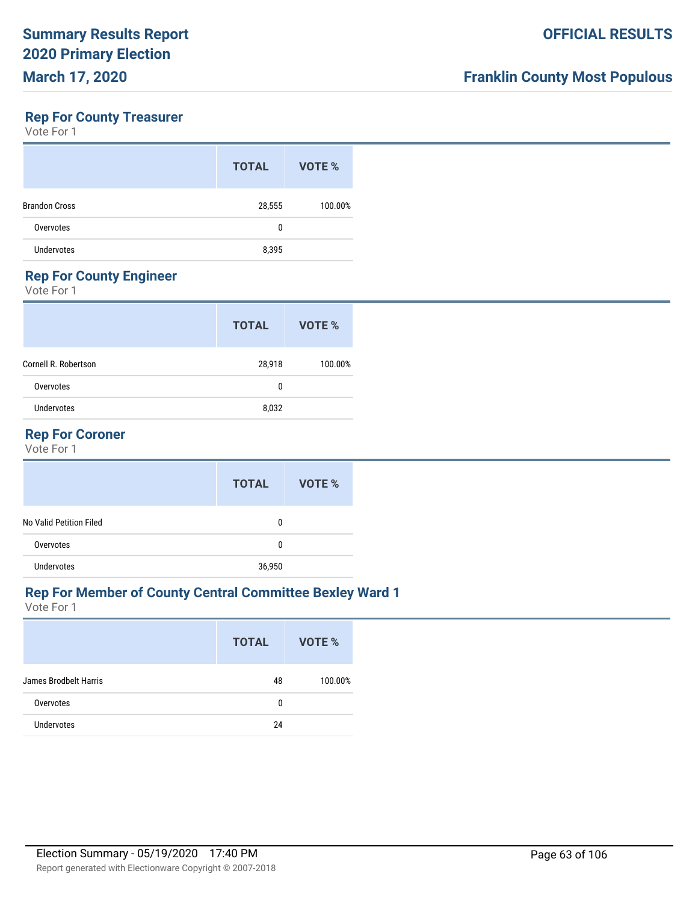### **Rep For County Treasurer**

Vote For 1

|                      | <b>TOTAL</b> | VOTE %  |
|----------------------|--------------|---------|
| <b>Brandon Cross</b> | 28,555       | 100.00% |
| Overvotes            | 0            |         |
| <b>Undervotes</b>    | 8,395        |         |
|                      |              |         |

# **Rep For County Engineer**

Vote For 1

|                      | <b>TOTAL</b> | VOTE %  |
|----------------------|--------------|---------|
| Cornell R. Robertson | 28,918       | 100.00% |
| Overvotes            | 0            |         |
| Undervotes           | 8,032        |         |
|                      |              |         |

### **Rep For Coroner**

Vote For 1

|                         | <b>TOTAL</b> | VOTE % |
|-------------------------|--------------|--------|
| No Valid Petition Filed | 0            |        |
| Overvotes               | 0            |        |
| <b>Undervotes</b>       | 36,950       |        |

### **Rep For Member of County Central Committee Bexley Ward 1**

|                       | <b>TOTAL</b> | VOTE %  |
|-----------------------|--------------|---------|
| James Brodbelt Harris | 48           | 100.00% |
| Overvotes             | 0            |         |
| <b>Undervotes</b>     | 24           |         |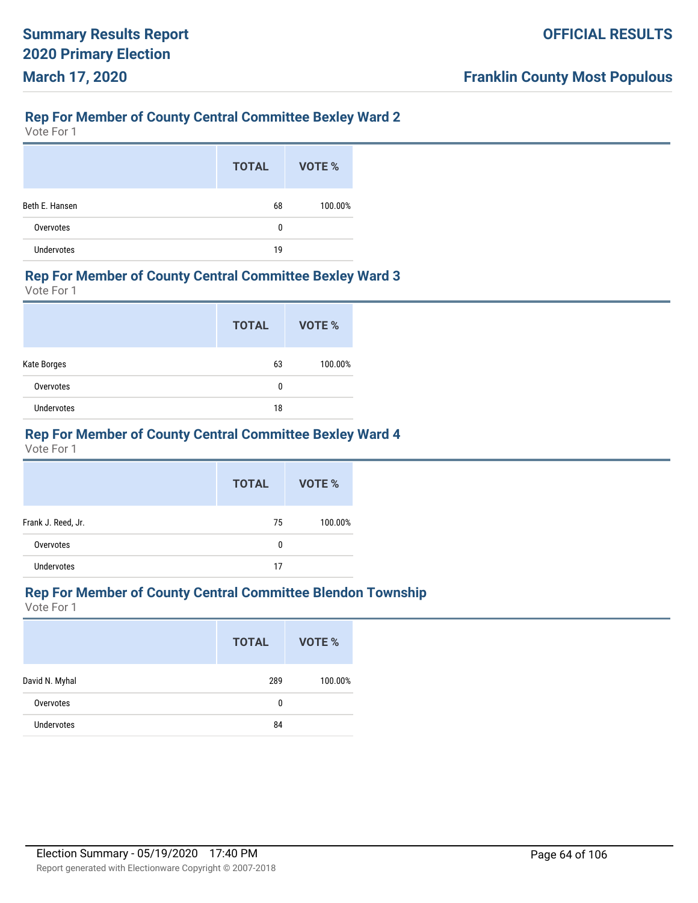# **Rep For Member of County Central Committee Bexley Ward 2**

Vote For 1

|                   | <b>TOTAL</b> | VOTE %  |
|-------------------|--------------|---------|
| Beth E. Hansen    | 68           | 100.00% |
| Overvotes         | 0            |         |
| <b>Undervotes</b> | 19           |         |

#### **Rep For Member of County Central Committee Bexley Ward 3**

Vote For 1

|                   | <b>TOTAL</b> | VOTE %  |
|-------------------|--------------|---------|
| Kate Borges       | 63           | 100.00% |
| Overvotes         | 0            |         |
| <b>Undervotes</b> | 18           |         |

# **Rep For Member of County Central Committee Bexley Ward 4**

Vote For 1

|                    | <b>TOTAL</b> | VOTE %  |
|--------------------|--------------|---------|
| Frank J. Reed, Jr. | 75           | 100.00% |
| Overvotes          | 0            |         |
| <b>Undervotes</b>  | 17           |         |

### **Rep For Member of County Central Committee Blendon Township**

|                   | <b>TOTAL</b> | VOTE %  |
|-------------------|--------------|---------|
| David N. Myhal    | 289          | 100.00% |
| Overvotes         | 0            |         |
| <b>Undervotes</b> | 84           |         |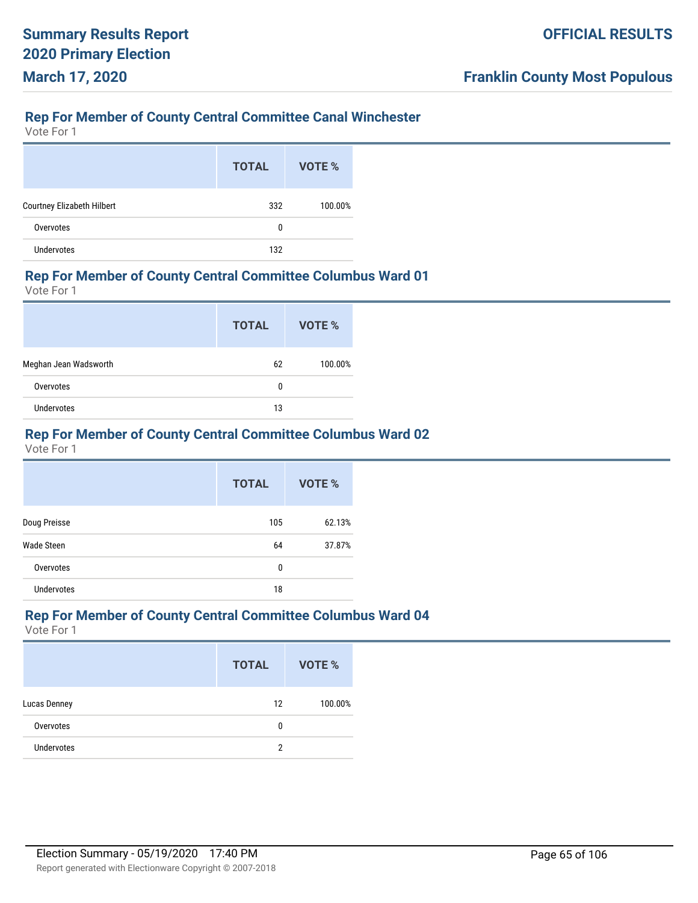# **Rep For Member of County Central Committee Canal Winchester**

Vote For 1

|                            | <b>TOTAL</b> | VOTE %  |
|----------------------------|--------------|---------|
| Courtney Elizabeth Hilbert | 332          | 100.00% |
| Overvotes                  | 0            |         |
| <b>Undervotes</b>          | 132          |         |

#### **Rep For Member of County Central Committee Columbus Ward 01**

Vote For 1

|                       | <b>TOTAL</b> | VOTE %  |
|-----------------------|--------------|---------|
| Meghan Jean Wadsworth | 62           | 100.00% |
| Overvotes             | 0            |         |
| <b>Undervotes</b>     | 13           |         |

# **Rep For Member of County Central Committee Columbus Ward 02**

Vote For 1

|                   | <b>TOTAL</b> | VOTE % |
|-------------------|--------------|--------|
| Doug Preisse      | 105          | 62.13% |
| Wade Steen        | 64           | 37.87% |
| Overvotes         | 0            |        |
| <b>Undervotes</b> | 18           |        |

#### **Rep For Member of County Central Committee Columbus Ward 04**

|                     | <b>TOTAL</b> | <b>VOTE %</b> |
|---------------------|--------------|---------------|
| <b>Lucas Denney</b> | 12           | 100.00%       |
| Overvotes           | 0            |               |
| <b>Undervotes</b>   | 2            |               |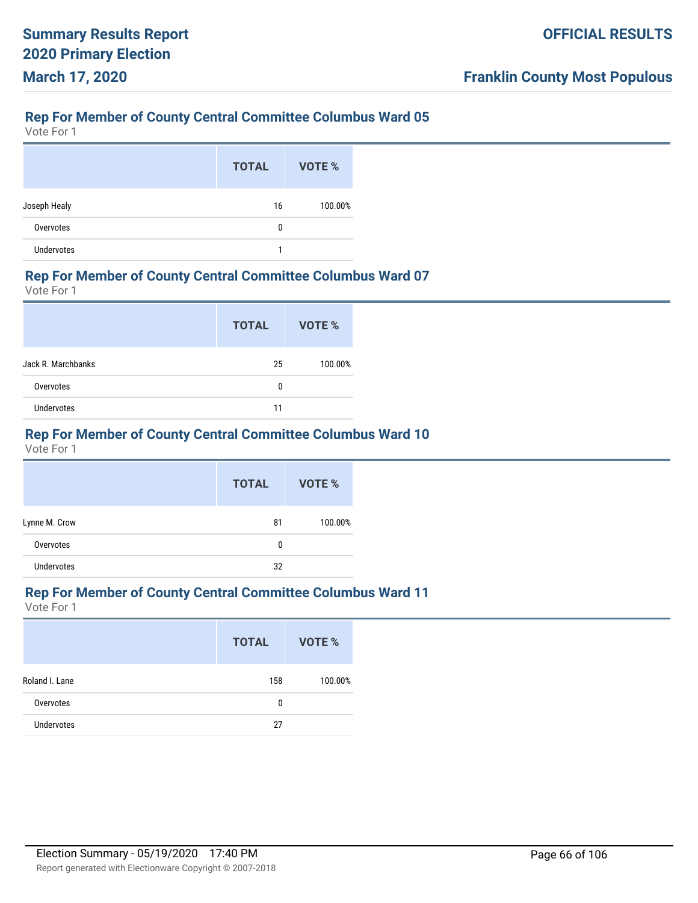Vote For 1

|                   | <b>TOTAL</b> | VOTE %  |
|-------------------|--------------|---------|
| Joseph Healy      | 16           | 100.00% |
| Overvotes         | 0            |         |
| <b>Undervotes</b> |              |         |

#### **Rep For Member of County Central Committee Columbus Ward 07**

Vote For 1

|                    | <b>TOTAL</b> | VOTE %  |
|--------------------|--------------|---------|
| Jack R. Marchbanks | 25           | 100.00% |
| Overvotes          | 0            |         |
| <b>Undervotes</b>  | 11           |         |

# **Rep For Member of County Central Committee Columbus Ward 10**

Vote For 1

|               | <b>TOTAL</b> | VOTE %  |
|---------------|--------------|---------|
| Lynne M. Crow | 81           | 100.00% |
| Overvotes     | 0            |         |
| Undervotes    | 32           |         |

# **Rep For Member of County Central Committee Columbus Ward 11**

|                   | <b>TOTAL</b> | VOTE %  |
|-------------------|--------------|---------|
| Roland I. Lane    | 158          | 100.00% |
| Overvotes         | 0            |         |
| <b>Undervotes</b> | 27           |         |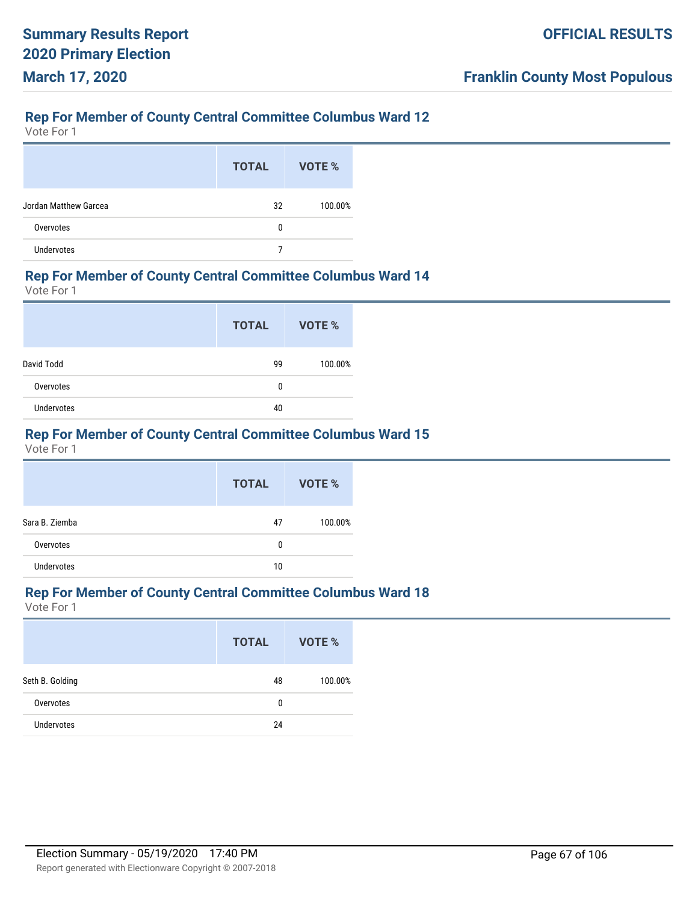Vote For 1

|                       | <b>TOTAL</b> | VOTE %  |
|-----------------------|--------------|---------|
| Jordan Matthew Garcea | 32           | 100.00% |
| Overvotes             | 0            |         |
| <b>Undervotes</b>     |              |         |

#### **Rep For Member of County Central Committee Columbus Ward 14**

Vote For 1

|            | <b>TOTAL</b> | <b>VOTE %</b> |
|------------|--------------|---------------|
| David Todd | 99           | 100.00%       |
| Overvotes  | 0            |               |
| Undervotes | 40           |               |

# **Rep For Member of County Central Committee Columbus Ward 15**

Vote For 1

|                   | <b>TOTAL</b> | VOTE %  |
|-------------------|--------------|---------|
| Sara B. Ziemba    | 47           | 100.00% |
| Overvotes         | 0            |         |
| <b>Undervotes</b> | 10           |         |

# **Rep For Member of County Central Committee Columbus Ward 18**

|                   | <b>TOTAL</b> | VOTE %  |
|-------------------|--------------|---------|
| Seth B. Golding   | 48           | 100.00% |
| Overvotes         | 0            |         |
| <b>Undervotes</b> | 24           |         |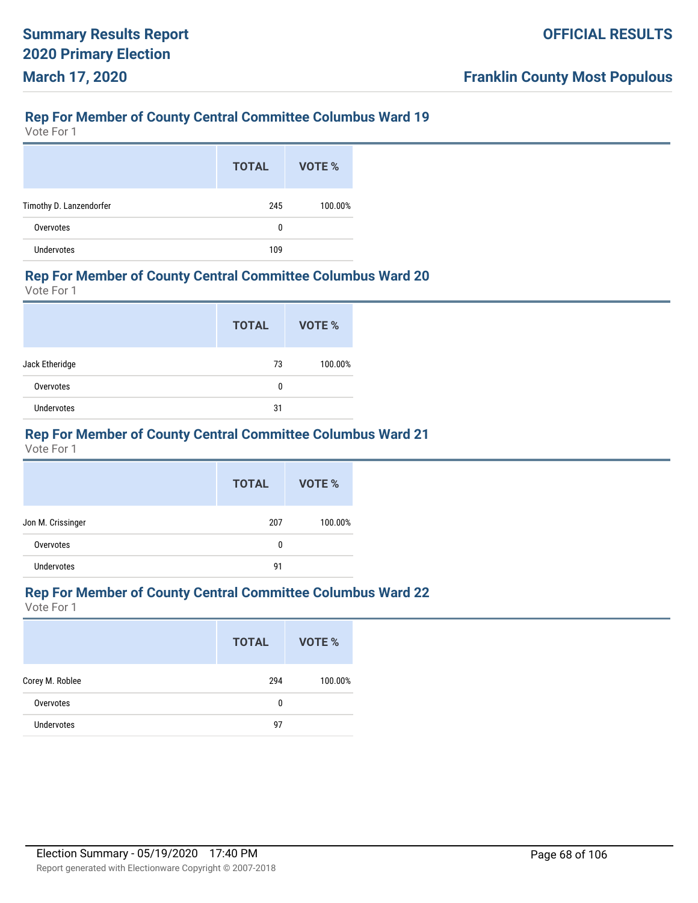Vote For 1

|                         | <b>TOTAL</b> | VOTE %  |
|-------------------------|--------------|---------|
| Timothy D. Lanzendorfer | 245          | 100.00% |
| Overvotes               | 0            |         |
| Undervotes              | 109          |         |

#### **Rep For Member of County Central Committee Columbus Ward 20**

Vote For 1

|                | <b>TOTAL</b> | VOTE %  |
|----------------|--------------|---------|
| Jack Etheridge | 73           | 100.00% |
| Overvotes      | 0            |         |
| Undervotes     | 31           |         |

# **Rep For Member of County Central Committee Columbus Ward 21**

Vote For 1

|                   | <b>TOTAL</b> | VOTE %  |
|-------------------|--------------|---------|
| Jon M. Crissinger | 207          | 100.00% |
| Overvotes         | 0            |         |
| <b>Undervotes</b> | 91           |         |

# **Rep For Member of County Central Committee Columbus Ward 22**

|                   | <b>TOTAL</b> | VOTE %  |
|-------------------|--------------|---------|
| Corey M. Roblee   | 294          | 100.00% |
| Overvotes         | 0            |         |
| <b>Undervotes</b> | 97           |         |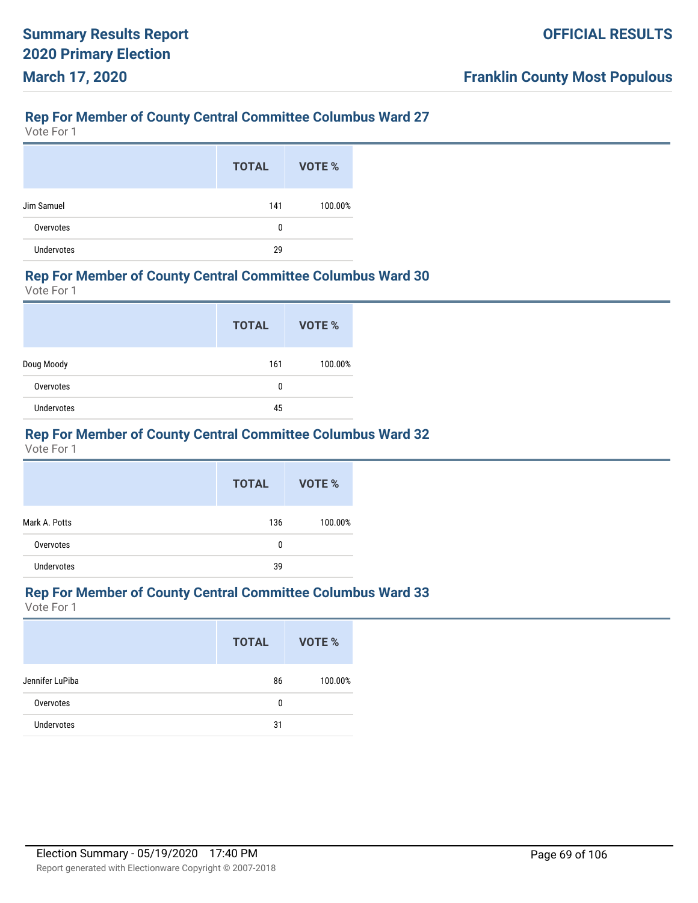Vote For 1

|                   | <b>TOTAL</b> | VOTE %  |
|-------------------|--------------|---------|
| Jim Samuel        | 141          | 100.00% |
| Overvotes         | 0            |         |
| <b>Undervotes</b> | 29           |         |

#### **Rep For Member of County Central Committee Columbus Ward 30**

Vote For 1

|            | <b>TOTAL</b> | <b>VOTE %</b> |
|------------|--------------|---------------|
| Doug Moody | 161          | 100.00%       |
| Overvotes  | 0            |               |
| Undervotes | 45           |               |

# **Rep For Member of County Central Committee Columbus Ward 32**

Vote For 1

|                   | <b>TOTAL</b> | <b>VOTE %</b> |
|-------------------|--------------|---------------|
| Mark A. Potts     | 136          | 100.00%       |
| Overvotes         | 0            |               |
| <b>Undervotes</b> | 39           |               |

# **Rep For Member of County Central Committee Columbus Ward 33**

|                   | <b>TOTAL</b> | VOTE %  |
|-------------------|--------------|---------|
| Jennifer LuPiba   | 86           | 100.00% |
| Overvotes         | 0            |         |
| <b>Undervotes</b> | 31           |         |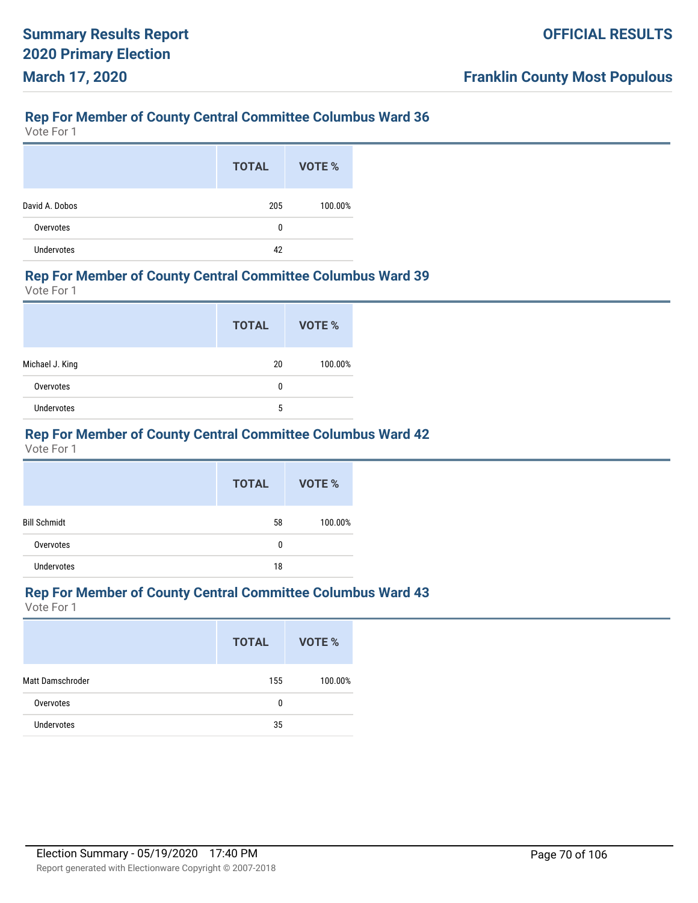Vote For 1

|                | <b>TOTAL</b> | VOTE %  |
|----------------|--------------|---------|
| David A. Dobos | 205          | 100.00% |
| Overvotes      | 0            |         |
| Undervotes     | 42           |         |

#### **Rep For Member of County Central Committee Columbus Ward 39**

Vote For 1

|                 | <b>TOTAL</b> | VOTE %  |
|-----------------|--------------|---------|
| Michael J. King | 20           | 100.00% |
| Overvotes       | 0            |         |
| Undervotes      | 5            |         |

# **Rep For Member of County Central Committee Columbus Ward 42**

Vote For 1

|                     | <b>TOTAL</b> | <b>VOTE %</b> |
|---------------------|--------------|---------------|
| <b>Bill Schmidt</b> | 58           | 100.00%       |
| Overvotes           | 0            |               |
| <b>Undervotes</b>   | 18           |               |

# **Rep For Member of County Central Committee Columbus Ward 43**

|                   | <b>TOTAL</b> | VOTE %  |
|-------------------|--------------|---------|
| Matt Damschroder  | 155          | 100.00% |
| Overvotes         | 0            |         |
| <b>Undervotes</b> | 35           |         |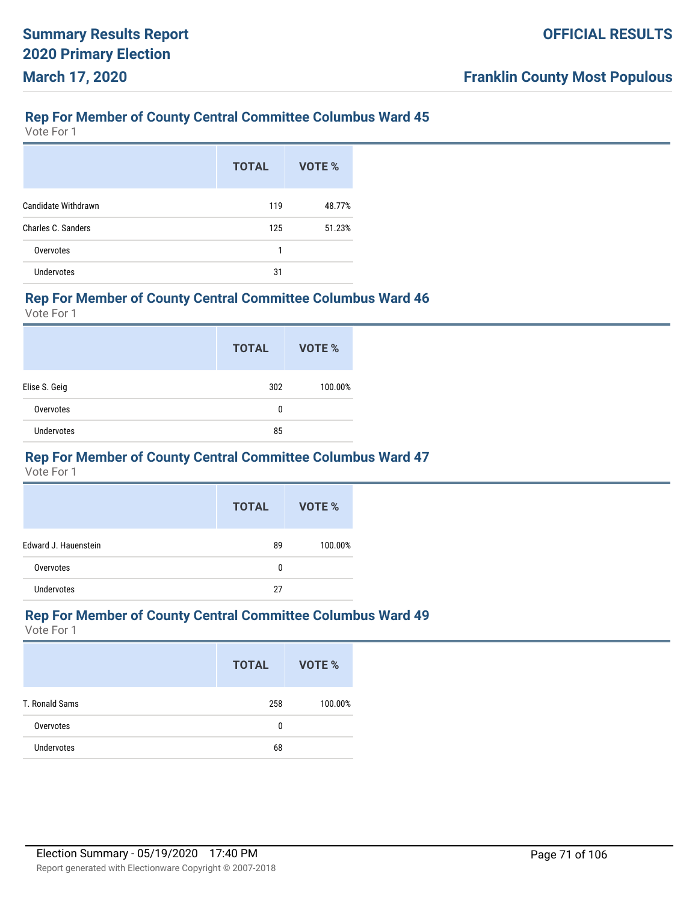Vote For 1

|                           | <b>TOTAL</b> | VOTE % |
|---------------------------|--------------|--------|
| Candidate Withdrawn       | 119          | 48.77% |
| <b>Charles C. Sanders</b> | 125          | 51.23% |
| Overvotes                 | 1            |        |
| <b>Undervotes</b>         | 31           |        |

#### **Rep For Member of County Central Committee Columbus Ward 46**

Vote For 1

|               | <b>TOTAL</b> | VOTE %  |
|---------------|--------------|---------|
| Elise S. Geig | 302          | 100.00% |
| Overvotes     | 0            |         |
| Undervotes    | 85           |         |

#### **Rep For Member of County Central Committee Columbus Ward 47**

Vote For 1

|                      | <b>TOTAL</b> | VOTE %  |
|----------------------|--------------|---------|
| Edward J. Hauenstein | 89           | 100.00% |
| Overvotes            | 0            |         |
| <b>Undervotes</b>    | 27           |         |

#### **Rep For Member of County Central Committee Columbus Ward 49**

|                   | <b>TOTAL</b> | VOTE %  |
|-------------------|--------------|---------|
| T. Ronald Sams    | 258          | 100.00% |
| Overvotes         | 0            |         |
| <b>Undervotes</b> | 68           |         |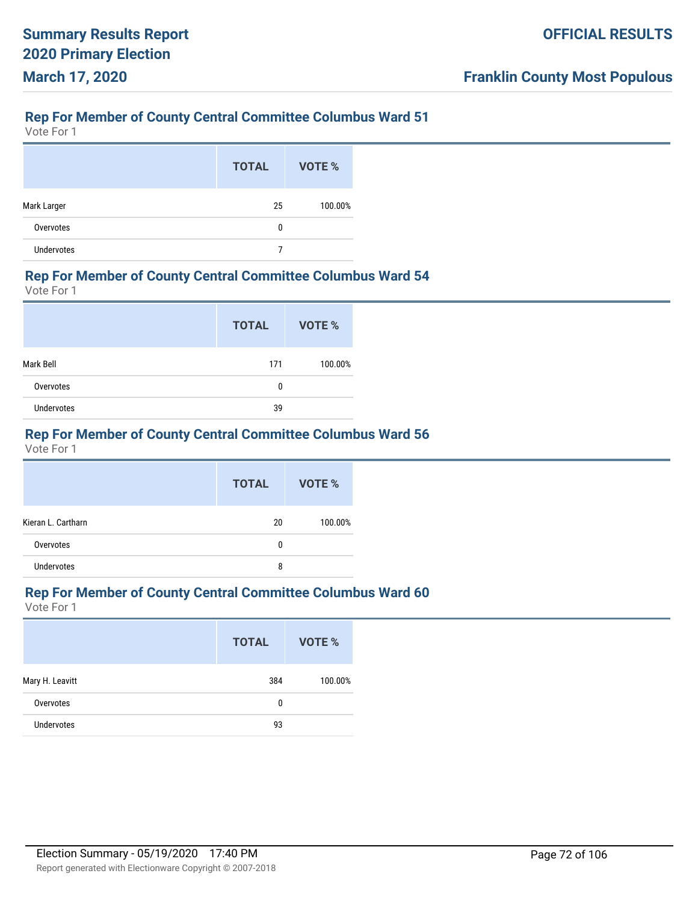Vote For 1

|             | <b>TOTAL</b> | VOTE %  |
|-------------|--------------|---------|
| Mark Larger | 25           | 100.00% |
| Overvotes   | 0            |         |
| Undervotes  |              |         |

#### **Rep For Member of County Central Committee Columbus Ward 54**

Vote For 1

|                   | <b>TOTAL</b> | VOTE %  |
|-------------------|--------------|---------|
| Mark Bell         | 171          | 100.00% |
| Overvotes         | 0            |         |
| <b>Undervotes</b> | 39           |         |

# **Rep For Member of County Central Committee Columbus Ward 56**

Vote For 1

|                    | <b>TOTAL</b> | VOTE %  |
|--------------------|--------------|---------|
| Kieran L. Cartharn | 20           | 100.00% |
| Overvotes          | 0            |         |
| <b>Undervotes</b>  | 8            |         |

# **Rep For Member of County Central Committee Columbus Ward 60**

|                   | <b>TOTAL</b> | VOTE %  |
|-------------------|--------------|---------|
| Mary H. Leavitt   | 384          | 100.00% |
| Overvotes         | 0            |         |
| <b>Undervotes</b> | 93           |         |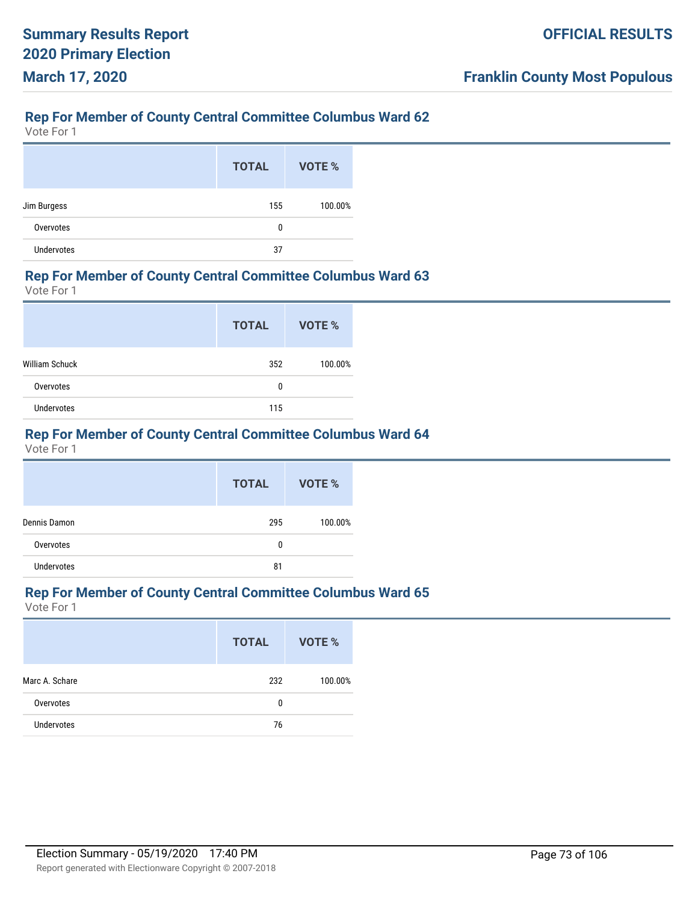Vote For 1

|                   | <b>TOTAL</b> | VOTE %  |
|-------------------|--------------|---------|
| Jim Burgess       | 155          | 100.00% |
| Overvotes         | 0            |         |
| <b>Undervotes</b> | 37           |         |

#### **Rep For Member of County Central Committee Columbus Ward 63**

Vote For 1

|                       | <b>TOTAL</b> | VOTE %  |
|-----------------------|--------------|---------|
| <b>William Schuck</b> | 352          | 100.00% |
| Overvotes             | 0            |         |
| Undervotes            | 115          |         |

# **Rep For Member of County Central Committee Columbus Ward 64**

Vote For 1

|                   | <b>TOTAL</b> | VOTE %  |
|-------------------|--------------|---------|
| Dennis Damon      | 295          | 100.00% |
| Overvotes         | 0            |         |
| <b>Undervotes</b> | 81           |         |

# **Rep For Member of County Central Committee Columbus Ward 65**

|                | <b>TOTAL</b> | <b>VOTE %</b> |
|----------------|--------------|---------------|
| Marc A. Schare | 232          | 100.00%       |
| Overvotes      | 0            |               |
| Undervotes     | 76           |               |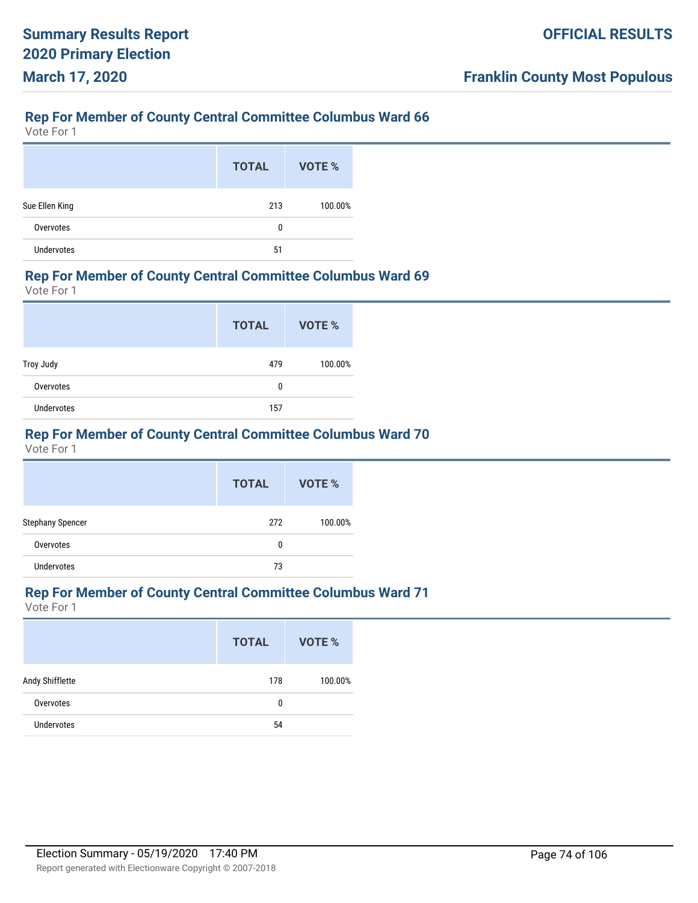Vote For 1

|                | <b>TOTAL</b> | VOTE %  |
|----------------|--------------|---------|
| Sue Ellen King | 213          | 100.00% |
| Overvotes      | 0            |         |
| Undervotes     | 51           |         |

#### **Rep For Member of County Central Committee Columbus Ward 69**

Vote For 1

|            | <b>TOTAL</b> | VOTE %  |
|------------|--------------|---------|
| Troy Judy  | 479          | 100.00% |
| Overvotes  | 0            |         |
| Undervotes | 157          |         |

# **Rep For Member of County Central Committee Columbus Ward 70**

Vote For 1

|                         | <b>TOTAL</b> | <b>VOTE %</b> |
|-------------------------|--------------|---------------|
| <b>Stephany Spencer</b> | 272          | 100.00%       |
| Overvotes               | 0            |               |
| Undervotes              | 73           |               |

# **Rep For Member of County Central Committee Columbus Ward 71**

|                   | <b>TOTAL</b> | VOTE %  |
|-------------------|--------------|---------|
| Andy Shifflette   | 178          | 100.00% |
| Overvotes         | 0            |         |
| <b>Undervotes</b> | 54           |         |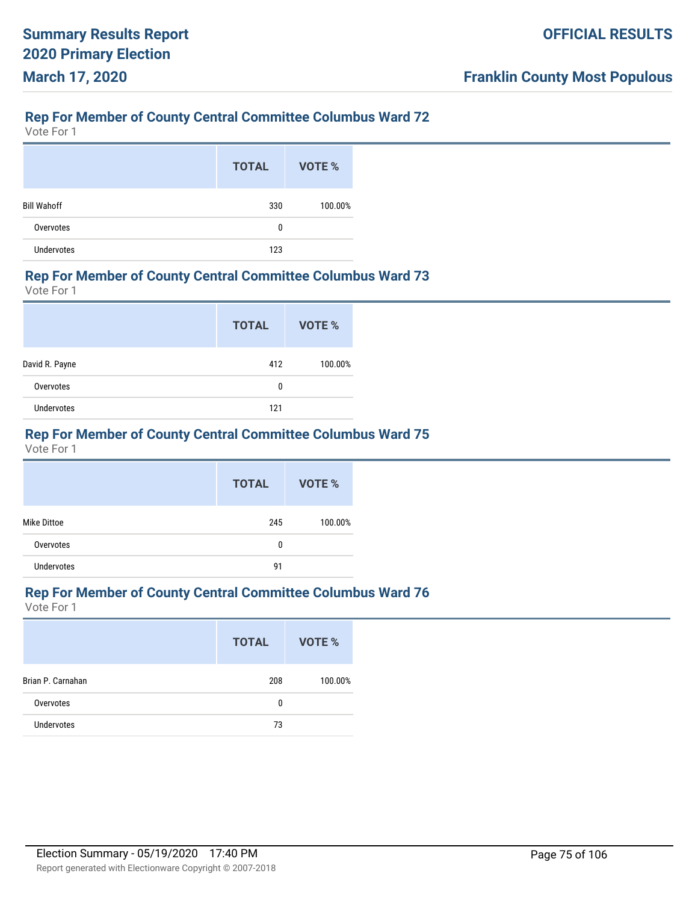Vote For 1

|                    | <b>TOTAL</b> | VOTE %  |
|--------------------|--------------|---------|
| <b>Bill Wahoff</b> | 330          | 100.00% |
| Overvotes          | 0            |         |
| <b>Undervotes</b>  | 123          |         |

#### **Rep For Member of County Central Committee Columbus Ward 73**

Vote For 1

|                   | <b>TOTAL</b> | VOTE %  |
|-------------------|--------------|---------|
| David R. Payne    | 412          | 100.00% |
| Overvotes         | 0            |         |
| <b>Undervotes</b> | 121          |         |

# **Rep For Member of County Central Committee Columbus Ward 75**

Vote For 1

|                    | <b>TOTAL</b> | VOTE %  |
|--------------------|--------------|---------|
| <b>Mike Dittoe</b> | 245          | 100.00% |
| Overvotes          | 0            |         |
| <b>Undervotes</b>  | 91           |         |

# **Rep For Member of County Central Committee Columbus Ward 76**

|                   | <b>TOTAL</b> | VOTE %  |
|-------------------|--------------|---------|
| Brian P. Carnahan | 208          | 100.00% |
| Overvotes         | 0            |         |
| <b>Undervotes</b> | 73           |         |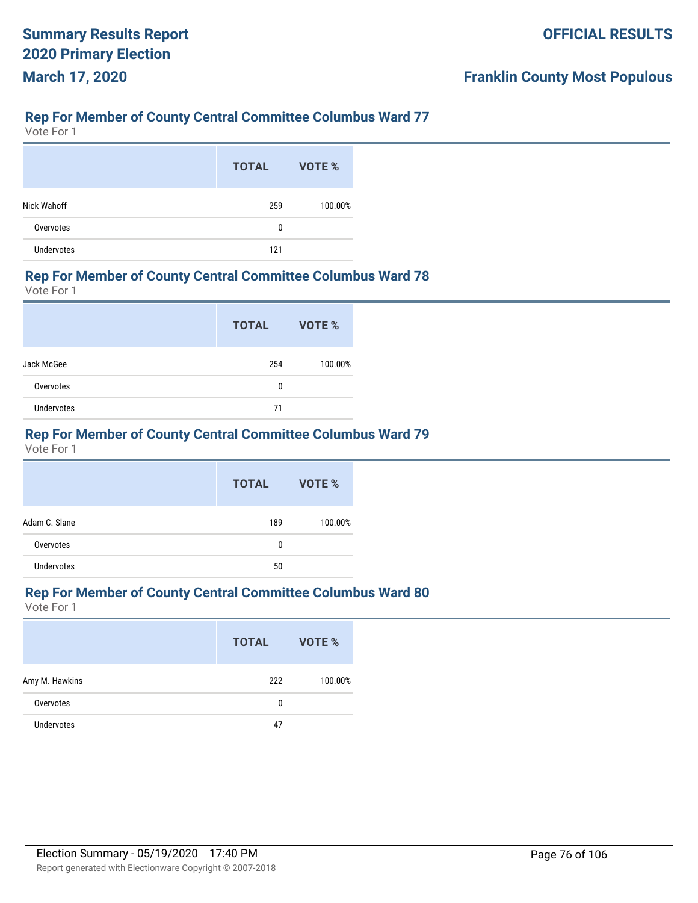Vote For 1

|                   | <b>TOTAL</b> | VOTE %  |
|-------------------|--------------|---------|
| Nick Wahoff       | 259          | 100.00% |
| Overvotes         | 0            |         |
| <b>Undervotes</b> | 121          |         |

#### **Rep For Member of County Central Committee Columbus Ward 78**

Vote For 1

|                   | <b>TOTAL</b> | <b>VOTE %</b> |
|-------------------|--------------|---------------|
| Jack McGee        | 254          | 100.00%       |
| Overvotes         | 0            |               |
| <b>Undervotes</b> | 71           |               |

## **Rep For Member of County Central Committee Columbus Ward 79**

Vote For 1

|                   | <b>TOTAL</b> | VOTE %  |
|-------------------|--------------|---------|
| Adam C. Slane     | 189          | 100.00% |
| Overvotes         | 0            |         |
| <b>Undervotes</b> | 50           |         |

# **Rep For Member of County Central Committee Columbus Ward 80**

|                   | <b>TOTAL</b> | VOTE %  |
|-------------------|--------------|---------|
| Amy M. Hawkins    | 222          | 100.00% |
| Overvotes         | 0            |         |
| <b>Undervotes</b> | 47           |         |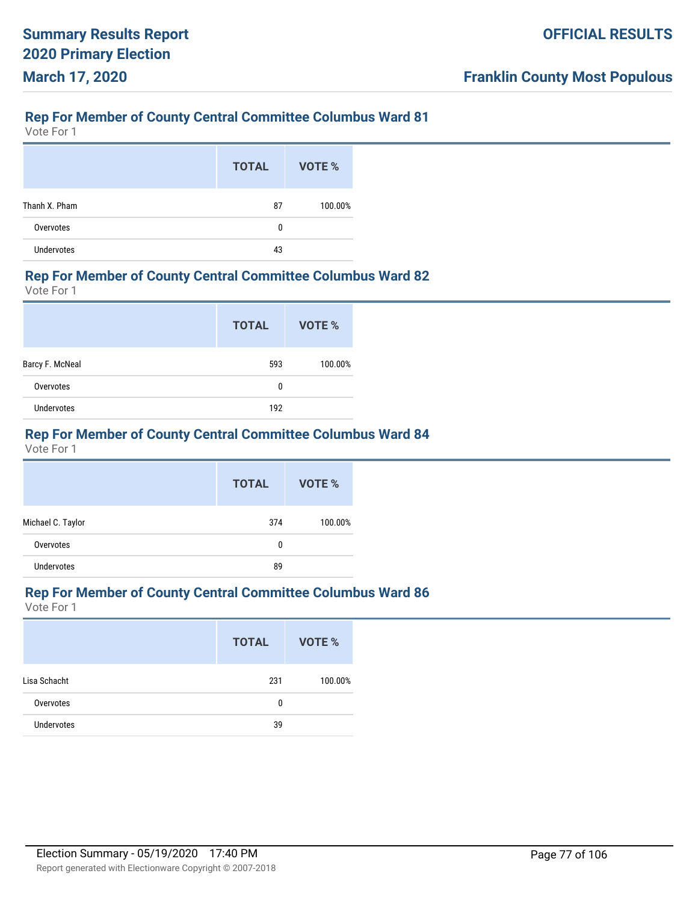Vote For 1

|                   | <b>TOTAL</b> | VOTE %  |
|-------------------|--------------|---------|
| Thanh X. Pham     | 87           | 100.00% |
| Overvotes         | 0            |         |
| <b>Undervotes</b> | 43           |         |

#### **Rep For Member of County Central Committee Columbus Ward 82**

Vote For 1

|                 | <b>TOTAL</b> | VOTE %  |
|-----------------|--------------|---------|
| Barcy F. McNeal | 593          | 100.00% |
| Overvotes       | 0            |         |
| Undervotes      | 192          |         |

# **Rep For Member of County Central Committee Columbus Ward 84**

Vote For 1

|                   | <b>TOTAL</b> | VOTE %  |
|-------------------|--------------|---------|
| Michael C. Taylor | 374          | 100.00% |
| Overvotes         | 0            |         |
| <b>Undervotes</b> | 89           |         |

# **Rep For Member of County Central Committee Columbus Ward 86**

|                   | <b>TOTAL</b> | VOTE %  |
|-------------------|--------------|---------|
| Lisa Schacht      | 231          | 100.00% |
| Overvotes         | 0            |         |
| <b>Undervotes</b> | 39           |         |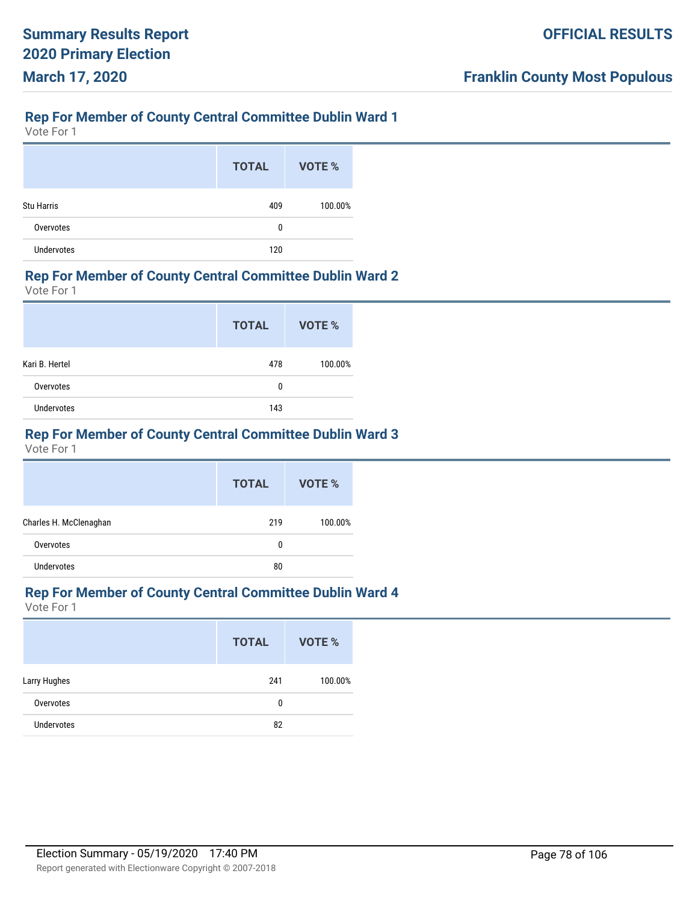Vote For 1

|                   | <b>TOTAL</b> | <b>VOTE %</b> |
|-------------------|--------------|---------------|
| <b>Stu Harris</b> | 409          | 100.00%       |
| Overvotes         | 0            |               |
| <b>Undervotes</b> | 120          |               |

#### **Rep For Member of County Central Committee Dublin Ward 2**

Vote For 1

|                   | <b>TOTAL</b> | VOTE %  |
|-------------------|--------------|---------|
| Kari B. Hertel    | 478          | 100.00% |
| Overvotes         | 0            |         |
| <b>Undervotes</b> | 143          |         |

## **Rep For Member of County Central Committee Dublin Ward 3**

Vote For 1

|                        | <b>TOTAL</b> | VOTE %  |
|------------------------|--------------|---------|
| Charles H. McClenaghan | 219          | 100.00% |
| Overvotes              | 0            |         |
| <b>Undervotes</b>      | 80           |         |

#### **Rep For Member of County Central Committee Dublin Ward 4**

|                   | <b>TOTAL</b> | VOTE %  |
|-------------------|--------------|---------|
| Larry Hughes      | 241          | 100.00% |
| Overvotes         | 0            |         |
| <b>Undervotes</b> | 82           |         |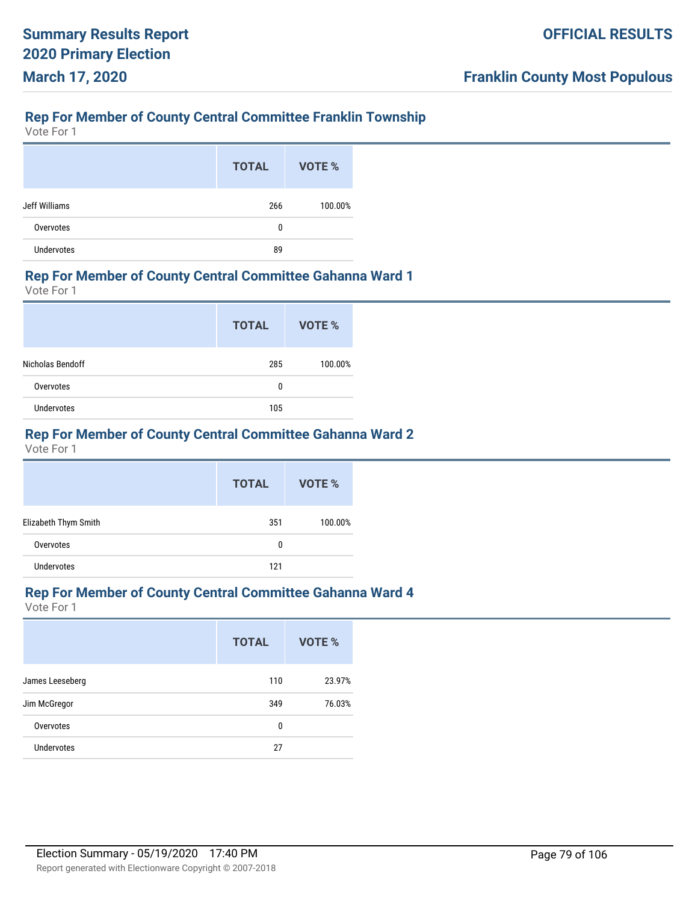# **Rep For Member of County Central Committee Franklin Township**

Vote For 1

|                   | <b>TOTAL</b> | VOTE %  |
|-------------------|--------------|---------|
| Jeff Williams     | 266          | 100.00% |
| Overvotes         | 0            |         |
| <b>Undervotes</b> | 89           |         |

#### **Rep For Member of County Central Committee Gahanna Ward 1**

Vote For 1

|                  | <b>TOTAL</b> | VOTE %  |
|------------------|--------------|---------|
| Nicholas Bendoff | 285          | 100.00% |
| Overvotes        | 0            |         |
| Undervotes       | 105          |         |

## **Rep For Member of County Central Committee Gahanna Ward 2**

Vote For 1

|                      | <b>TOTAL</b> | VOTE %  |
|----------------------|--------------|---------|
| Elizabeth Thym Smith | 351          | 100.00% |
| Overvotes            | 0            |         |
| <b>Undervotes</b>    | 121          |         |

#### **Rep For Member of County Central Committee Gahanna Ward 4**

|                   | <b>TOTAL</b> | <b>VOTE %</b> |
|-------------------|--------------|---------------|
| James Leeseberg   | 110          | 23.97%        |
| Jim McGregor      | 349          | 76.03%        |
| Overvotes         | 0            |               |
| <b>Undervotes</b> | 27           |               |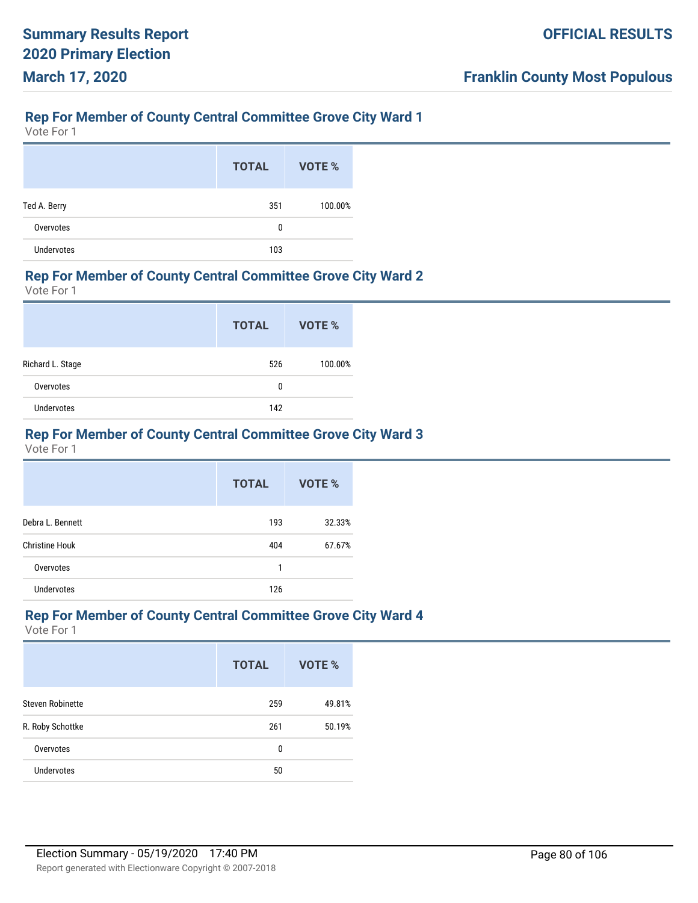#### **Rep For Member of County Central Committee Grove City Ward 1**

Vote For 1

|                   | <b>TOTAL</b> | VOTE %  |
|-------------------|--------------|---------|
| Ted A. Berry      | 351          | 100.00% |
| Overvotes         | 0            |         |
| <b>Undervotes</b> | 103          |         |

#### **Rep For Member of County Central Committee Grove City Ward 2**

Vote For 1

|                  | <b>TOTAL</b> | VOTE %  |
|------------------|--------------|---------|
| Richard L. Stage | 526          | 100.00% |
| Overvotes        | 0            |         |
| Undervotes       | 142          |         |

## **Rep For Member of County Central Committee Grove City Ward 3**

Vote For 1

|                       | <b>TOTAL</b> | VOTE % |
|-----------------------|--------------|--------|
| Debra L. Bennett      | 193          | 32.33% |
| <b>Christine Houk</b> | 404          | 67.67% |
| Overvotes             | 1            |        |
| Undervotes            | 126          |        |

#### **Rep For Member of County Central Committee Grove City Ward 4**

|                         | <b>TOTAL</b> | VOTE % |
|-------------------------|--------------|--------|
| <b>Steven Robinette</b> | 259          | 49.81% |
| R. Roby Schottke        | 261          | 50.19% |
| Overvotes               | 0            |        |
| <b>Undervotes</b>       | 50           |        |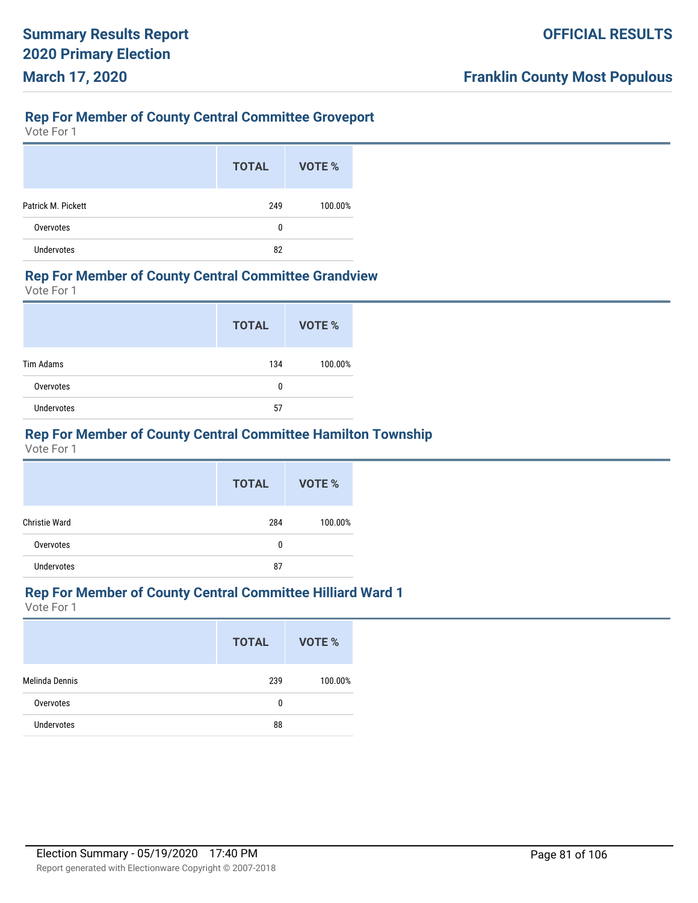## **Rep For Member of County Central Committee Groveport**

Vote For 1

|                    | <b>TOTAL</b> | VOTE %  |
|--------------------|--------------|---------|
| Patrick M. Pickett | 249          | 100.00% |
| Overvotes          | 0            |         |
| <b>Undervotes</b>  | 82           |         |

#### **Rep For Member of County Central Committee Grandview**

Vote For 1

|                   | <b>TOTAL</b> | VOTE %  |
|-------------------|--------------|---------|
| Tim Adams         | 134          | 100.00% |
| Overvotes         | 0            |         |
| <b>Undervotes</b> | 57           |         |

# **Rep For Member of County Central Committee Hamilton Township**

Vote For 1

|                      | <b>TOTAL</b> | VOTE %  |
|----------------------|--------------|---------|
| <b>Christie Ward</b> | 284          | 100.00% |
| Overvotes            | 0            |         |
| <b>Undervotes</b>    | 87           |         |

#### **Rep For Member of County Central Committee Hilliard Ward 1**

|                   | <b>TOTAL</b> | VOTE %  |
|-------------------|--------------|---------|
| Melinda Dennis    | 239          | 100.00% |
| Overvotes         | 0            |         |
| <b>Undervotes</b> | 88           |         |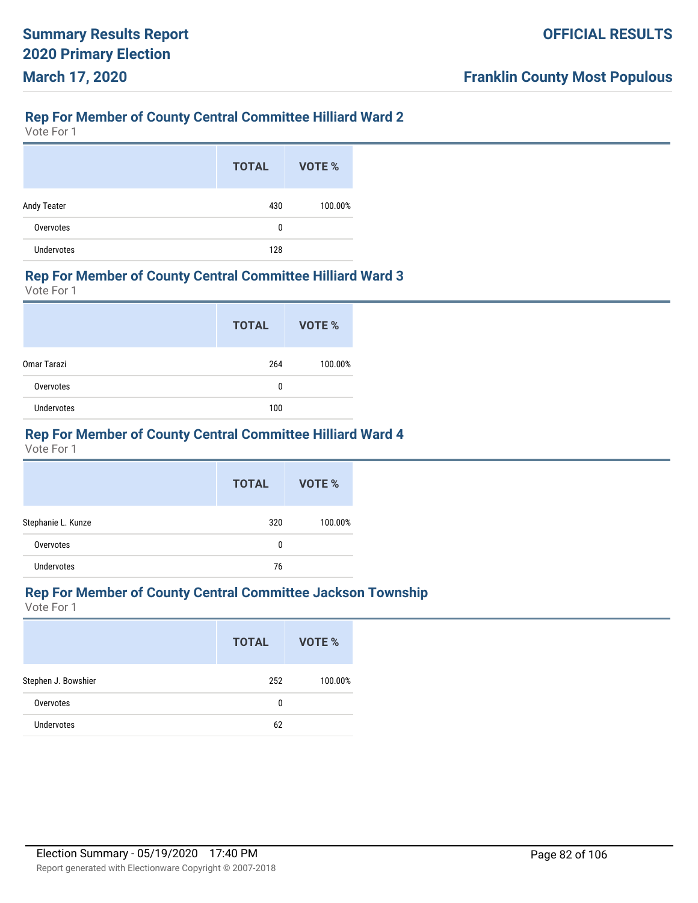## **Rep For Member of County Central Committee Hilliard Ward 2**

Vote For 1

|                   | <b>TOTAL</b> | VOTE %  |
|-------------------|--------------|---------|
| Andy Teater       | 430          | 100.00% |
| Overvotes         | 0            |         |
| <b>Undervotes</b> | 128          |         |

#### **Rep For Member of County Central Committee Hilliard Ward 3**

Vote For 1

|             | <b>TOTAL</b> | <b>VOTE %</b> |
|-------------|--------------|---------------|
| Omar Tarazi | 264          | 100.00%       |
| Overvotes   | 0            |               |
| Undervotes  | 100          |               |

## **Rep For Member of County Central Committee Hilliard Ward 4**

Vote For 1

|                    | <b>TOTAL</b> | VOTE %  |
|--------------------|--------------|---------|
| Stephanie L. Kunze | 320          | 100.00% |
| Overvotes          | 0            |         |
| <b>Undervotes</b>  | 76           |         |

#### **Rep For Member of County Central Committee Jackson Township**

|                     | <b>TOTAL</b> | VOTE %  |
|---------------------|--------------|---------|
| Stephen J. Bowshier | 252          | 100.00% |
| Overvotes           | 0            |         |
| <b>Undervotes</b>   | 62           |         |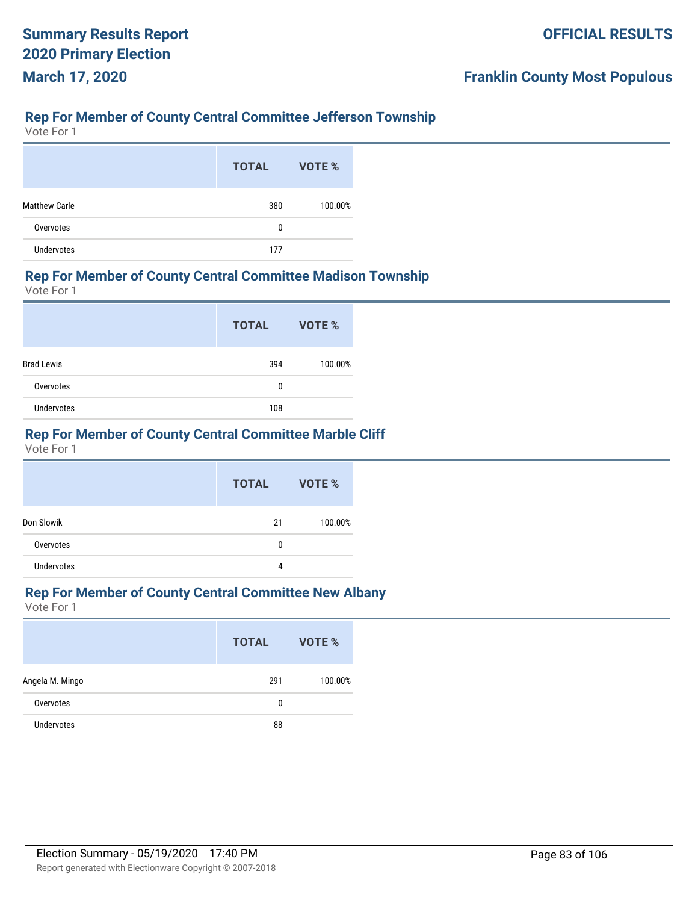# **Rep For Member of County Central Committee Jefferson Township**

Vote For 1

|                      | <b>TOTAL</b> | VOTE %  |
|----------------------|--------------|---------|
| <b>Matthew Carle</b> | 380          | 100.00% |
| Overvotes            | 0            |         |
| Undervotes           | 177          |         |

#### **Rep For Member of County Central Committee Madison Township**

Vote For 1

|                   | <b>TOTAL</b> | VOTE %  |
|-------------------|--------------|---------|
| <b>Brad Lewis</b> | 394          | 100.00% |
| Overvotes         | 0            |         |
| Undervotes        | 108          |         |

## **Rep For Member of County Central Committee Marble Cliff**

Vote For 1

|                   | <b>TOTAL</b> | VOTE %  |
|-------------------|--------------|---------|
| Don Slowik        | 21           | 100.00% |
| Overvotes         | 0            |         |
| <b>Undervotes</b> | 4            |         |

# **Rep For Member of County Central Committee New Albany**

|                 | <b>TOTAL</b> | VOTE %  |
|-----------------|--------------|---------|
| Angela M. Mingo | 291          | 100.00% |
| Overvotes       | 0            |         |
| Undervotes      | 88           |         |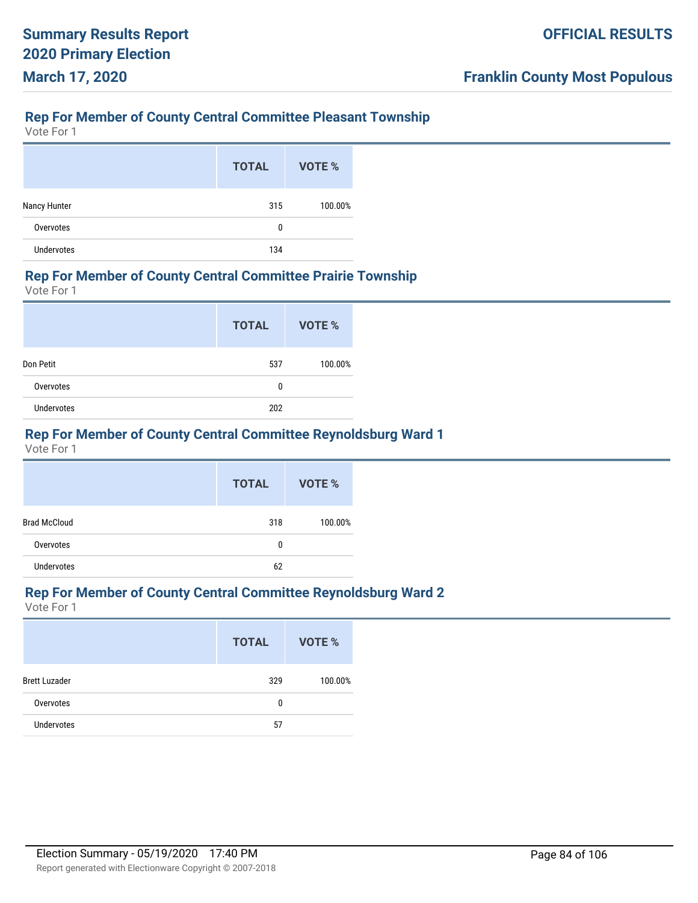# **Rep For Member of County Central Committee Pleasant Township**

Vote For 1

|                   | <b>TOTAL</b> | VOTE %  |
|-------------------|--------------|---------|
| Nancy Hunter      | 315          | 100.00% |
| Overvotes         | 0            |         |
| <b>Undervotes</b> | 134          |         |

#### **Rep For Member of County Central Committee Prairie Township**

Vote For 1

|                   | <b>TOTAL</b> | <b>VOTE %</b> |
|-------------------|--------------|---------------|
| Don Petit         | 537          | 100.00%       |
| Overvotes         | 0            |               |
| <b>Undervotes</b> | 202          |               |

# **Rep For Member of County Central Committee Reynoldsburg Ward 1**

Vote For 1

|                     | <b>TOTAL</b> | VOTE %  |
|---------------------|--------------|---------|
| <b>Brad McCloud</b> | 318          | 100.00% |
| Overvotes           | 0            |         |
| <b>Undervotes</b>   | 62           |         |

# **Rep For Member of County Central Committee Reynoldsburg Ward 2**

|                      | <b>TOTAL</b> | <b>VOTE %</b> |
|----------------------|--------------|---------------|
| <b>Brett Luzader</b> | 329          | 100.00%       |
| Overvotes            | 0            |               |
| Undervotes           | 57           |               |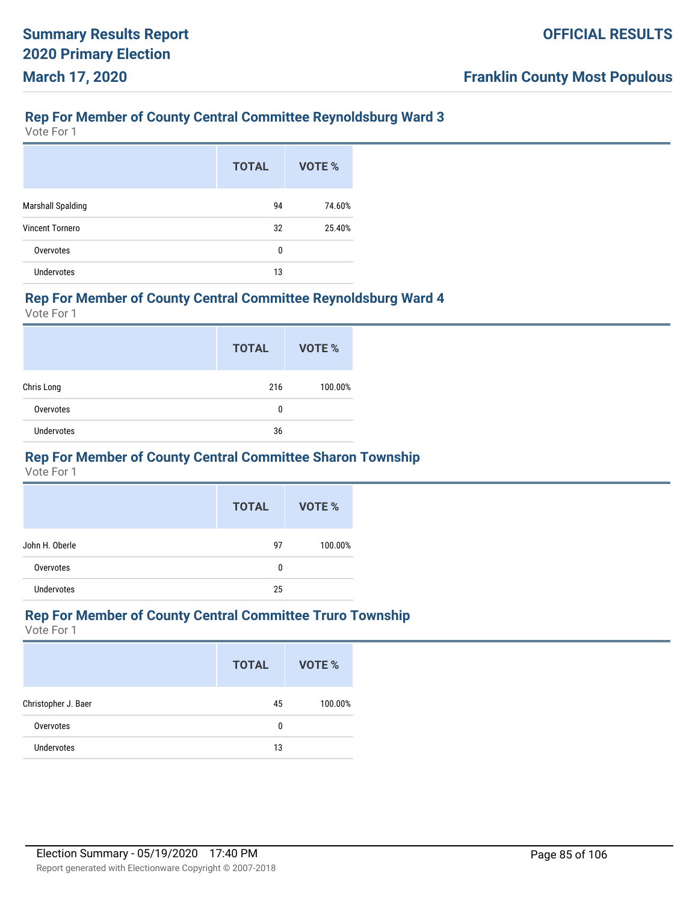# **Rep For Member of County Central Committee Reynoldsburg Ward 3**

Vote For 1

|                          | <b>TOTAL</b> | VOTE % |
|--------------------------|--------------|--------|
| <b>Marshall Spalding</b> | 94           | 74.60% |
| <b>Vincent Tornero</b>   | 32           | 25.40% |
| Overvotes                | 0            |        |
| <b>Undervotes</b>        | 13           |        |

#### **Rep For Member of County Central Committee Reynoldsburg Ward 4**

Vote For 1

|                   | <b>TOTAL</b> | VOTE %  |
|-------------------|--------------|---------|
| Chris Long        | 216          | 100.00% |
| Overvotes         | 0            |         |
| <b>Undervotes</b> | 36           |         |

#### **Rep For Member of County Central Committee Sharon Township**

Vote For 1

|                   | <b>TOTAL</b> | VOTE %  |
|-------------------|--------------|---------|
| John H. Oberle    | 97           | 100.00% |
| Overvotes         | 0            |         |
| <b>Undervotes</b> | 25           |         |

#### **Rep For Member of County Central Committee Truro Township**

|                     | <b>TOTAL</b> | VOTE %  |
|---------------------|--------------|---------|
| Christopher J. Baer | 45           | 100.00% |
| Overvotes           | 0            |         |
| <b>Undervotes</b>   | 13           |         |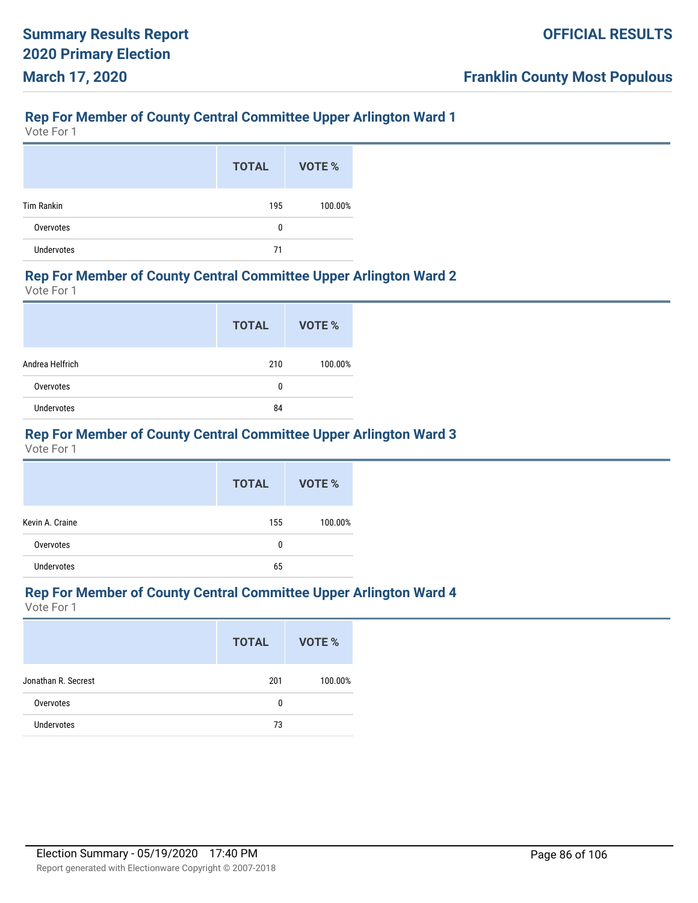#### **Rep For Member of County Central Committee Upper Arlington Ward 1**

Vote For 1

|                   | <b>TOTAL</b> | VOTE %  |
|-------------------|--------------|---------|
| <b>Tim Rankin</b> | 195          | 100.00% |
| Overvotes         | 0            |         |
| Undervotes        | 71           |         |

#### **Rep For Member of County Central Committee Upper Arlington Ward 2**

Vote For 1

|                   | <b>TOTAL</b> | <b>VOTE %</b> |
|-------------------|--------------|---------------|
| Andrea Helfrich   | 210          | 100.00%       |
| Overvotes         | 0            |               |
| <b>Undervotes</b> | 84           |               |

# **Rep For Member of County Central Committee Upper Arlington Ward 3**

Vote For 1

|                   | <b>TOTAL</b> | VOTE %  |
|-------------------|--------------|---------|
| Kevin A. Craine   | 155          | 100.00% |
| Overvotes         | 0            |         |
| <b>Undervotes</b> | 65           |         |

# **Rep For Member of County Central Committee Upper Arlington Ward 4**

|                     | <b>TOTAL</b> | VOTE %  |
|---------------------|--------------|---------|
| Jonathan R. Secrest | 201          | 100.00% |
| Overvotes           | 0            |         |
| <b>Undervotes</b>   | 73           |         |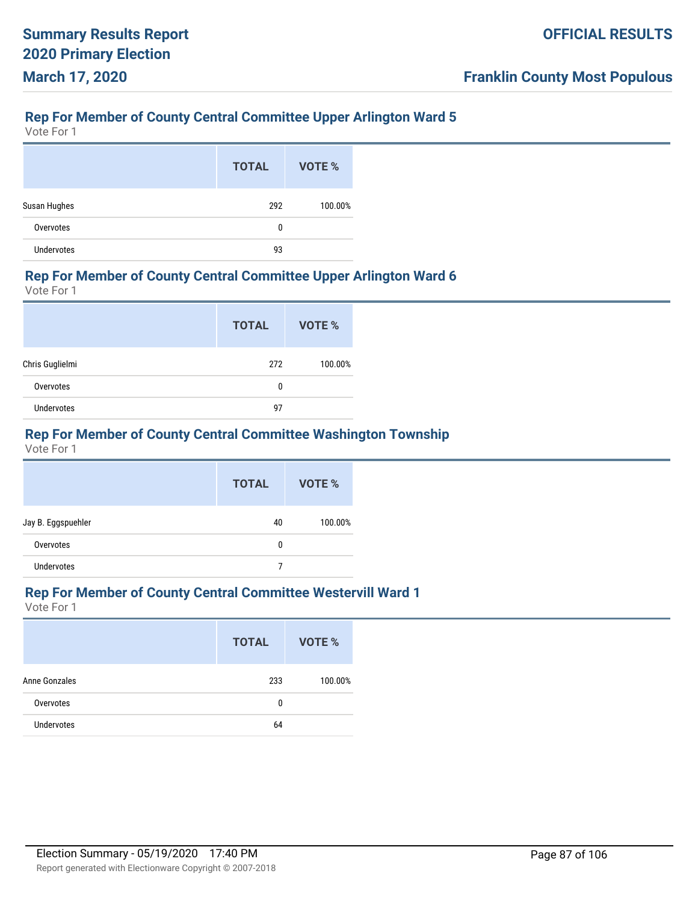# **Rep For Member of County Central Committee Upper Arlington Ward 5**

Vote For 1

|                   | <b>TOTAL</b> | VOTE %  |
|-------------------|--------------|---------|
| Susan Hughes      | 292          | 100.00% |
| Overvotes         | 0            |         |
| <b>Undervotes</b> | 93           |         |

#### **Rep For Member of County Central Committee Upper Arlington Ward 6**

Vote For 1

|                 | <b>TOTAL</b> | VOTE %  |
|-----------------|--------------|---------|
| Chris Guglielmi | 272          | 100.00% |
| Overvotes       | 0            |         |
| Undervotes      | 97           |         |

# **Rep For Member of County Central Committee Washington Township**

Vote For 1

|                    | <b>TOTAL</b> | VOTE %  |
|--------------------|--------------|---------|
| Jay B. Eggspuehler | 40           | 100.00% |
| Overvotes          | 0            |         |
| <b>Undervotes</b>  |              |         |

# **Rep For Member of County Central Committee Westervill Ward 1**

|               | <b>TOTAL</b> | VOTE %  |
|---------------|--------------|---------|
| Anne Gonzales | 233          | 100.00% |
| Overvotes     | 0            |         |
| Undervotes    | 64           |         |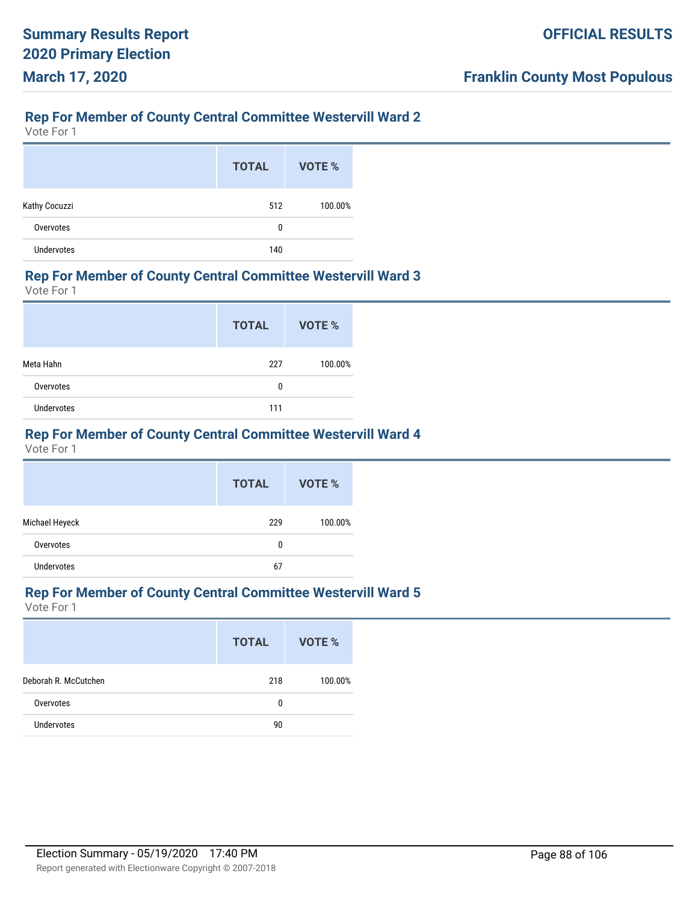## **Rep For Member of County Central Committee Westervill Ward 2**

Vote For 1

|               | <b>TOTAL</b> | VOTE %  |
|---------------|--------------|---------|
| Kathy Cocuzzi | 512          | 100.00% |
| Overvotes     | 0            |         |
| Undervotes    | 140          |         |

#### **Rep For Member of County Central Committee Westervill Ward 3**

Vote For 1

|                   | <b>TOTAL</b> | <b>VOTE %</b> |
|-------------------|--------------|---------------|
| Meta Hahn         | 227          | 100.00%       |
| Overvotes         | 0            |               |
| <b>Undervotes</b> | 111          |               |

## **Rep For Member of County Central Committee Westervill Ward 4**

Vote For 1

|                   | <b>TOTAL</b> | VOTE %  |
|-------------------|--------------|---------|
| Michael Heyeck    | 229          | 100.00% |
| Overvotes         | 0            |         |
| <b>Undervotes</b> | 67           |         |

# **Rep For Member of County Central Committee Westervill Ward 5**

|                      | <b>TOTAL</b> | VOTE %  |
|----------------------|--------------|---------|
| Deborah R. McCutchen | 218          | 100.00% |
| Overvotes            | 0            |         |
| <b>Undervotes</b>    | 90           |         |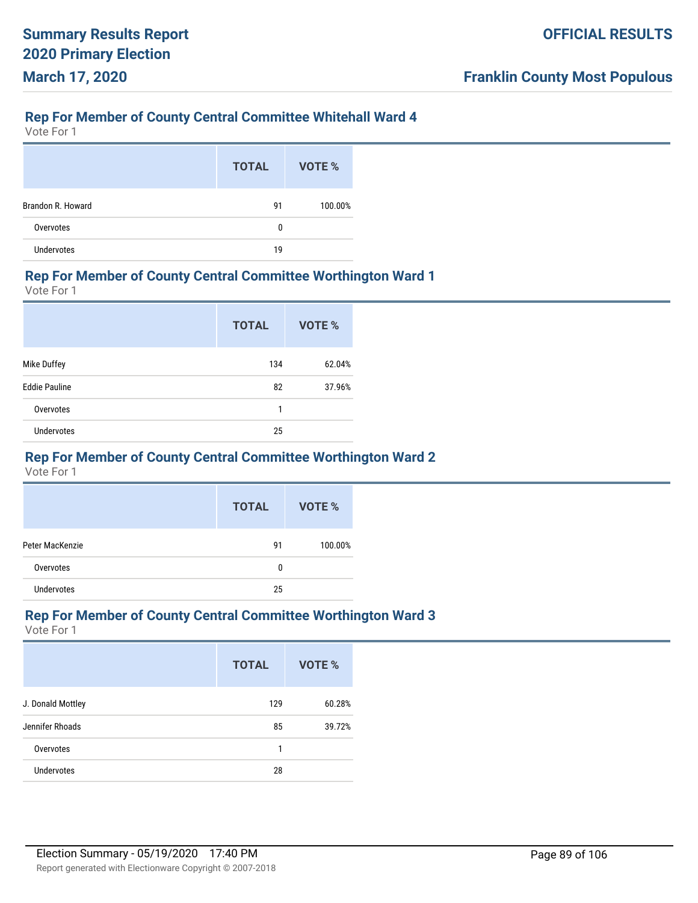## **Rep For Member of County Central Committee Whitehall Ward 4**

Vote For 1

|                   | <b>TOTAL</b> | VOTE %  |
|-------------------|--------------|---------|
| Brandon R. Howard | 91           | 100.00% |
| Overvotes         | 0            |         |
| <b>Undervotes</b> | 19           |         |

#### **Rep For Member of County Central Committee Worthington Ward 1**

Vote For 1

|                      | <b>TOTAL</b> | VOTE % |
|----------------------|--------------|--------|
| Mike Duffey          | 134          | 62.04% |
| <b>Eddie Pauline</b> | 82           | 37.96% |
| Overvotes            | 1            |        |
| <b>Undervotes</b>    | 25           |        |

#### **Rep For Member of County Central Committee Worthington Ward 2**

Vote For 1

|                 | <b>TOTAL</b> | VOTE %  |
|-----------------|--------------|---------|
| Peter MacKenzie | 91           | 100.00% |
| Overvotes       | 0            |         |
| Undervotes      | 25           |         |

#### **Rep For Member of County Central Committee Worthington Ward 3**

|                   | <b>TOTAL</b> | VOTE % |
|-------------------|--------------|--------|
| J. Donald Mottley | 129          | 60.28% |
| Jennifer Rhoads   | 85           | 39.72% |
| Overvotes         | 1            |        |
| <b>Undervotes</b> | 28           |        |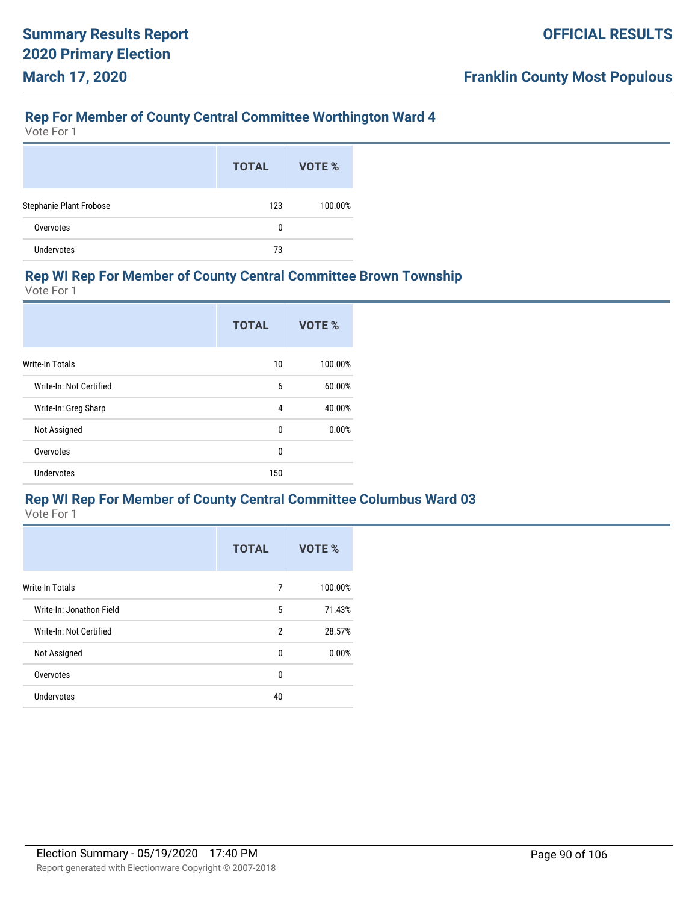#### **Rep For Member of County Central Committee Worthington Ward 4**

Vote For 1

|                                | <b>TOTAL</b> | VOTE %  |
|--------------------------------|--------------|---------|
| <b>Stephanie Plant Frobose</b> | 123          | 100.00% |
| Overvotes                      | 0            |         |
| Undervotes                     | 73           |         |

#### **Rep WI Rep For Member of County Central Committee Brown Township**

Vote For 1

|                         | <b>TOTAL</b> | VOTE %  |
|-------------------------|--------------|---------|
| <b>Write-In Totals</b>  | 10           | 100.00% |
| Write-In: Not Certified | 6            | 60.00%  |
| Write-In: Greg Sharp    | 4            | 40.00%  |
| Not Assigned            | 0            | 0.00%   |
| Overvotes               | 0            |         |
| Undervotes              | 150          |         |

#### **Rep WI Rep For Member of County Central Committee Columbus Ward 03**

|                          | <b>TOTAL</b>   | VOTE %  |
|--------------------------|----------------|---------|
| <b>Write-In Totals</b>   | 7              | 100.00% |
| Write-In: Jonathon Field | 5              | 71.43%  |
| Write-In: Not Certified  | $\overline{2}$ | 28.57%  |
| Not Assigned             | 0              | 0.00%   |
| Overvotes                | $\mathbf{0}$   |         |
| <b>Undervotes</b>        | 40             |         |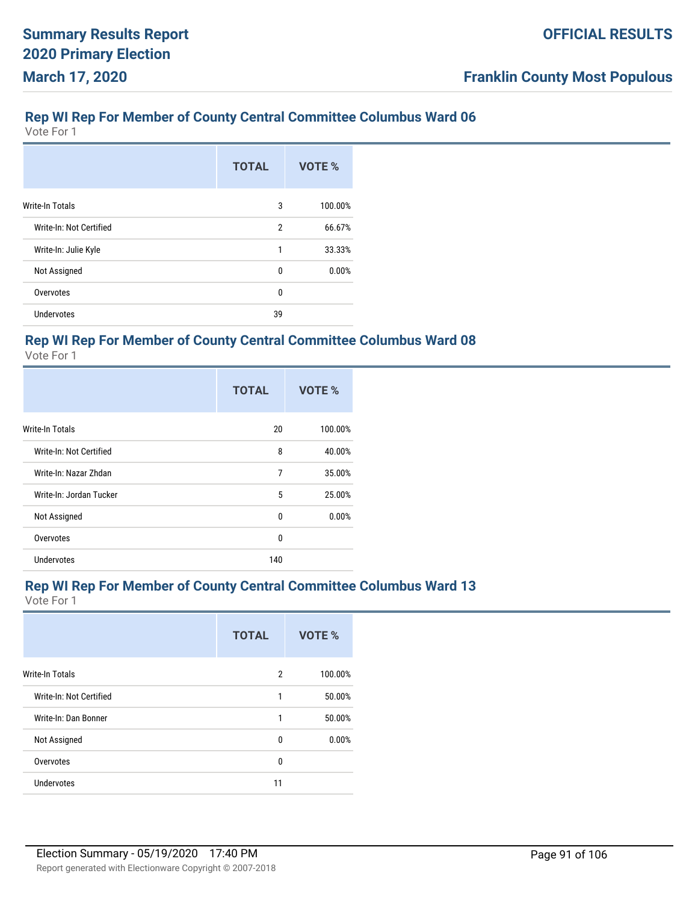Vote For 1

|                         | <b>TOTAL</b> | VOTE %  |
|-------------------------|--------------|---------|
| <b>Write-In Totals</b>  | 3            | 100.00% |
| Write-In: Not Certified | 2            | 66.67%  |
| Write-In: Julie Kyle    | 1            | 33.33%  |
| Not Assigned            | 0            | 0.00%   |
| Overvotes               | 0            |         |
| <b>Undervotes</b>       | 39           |         |

#### **Rep WI Rep For Member of County Central Committee Columbus Ward 08**

Vote For 1

|                         | <b>TOTAL</b> | VOTE %  |
|-------------------------|--------------|---------|
| <b>Write-In Totals</b>  | 20           | 100.00% |
| Write-In: Not Certified | 8            | 40.00%  |
| Write-In: Nazar Zhdan   | 7            | 35.00%  |
| Write-In: Jordan Tucker | 5            | 25.00%  |
| Not Assigned            | 0            | 0.00%   |
| Overvotes               | 0            |         |
| Undervotes              | 140          |         |

#### **Rep WI Rep For Member of County Central Committee Columbus Ward 13**

|                         | <b>TOTAL</b>   | <b>VOTE %</b> |
|-------------------------|----------------|---------------|
| Write-In Totals         | $\overline{2}$ | 100.00%       |
| Write-In: Not Certified | 1              | 50.00%        |
| Write-In: Dan Bonner    | 1              | 50.00%        |
| Not Assigned            | 0              | 0.00%         |
| Overvotes               | 0              |               |
| <b>Undervotes</b>       | 11             |               |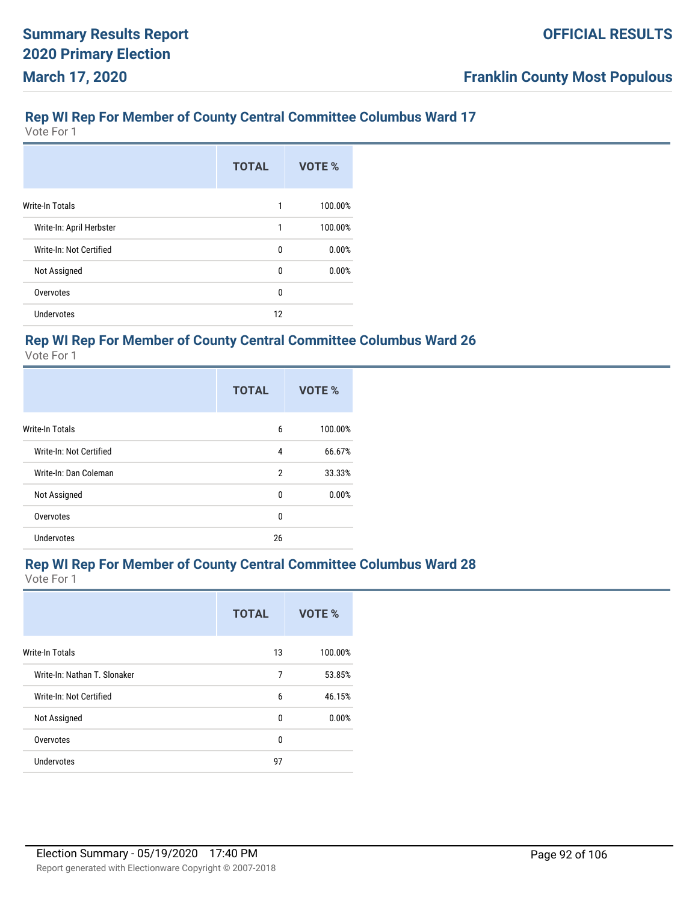Vote For 1

|                          | <b>TOTAL</b> | VOTE %  |
|--------------------------|--------------|---------|
| <b>Write-In Totals</b>   | 1            | 100.00% |
| Write-In: April Herbster | 1            | 100.00% |
| Write-In: Not Certified  | 0            | 0.00%   |
| Not Assigned             | $\mathbf{0}$ | 0.00%   |
| Overvotes                | 0            |         |
| <b>Undervotes</b>        | 12           |         |

## **Rep WI Rep For Member of County Central Committee Columbus Ward 26**

Vote For 1

|                         | <b>TOTAL</b> | VOTE %  |
|-------------------------|--------------|---------|
| <b>Write-In Totals</b>  | 6            | 100.00% |
| Write-In: Not Certified | 4            | 66.67%  |
| Write-In: Dan Coleman   | 2            | 33.33%  |
| Not Assigned            | 0            | 0.00%   |
| Overvotes               | 0            |         |
| <b>Undervotes</b>       | 26           |         |

#### **Rep WI Rep For Member of County Central Committee Columbus Ward 28**

|                              | <b>TOTAL</b> | VOTE %  |
|------------------------------|--------------|---------|
| <b>Write-In Totals</b>       | 13           | 100.00% |
| Write-In: Nathan T. Slonaker | 7            | 53.85%  |
| Write-In: Not Certified      | 6            | 46.15%  |
| Not Assigned                 | 0            | 0.00%   |
| Overvotes                    | 0            |         |
| Undervotes                   | 97           |         |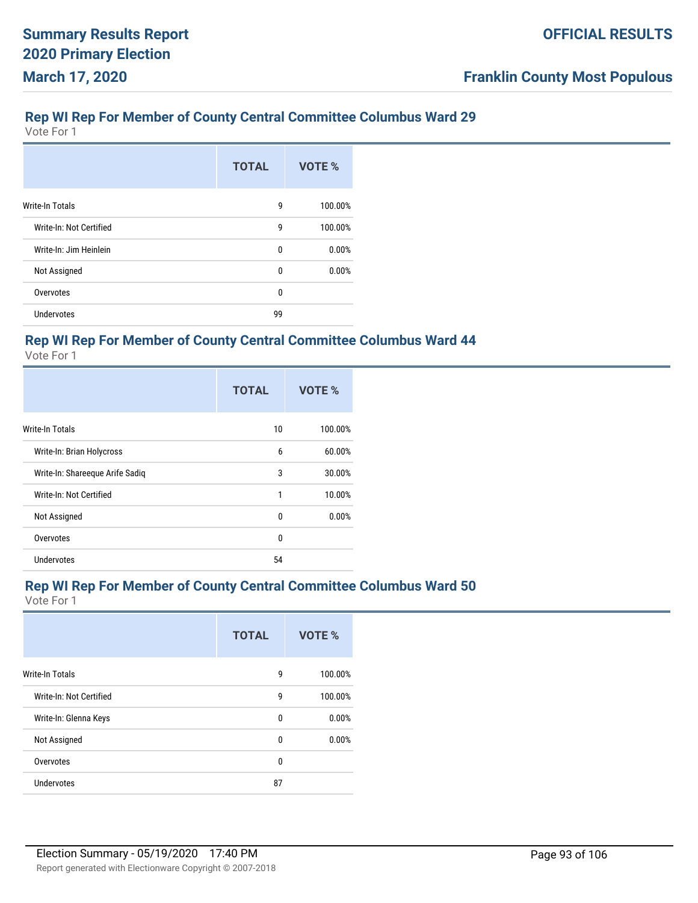Vote For 1

|                         | <b>TOTAL</b> | VOTE %  |
|-------------------------|--------------|---------|
| <b>Write-In Totals</b>  | 9            | 100.00% |
| Write-In: Not Certified | 9            | 100.00% |
| Write-In: Jim Heinlein  | 0            | 0.00%   |
| Not Assigned            | 0            | 0.00%   |
| Overvotes               | 0            |         |
| <b>Undervotes</b>       | 99           |         |

#### **Rep WI Rep For Member of County Central Committee Columbus Ward 44**

Vote For 1

|                                 | <b>TOTAL</b> | VOTE %  |
|---------------------------------|--------------|---------|
| Write-In Totals                 | 10           | 100.00% |
| Write-In: Brian Holycross       | 6            | 60.00%  |
| Write-In: Shareeque Arife Sadiq | 3            | 30.00%  |
| Write-In: Not Certified         | 1            | 10.00%  |
| Not Assigned                    | 0            | 0.00%   |
| Overvotes                       | $\mathbf{0}$ |         |
| Undervotes                      | 54           |         |

#### **Rep WI Rep For Member of County Central Committee Columbus Ward 50**

|                         | <b>TOTAL</b> | VOTE %  |
|-------------------------|--------------|---------|
| <b>Write-In Totals</b>  | 9            | 100.00% |
| Write-In: Not Certified | 9            | 100.00% |
| Write-In: Glenna Keys   | 0            | 0.00%   |
| Not Assigned            | 0            | 0.00%   |
| Overvotes               | 0            |         |
| <b>Undervotes</b>       | 87           |         |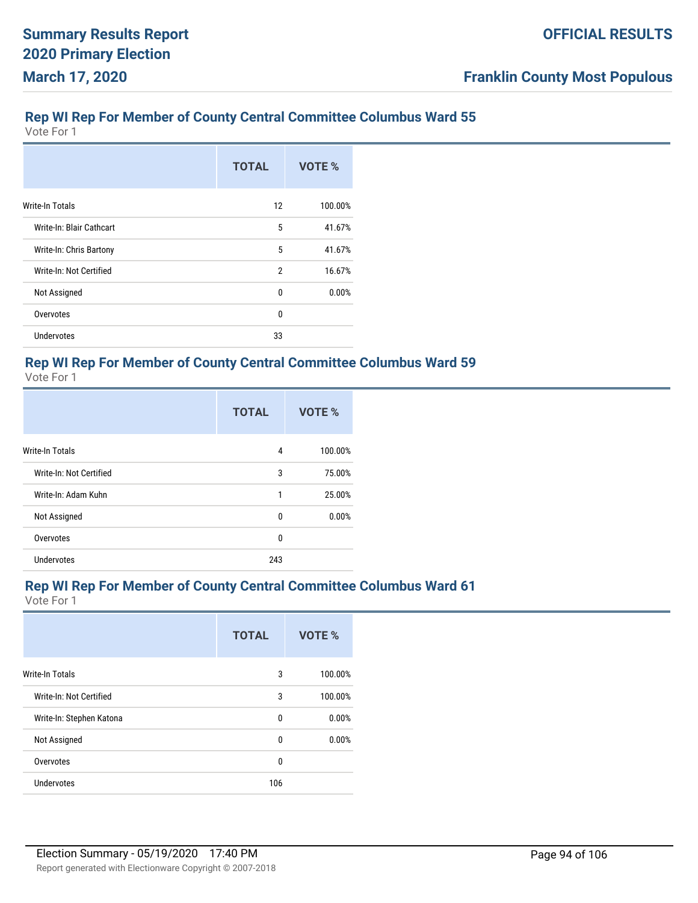Vote For 1

|                          | <b>TOTAL</b>   | VOTE %  |
|--------------------------|----------------|---------|
| Write-In Totals          | 12             | 100.00% |
| Write-In: Blair Cathcart | 5              | 41.67%  |
| Write-In: Chris Bartony  | 5              | 41.67%  |
| Write-In: Not Certified  | $\overline{2}$ | 16.67%  |
| Not Assigned             | 0              | 0.00%   |
| Overvotes                | $\mathbf{0}$   |         |
| <b>Undervotes</b>        | 33             |         |

# **Rep WI Rep For Member of County Central Committee Columbus Ward 59**

Vote For 1

|                         | <b>TOTAL</b> | VOTE %  |
|-------------------------|--------------|---------|
| <b>Write-In Totals</b>  | 4            | 100.00% |
| Write-In: Not Certified | 3            | 75.00%  |
| Write-In: Adam Kuhn     | 1            | 25.00%  |
| Not Assigned            | 0            | 0.00%   |
| Overvotes               | $\mathbf{0}$ |         |
| Undervotes              | 243          |         |

#### **Rep WI Rep For Member of County Central Committee Columbus Ward 61**

|                          | <b>TOTAL</b> | VOTE %  |
|--------------------------|--------------|---------|
| <b>Write-In Totals</b>   | 3            | 100.00% |
| Write-In: Not Certified  | 3            | 100.00% |
| Write-In: Stephen Katona | 0            | 0.00%   |
| Not Assigned             | 0            | 0.00%   |
| Overvotes                | $\mathbf{0}$ |         |
| Undervotes               | 106          |         |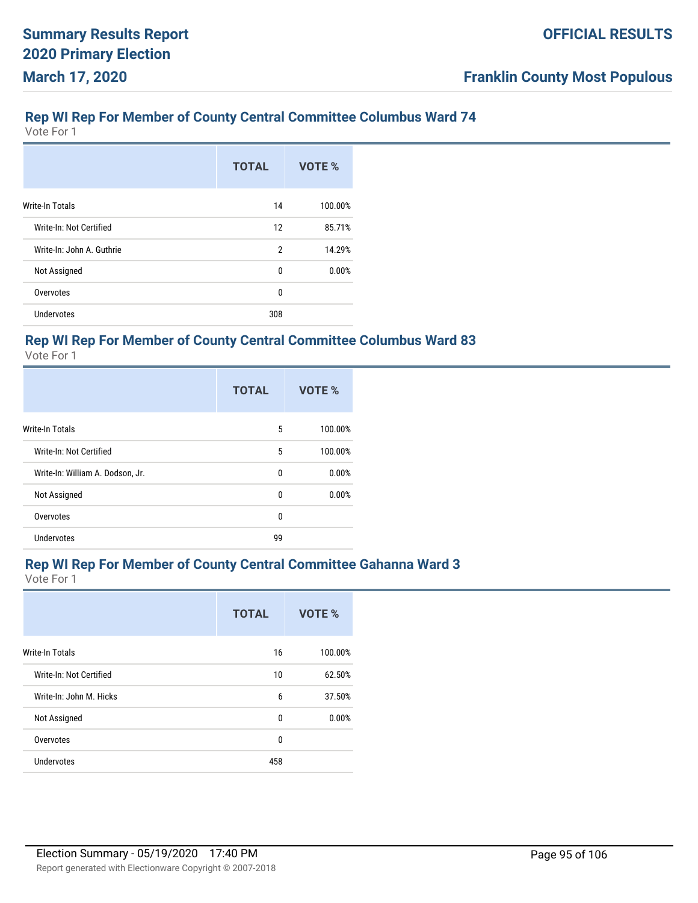Vote For 1

|                           | <b>TOTAL</b>   | VOTE %  |
|---------------------------|----------------|---------|
| <b>Write-In Totals</b>    | 14             | 100.00% |
| Write-In: Not Certified   | 12             | 85.71%  |
| Write-In: John A. Guthrie | $\overline{2}$ | 14.29%  |
| Not Assigned              | 0              | 0.00%   |
| Overvotes                 | 0              |         |
| <b>Undervotes</b>         | 308            |         |

#### **Rep WI Rep For Member of County Central Committee Columbus Ward 83**

Vote For 1

|                                  | <b>TOTAL</b> | VOTE %  |
|----------------------------------|--------------|---------|
| <b>Write-In Totals</b>           | 5            | 100.00% |
| Write-In: Not Certified          | 5            | 100.00% |
| Write-In: William A. Dodson, Jr. | $\mathbf{0}$ | 0.00%   |
| Not Assigned                     | 0            | 0.00%   |
| Overvotes                        | $\mathbf{0}$ |         |
| <b>Undervotes</b>                | 99           |         |

#### **Rep WI Rep For Member of County Central Committee Gahanna Ward 3**

|                         | <b>TOTAL</b> | VOTE %  |
|-------------------------|--------------|---------|
| <b>Write-In Totals</b>  | 16           | 100.00% |
| Write-In: Not Certified | 10           | 62.50%  |
| Write-In: John M. Hicks | 6            | 37.50%  |
| Not Assigned            | 0            | 0.00%   |
| Overvotes               | 0            |         |
| <b>Undervotes</b>       | 458          |         |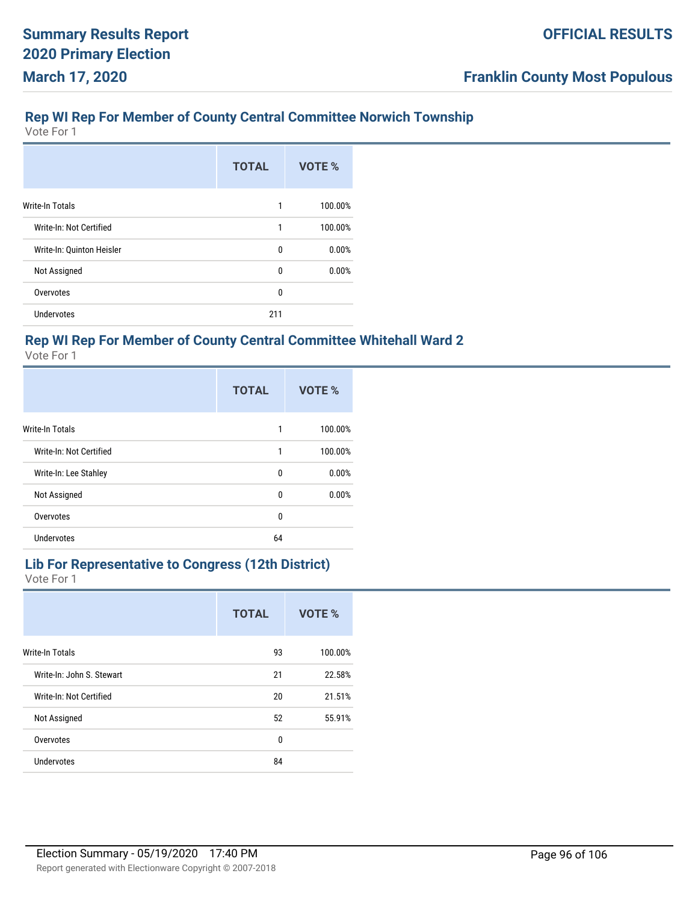# **Rep WI Rep For Member of County Central Committee Norwich Township**

Vote For 1

|                           | <b>TOTAL</b> | VOTE %  |
|---------------------------|--------------|---------|
| <b>Write-In Totals</b>    | 1            | 100.00% |
| Write-In: Not Certified   | 1            | 100.00% |
| Write-In: Quinton Heisler | 0            | 0.00%   |
| Not Assigned              | 0            | 0.00%   |
| Overvotes                 | 0            |         |
| <b>Undervotes</b>         | 211          |         |

## **Rep WI Rep For Member of County Central Committee Whitehall Ward 2**

Vote For 1

|                         | <b>TOTAL</b> | VOTE %  |
|-------------------------|--------------|---------|
| <b>Write-In Totals</b>  | 1            | 100.00% |
| Write-In: Not Certified | 1            | 100.00% |
| Write-In: Lee Stahley   | 0            | 0.00%   |
| Not Assigned            | 0            | 0.00%   |
| Overvotes               | $\Omega$     |         |
| <b>Undervotes</b>       | 64           |         |

#### **Lib For Representative to Congress (12th District)** Vote For 1

|                           | <b>TOTAL</b> | VOTE %  |
|---------------------------|--------------|---------|
| <b>Write-In Totals</b>    | 93           | 100.00% |
| Write-In: John S. Stewart | 21           | 22.58%  |
| Write-In: Not Certified   | 20           | 21.51%  |
| Not Assigned              | 52           | 55.91%  |
| Overvotes                 | 0            |         |
| <b>Undervotes</b>         | 84           |         |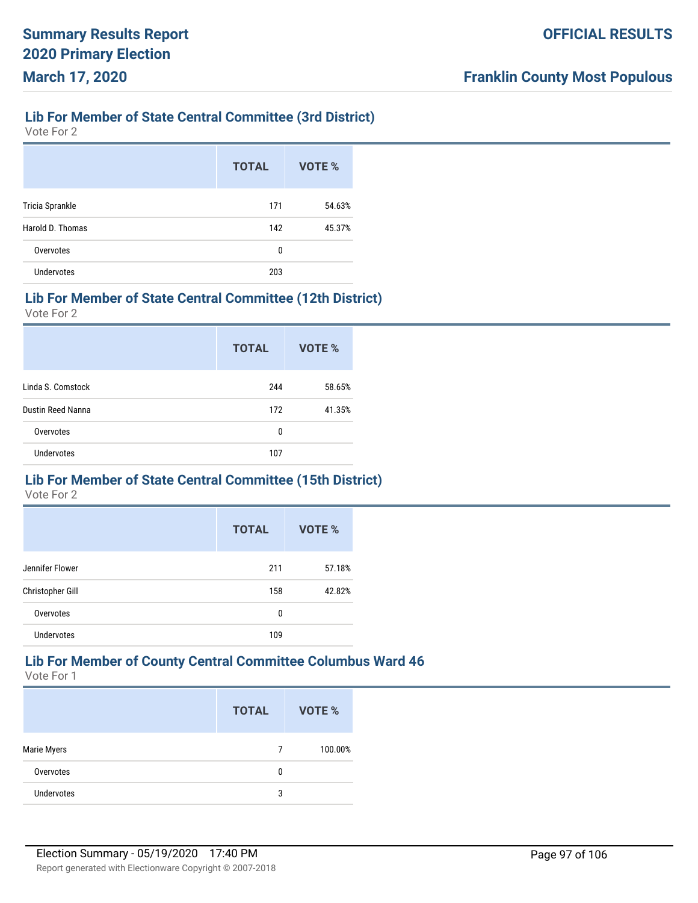# **Lib For Member of State Central Committee (3rd District)**

Vote For 2

|                   | <b>TOTAL</b> | VOTE % |
|-------------------|--------------|--------|
| Tricia Sprankle   | 171          | 54.63% |
| Harold D. Thomas  | 142          | 45.37% |
| Overvotes         | 0            |        |
| <b>Undervotes</b> | 203          |        |

#### **Lib For Member of State Central Committee (12th District)**

Vote For 2

|                   | <b>TOTAL</b> | <b>VOTE %</b> |
|-------------------|--------------|---------------|
| Linda S. Comstock | 244          | 58.65%        |
| Dustin Reed Nanna | 172          | 41.35%        |
| Overvotes         | 0            |               |
| <b>Undervotes</b> | 107          |               |

# **Lib For Member of State Central Committee (15th District)**

Vote For 2

|                   | <b>TOTAL</b> | VOTE % |
|-------------------|--------------|--------|
| Jennifer Flower   | 211          | 57.18% |
| Christopher Gill  | 158          | 42.82% |
| Overvotes         | 0            |        |
| <b>Undervotes</b> | 109          |        |

# **Lib For Member of County Central Committee Columbus Ward 46**

|                   | <b>TOTAL</b> | <b>VOTE %</b> |
|-------------------|--------------|---------------|
| Marie Myers       | 7            | 100.00%       |
| Overvotes         | 0            |               |
| <b>Undervotes</b> | 3            |               |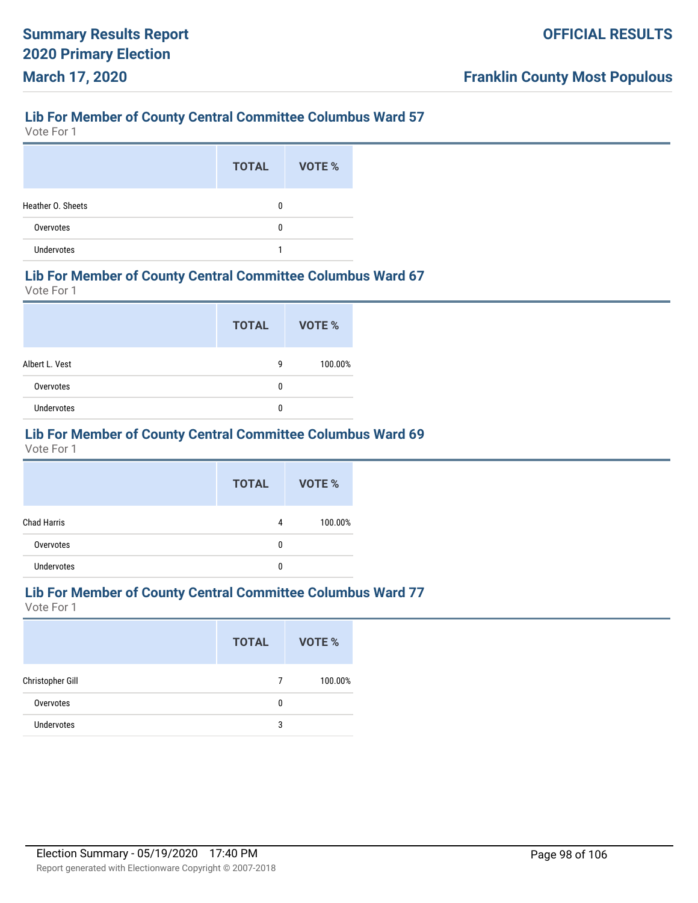Vote For 1

|                   | <b>TOTAL</b> | VOTE % |
|-------------------|--------------|--------|
| Heather O. Sheets | 0            |        |
| Overvotes         | 0            |        |
| <b>Undervotes</b> |              |        |

#### **Lib For Member of County Central Committee Columbus Ward 67**

Vote For 1

|                | <b>TOTAL</b> | <b>VOTE %</b> |
|----------------|--------------|---------------|
| Albert L. Vest | 9            | 100.00%       |
| Overvotes      | 0            |               |
| Undervotes     | 0            |               |

#### **Lib For Member of County Central Committee Columbus Ward 69**

Vote For 1

|                    | <b>TOTAL</b> | <b>VOTE %</b> |
|--------------------|--------------|---------------|
| <b>Chad Harris</b> | 4            | 100.00%       |
| Overvotes          | 0            |               |
| <b>Undervotes</b>  | 0            |               |

# **Lib For Member of County Central Committee Columbus Ward 77**

|                   | <b>TOTAL</b> | <b>VOTE %</b> |
|-------------------|--------------|---------------|
| Christopher Gill  | 7            | 100.00%       |
| Overvotes         | 0            |               |
| <b>Undervotes</b> | 3            |               |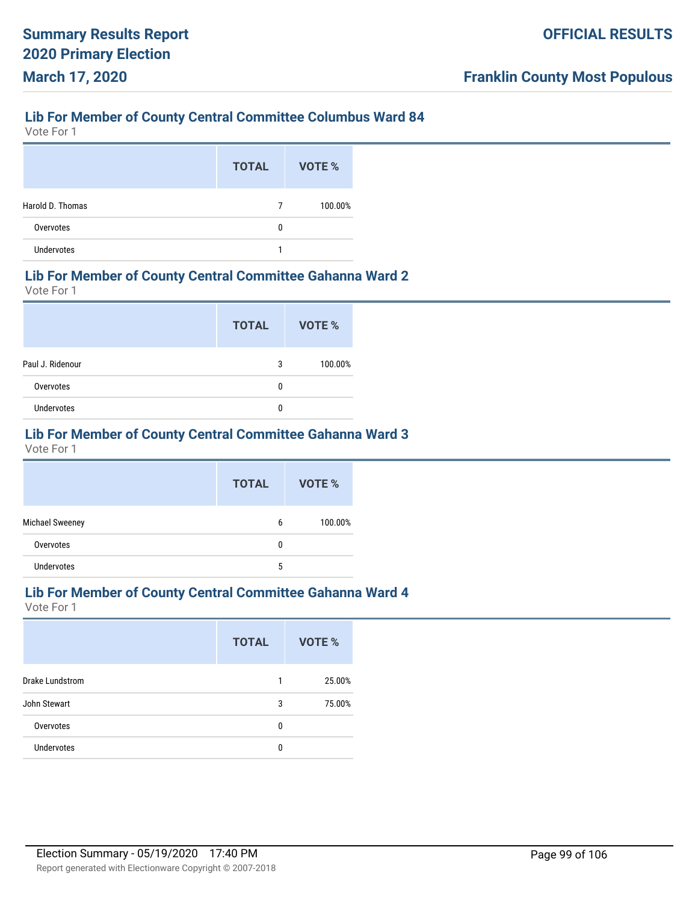Vote For 1

|                   | <b>TOTAL</b> | VOTE %  |
|-------------------|--------------|---------|
| Harold D. Thomas  | 7            | 100.00% |
| Overvotes         | 0            |         |
| <b>Undervotes</b> |              |         |

#### **Lib For Member of County Central Committee Gahanna Ward 2**

Vote For 1

|                  | <b>TOTAL</b> | VOTE %  |
|------------------|--------------|---------|
| Paul J. Ridenour | 3            | 100.00% |
| Overvotes        | 0            |         |
| Undervotes       | 0            |         |

## **Lib For Member of County Central Committee Gahanna Ward 3**

Vote For 1

|                   | <b>TOTAL</b> | <b>VOTE %</b> |
|-------------------|--------------|---------------|
| Michael Sweeney   | 6            | 100.00%       |
| Overvotes         | 0            |               |
| <b>Undervotes</b> | 5            |               |

#### **Lib For Member of County Central Committee Gahanna Ward 4**

|                   | <b>TOTAL</b> | VOTE % |
|-------------------|--------------|--------|
| Drake Lundstrom   | 1            | 25.00% |
| John Stewart      | 3            | 75.00% |
| Overvotes         | 0            |        |
| <b>Undervotes</b> | 0            |        |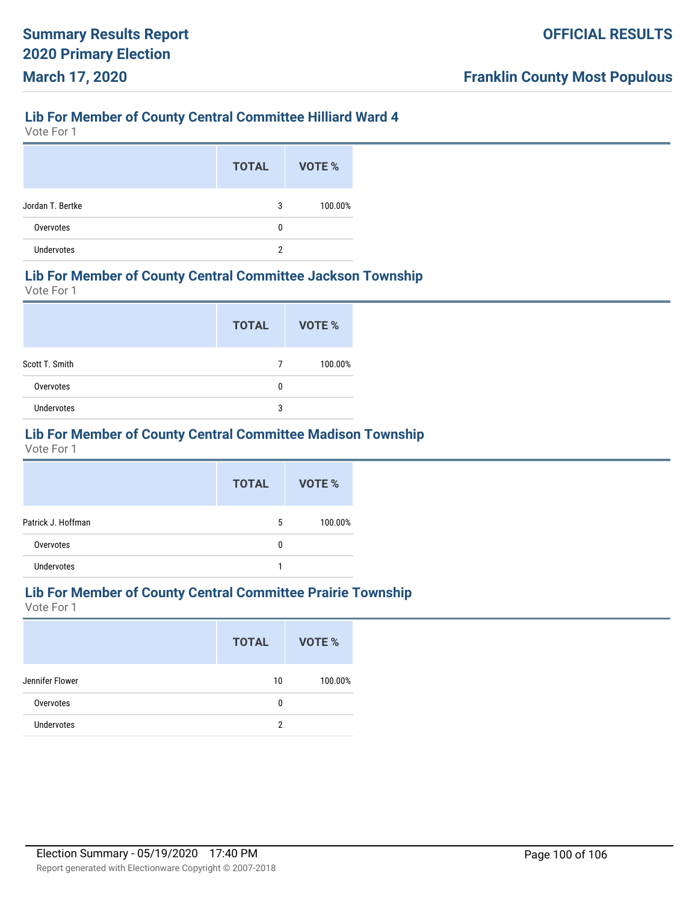## **Lib For Member of County Central Committee Hilliard Ward 4**

Vote For 1

|                   | <b>TOTAL</b> | VOTE %  |
|-------------------|--------------|---------|
| Jordan T. Bertke  | 3            | 100.00% |
| Overvotes         | 0            |         |
| <b>Undervotes</b> | 2            |         |

#### **Lib For Member of County Central Committee Jackson Township**

Vote For 1

|                   | <b>TOTAL</b> | <b>VOTE %</b> |
|-------------------|--------------|---------------|
| Scott T. Smith    |              | 100.00%       |
| Overvotes         | 0            |               |
| <b>Undervotes</b> | 3            |               |

# **Lib For Member of County Central Committee Madison Township**

Vote For 1

|                    | <b>TOTAL</b> | <b>VOTE %</b> |
|--------------------|--------------|---------------|
| Patrick J. Hoffman | 5            | 100.00%       |
| Overvotes          | 0            |               |
| <b>Undervotes</b>  |              |               |

## **Lib For Member of County Central Committee Prairie Township**

|                   | <b>TOTAL</b>  | <b>VOTE %</b> |
|-------------------|---------------|---------------|
| Jennifer Flower   | 10            | 100.00%       |
| Overvotes         | 0             |               |
| <b>Undervotes</b> | $\mathcal{P}$ |               |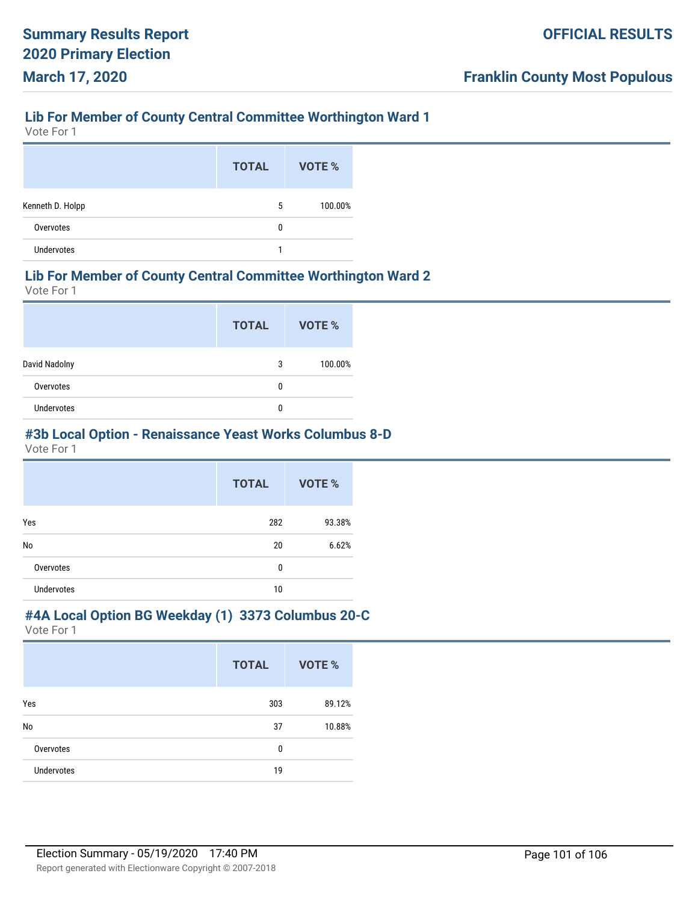## **Lib For Member of County Central Committee Worthington Ward 1**

Vote For 1

|                  | <b>TOTAL</b> | VOTE %  |
|------------------|--------------|---------|
| Kenneth D. Holpp | 5            | 100.00% |
| Overvotes        | 0            |         |
| Undervotes       |              |         |

#### **Lib For Member of County Central Committee Worthington Ward 2**

Vote For 1

|                   | <b>TOTAL</b> | VOTE %  |
|-------------------|--------------|---------|
| David Nadolny     | 3            | 100.00% |
| Overvotes         | 0            |         |
| <b>Undervotes</b> | 0            |         |

#### **#3b Local Option - Renaissance Yeast Works Columbus 8-D**

Vote For 1

|                   | <b>TOTAL</b> | VOTE % |
|-------------------|--------------|--------|
| Yes               | 282          | 93.38% |
| No                | 20           | 6.62%  |
| Overvotes         | 0            |        |
| <b>Undervotes</b> | 10           |        |

#### **#4A Local Option BG Weekday (1) 3373 Columbus 20-C**

|                   | <b>TOTAL</b> | VOTE % |
|-------------------|--------------|--------|
| Yes               | 303          | 89.12% |
| No                | 37           | 10.88% |
| Overvotes         | $\mathbf{0}$ |        |
| <b>Undervotes</b> | 19           |        |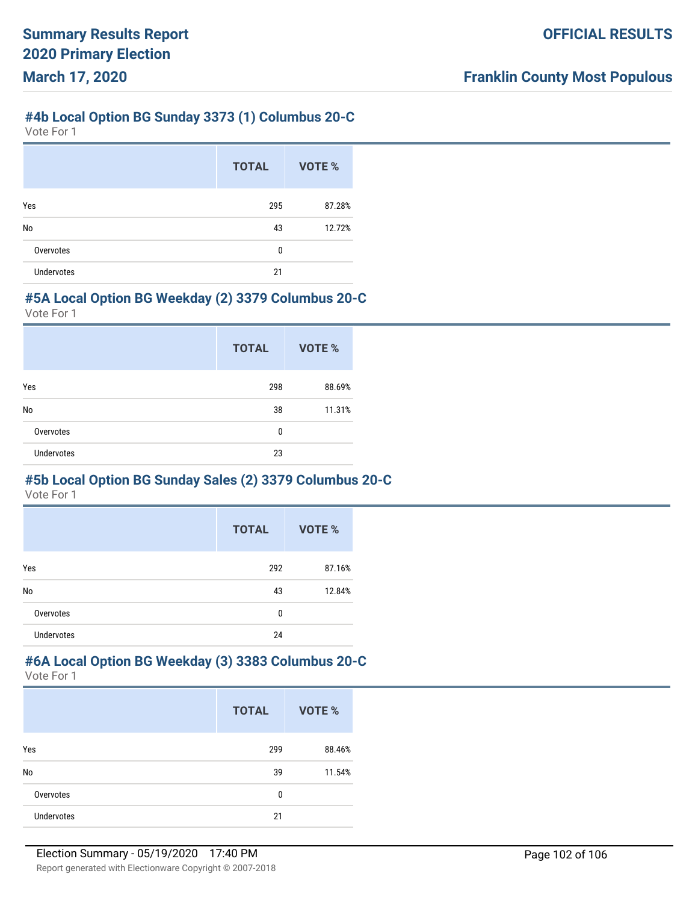#### **#4b Local Option BG Sunday 3373 (1) Columbus 20-C**

Vote For 1

|                   | <b>TOTAL</b> | VOTE % |
|-------------------|--------------|--------|
| Yes               | 295          | 87.28% |
| No                | 43           | 12.72% |
| Overvotes         | 0            |        |
| <b>Undervotes</b> | 21           |        |

#### **#5A Local Option BG Weekday (2) 3379 Columbus 20-C**

Vote For 1

|                   | <b>TOTAL</b> | VOTE % |
|-------------------|--------------|--------|
| Yes               | 298          | 88.69% |
| No                | 38           | 11.31% |
| Overvotes         | 0            |        |
| <b>Undervotes</b> | 23           |        |

# **#5b Local Option BG Sunday Sales (2) 3379 Columbus 20-C**

Vote For 1

|                   | <b>TOTAL</b> | VOTE % |
|-------------------|--------------|--------|
| Yes               | 292          | 87.16% |
| No                | 43           | 12.84% |
| Overvotes         | 0            |        |
| <b>Undervotes</b> | 24           |        |

#### **#6A Local Option BG Weekday (3) 3383 Columbus 20-C** Vote For 1

|                   | <b>TOTAL</b> | VOTE % |
|-------------------|--------------|--------|
| Yes               | 299          | 88.46% |
| No                | 39           | 11.54% |
| Overvotes         | 0            |        |
| <b>Undervotes</b> | 21           |        |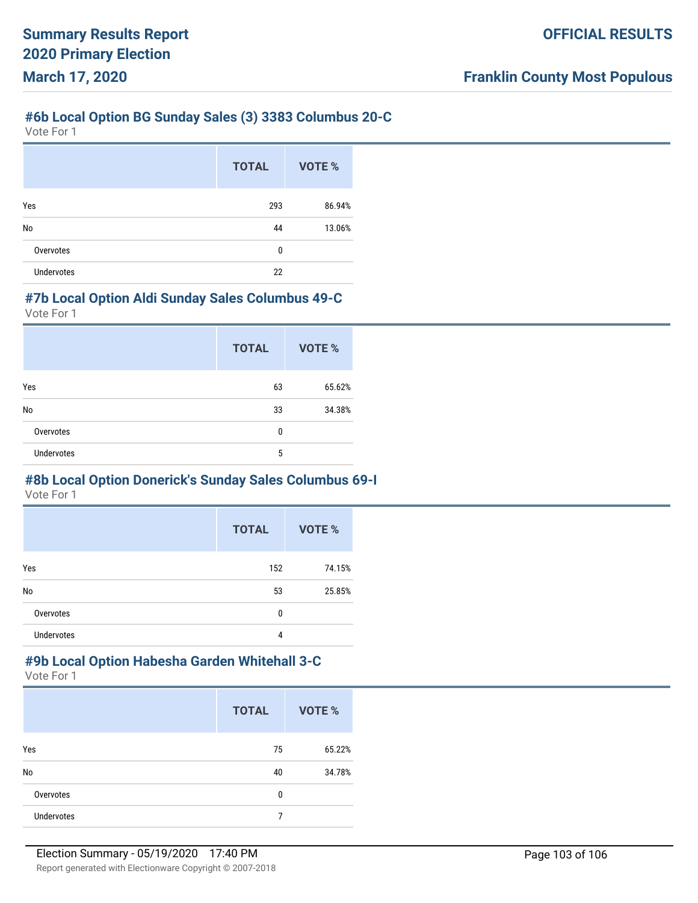#### **#6b Local Option BG Sunday Sales (3) 3383 Columbus 20-C**

Vote For 1

|                   | <b>TOTAL</b> | VOTE % |
|-------------------|--------------|--------|
| Yes               | 293          | 86.94% |
| No                | 44           | 13.06% |
| Overvotes         | 0            |        |
| <b>Undervotes</b> | 22           |        |

#### **#7b Local Option Aldi Sunday Sales Columbus 49-C**

Vote For 1

|                   | <b>TOTAL</b> | VOTE % |
|-------------------|--------------|--------|
| Yes               | 63           | 65.62% |
| No                | 33           | 34.38% |
| Overvotes         | 0            |        |
| <b>Undervotes</b> | 5            |        |

# **#8b Local Option Donerick's Sunday Sales Columbus 69-I**

Vote For 1

|                   | <b>TOTAL</b> | VOTE % |
|-------------------|--------------|--------|
| Yes               | 152          | 74.15% |
| No                | 53           | 25.85% |
| Overvotes         | 0            |        |
| <b>Undervotes</b> | 4            |        |

#### **#9b Local Option Habesha Garden Whitehall 3-C** Vote For 1

|                   | <b>TOTAL</b> | VOTE % |
|-------------------|--------------|--------|
| Yes               | 75           | 65.22% |
| No                | 40           | 34.78% |
| Overvotes         | 0            |        |
| <b>Undervotes</b> | 7            |        |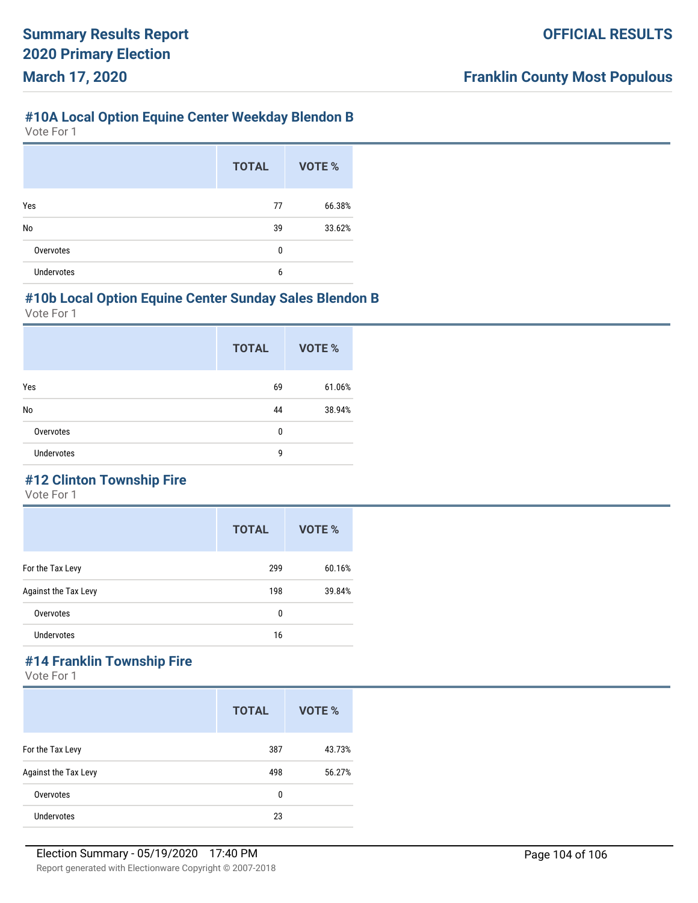#### **#10A Local Option Equine Center Weekday Blendon B**

Vote For 1

|                   | <b>TOTAL</b> | VOTE % |
|-------------------|--------------|--------|
| Yes               | 77           | 66.38% |
| No                | 39           | 33.62% |
| Overvotes         | 0            |        |
| <b>Undervotes</b> | 6            |        |

#### **#10b Local Option Equine Center Sunday Sales Blendon B**

Vote For 1

|                   | <b>TOTAL</b> | <b>VOTE %</b> |
|-------------------|--------------|---------------|
| Yes               | 69           | 61.06%        |
| No                | 44           | 38.94%        |
| Overvotes         | 0            |               |
| <b>Undervotes</b> | 9            |               |

# **#12 Clinton Township Fire**

Vote For 1

|                      | <b>TOTAL</b> | VOTE % |
|----------------------|--------------|--------|
| For the Tax Levy     | 299          | 60.16% |
| Against the Tax Levy | 198          | 39.84% |
| Overvotes            | 0            |        |
| <b>Undervotes</b>    | 16           |        |

# **#14 Franklin Township Fire**

|                      | <b>TOTAL</b> | VOTE % |
|----------------------|--------------|--------|
| For the Tax Levy     | 387          | 43.73% |
| Against the Tax Levy | 498          | 56.27% |
| Overvotes            | 0            |        |
| <b>Undervotes</b>    | 23           |        |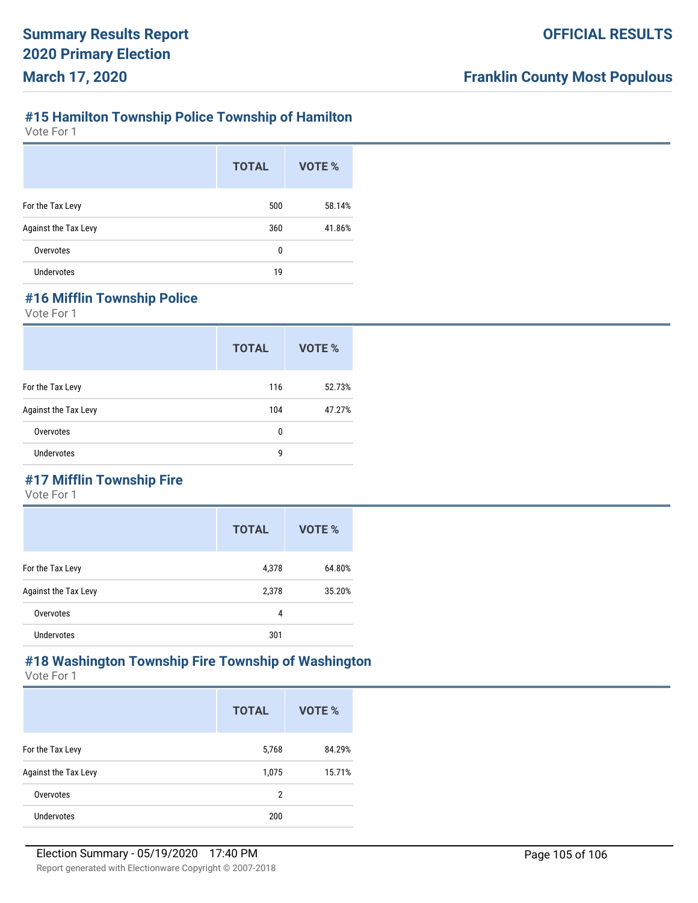# **#15 Hamilton Township Police Township of Hamilton**

Vote For 1

|                      | <b>TOTAL</b> | VOTE % |
|----------------------|--------------|--------|
| For the Tax Levy     | 500          | 58.14% |
| Against the Tax Levy | 360          | 41.86% |
| Overvotes            | 0            |        |
| Undervotes           | 19           |        |

# **#16 Mifflin Township Police**

Vote For 1

|                      | <b>TOTAL</b> | VOTE % |
|----------------------|--------------|--------|
| For the Tax Levy     | 116          | 52.73% |
| Against the Tax Levy | 104          | 47.27% |
| Overvotes            | 0            |        |
| <b>Undervotes</b>    | 9            |        |

# **#17 Mifflin Township Fire**

Vote For 1

|                      | <b>TOTAL</b> | VOTE % |
|----------------------|--------------|--------|
| For the Tax Levy     | 4,378        | 64.80% |
| Against the Tax Levy | 2,378        | 35.20% |
| Overvotes            | 4            |        |
| <b>Undervotes</b>    | 301          |        |

#### **#18 Washington Township Fire Township of Washington** Vote For 1

|                      | <b>TOTAL</b> | VOTE % |
|----------------------|--------------|--------|
| For the Tax Levy     | 5,768        | 84.29% |
| Against the Tax Levy | 1,075        | 15.71% |
| Overvotes            | 2            |        |
| <b>Undervotes</b>    | 200          |        |